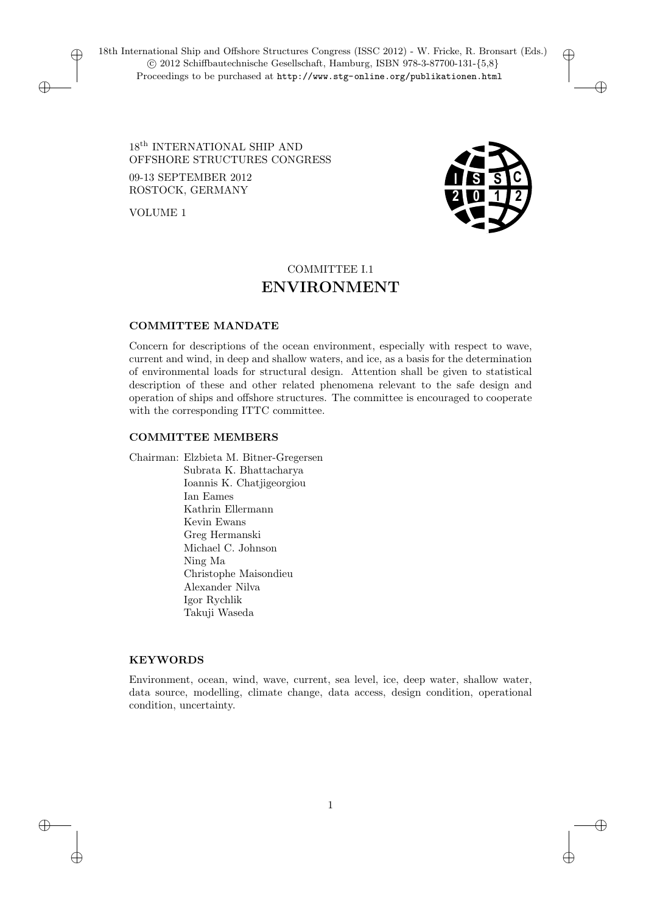> 18th INTERNATIONAL SHIP AND OFFSHORE STRUCTURES CONGRESS 09-13 SEPTEMBER 2012 ROSTOCK, GERMANY

VOLUME 1

✐



✐

✐

✐

✐

# COMMITTEE I.1 ENVIRONMENT

## COMMITTEE MANDATE

Concern for descriptions of the ocean environment, especially with respect to wave, current and wind, in deep and shallow waters, and ice, as a basis for the determination of environmental loads for structural design. Attention shall be given to statistical description of these and other related phenomena relevant to the safe design and operation of ships and offshore structures. The committee is encouraged to cooperate with the corresponding ITTC committee.

### COMMITTEE MEMBERS

Chairman: Elzbieta M. Bitner-Gregersen Subrata K. Bhattacharya Ioannis K. Chatjigeorgiou Ian Eames Kathrin Ellermann Kevin Ewans Greg Hermanski Michael C. Johnson Ning Ma Christophe Maisondieu Alexander Nilva Igor Rychlik Takuji Waseda

## KEYWORDS

✐

✐

Environment, ocean, wind, wave, current, sea level, ice, deep water, shallow water, data source, modelling, climate change, data access, design condition, operational condition, uncertainty.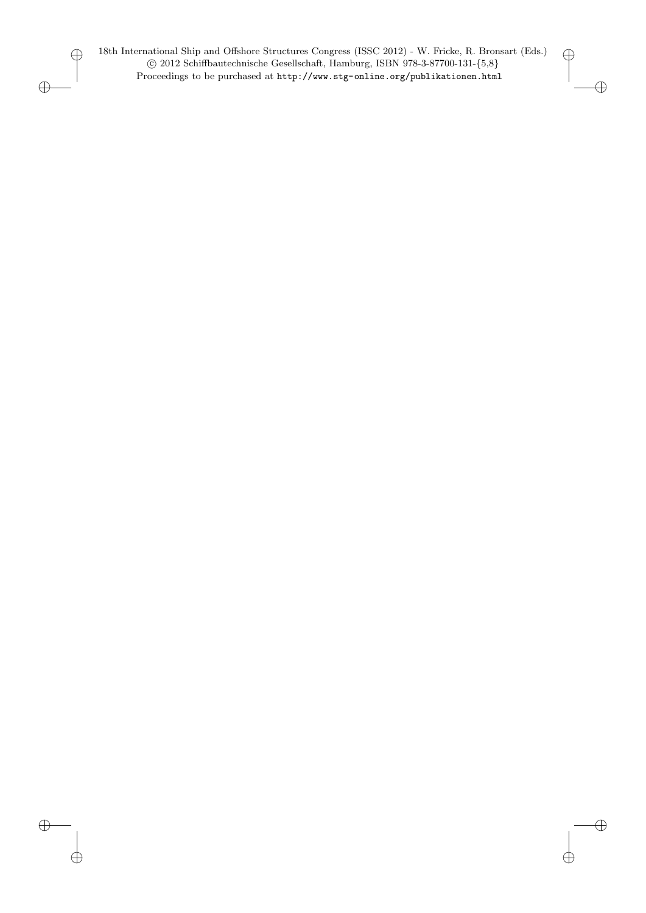$\bigoplus$ 

 $\bigoplus$ 

 $\oplus$ 

 $\oplus$ 

 $\oplus$ 

 $\bigoplus$ 

 $\bigoplus$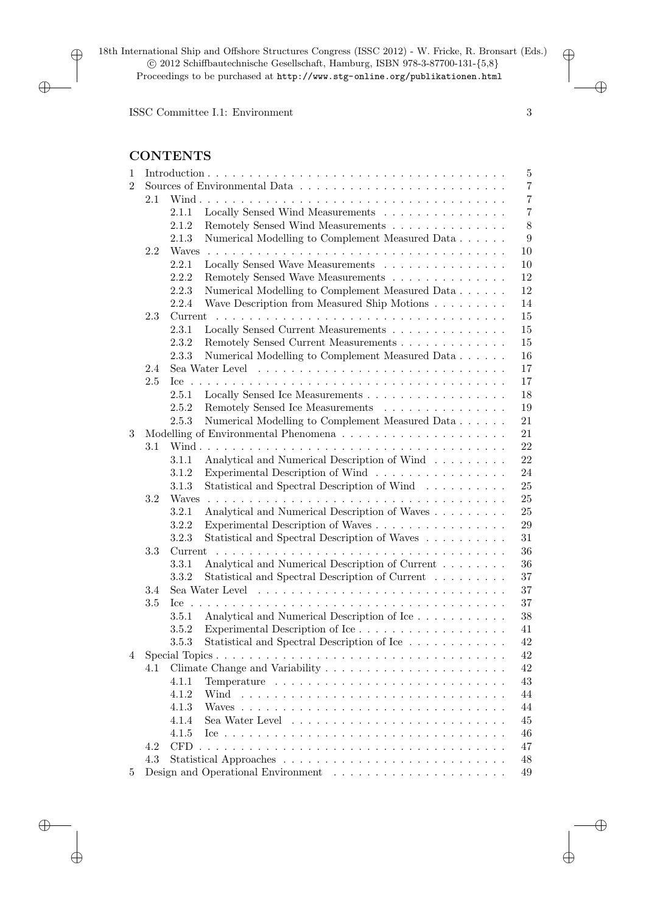ISSC Committee I.1: Environment 3

 $\bigoplus$ 

 $\bigoplus$ 

 $\oplus$ 

 $\oplus$ 

 $\oplus$ 

 $\oplus$ 

 $\oplus$ 

| $\mathbf{1}$   |     |            |                                                                                                |  |  |  | $\bf 5$        |
|----------------|-----|------------|------------------------------------------------------------------------------------------------|--|--|--|----------------|
| $\overline{2}$ |     |            | Sources of Environmental Data $\ldots \ldots \ldots \ldots \ldots \ldots \ldots \ldots \ldots$ |  |  |  | $\overline{7}$ |
|                | 2.1 | Wind.      |                                                                                                |  |  |  | $\overline{7}$ |
|                |     | 2.1.1      | Locally Sensed Wind Measurements                                                               |  |  |  | $\overline{7}$ |
|                |     | 2.1.2      |                                                                                                |  |  |  | 8              |
|                |     | 2.1.3      | Numerical Modelling to Complement Measured Data                                                |  |  |  | 9              |
|                | 2.2 | Waves      |                                                                                                |  |  |  | 10             |
|                |     | 2.2.1      | Locally Sensed Wave Measurements                                                               |  |  |  | 10             |
|                |     | 2.2.2      | Remotely Sensed Wave Measurements                                                              |  |  |  | 12             |
|                |     | 2.2.3      | Numerical Modelling to Complement Measured Data                                                |  |  |  | 12             |
|                |     | 2.2.4      | Wave Description from Measured Ship Motions                                                    |  |  |  | 14             |
|                | 2.3 | Current    |                                                                                                |  |  |  | 15             |
|                |     | 2.3.1      | Locally Sensed Current Measurements                                                            |  |  |  | 15             |
|                |     | 2.3.2      | Remotely Sensed Current Measurements                                                           |  |  |  | 15             |
|                |     | 2.3.3      | Numerical Modelling to Complement Measured Data                                                |  |  |  | 16             |
|                | 2.4 |            |                                                                                                |  |  |  | 17             |
|                | 2.5 | Ice        |                                                                                                |  |  |  | 17             |
|                |     | 2.5.1      |                                                                                                |  |  |  | 18             |
|                |     | 2.5.2      | Remotely Sensed Ice Measurements $\ldots \ldots \ldots \ldots \ldots$                          |  |  |  | 19             |
|                |     | 2.5.3      | Numerical Modelling to Complement Measured Data                                                |  |  |  | 21             |
| 3              |     |            |                                                                                                |  |  |  | 21             |
|                | 3.1 | Wind.      |                                                                                                |  |  |  | 22             |
|                |     | 3.1.1      | Analytical and Numerical Description of Wind                                                   |  |  |  | 22             |
|                |     | 3.1.2      | Experimental Description of Wind                                                               |  |  |  | 24             |
|                |     | 3.1.3      | Statistical and Spectral Description of Wind                                                   |  |  |  | 25             |
|                | 3.2 | Waves      |                                                                                                |  |  |  | 25             |
|                |     | 3.2.1      | Analytical and Numerical Description of Waves                                                  |  |  |  | 25             |
|                |     | 3.2.2      | Experimental Description of Waves                                                              |  |  |  | 29             |
|                |     | 3.2.3      | Statistical and Spectral Description of Waves                                                  |  |  |  | 31             |
|                | 3.3 | Current    |                                                                                                |  |  |  | 36             |
|                |     | 3.3.1      | Analytical and Numerical Description of Current                                                |  |  |  | 36             |
|                |     | 3.3.2      | Statistical and Spectral Description of Current                                                |  |  |  | 37             |
|                | 3.4 |            |                                                                                                |  |  |  | 37             |
|                | 3.5 | Ice        |                                                                                                |  |  |  | 37             |
|                |     | 3.5.1      | Analytical and Numerical Description of Ice                                                    |  |  |  | 38             |
|                |     | 3.5.2      |                                                                                                |  |  |  | 41             |
|                |     | 3.5.3      | Statistical and Spectral Description of Ice                                                    |  |  |  | 42             |
| 4              |     |            |                                                                                                |  |  |  | 42             |
|                | 4.1 |            |                                                                                                |  |  |  | 42             |
|                |     | 4.1.1      |                                                                                                |  |  |  | 43             |
|                |     | 4.1.2      |                                                                                                |  |  |  | 44             |
|                |     | 4.1.3      |                                                                                                |  |  |  | 44             |
|                |     | 4.1.4      |                                                                                                |  |  |  | 45             |
|                |     | 4.1.5      |                                                                                                |  |  |  | 46             |
|                | 4.2 | <b>CFD</b> |                                                                                                |  |  |  | 47             |
|                | 4.3 |            |                                                                                                |  |  |  | 48             |
| 5              |     |            |                                                                                                |  |  |  | 49             |
|                |     |            |                                                                                                |  |  |  |                |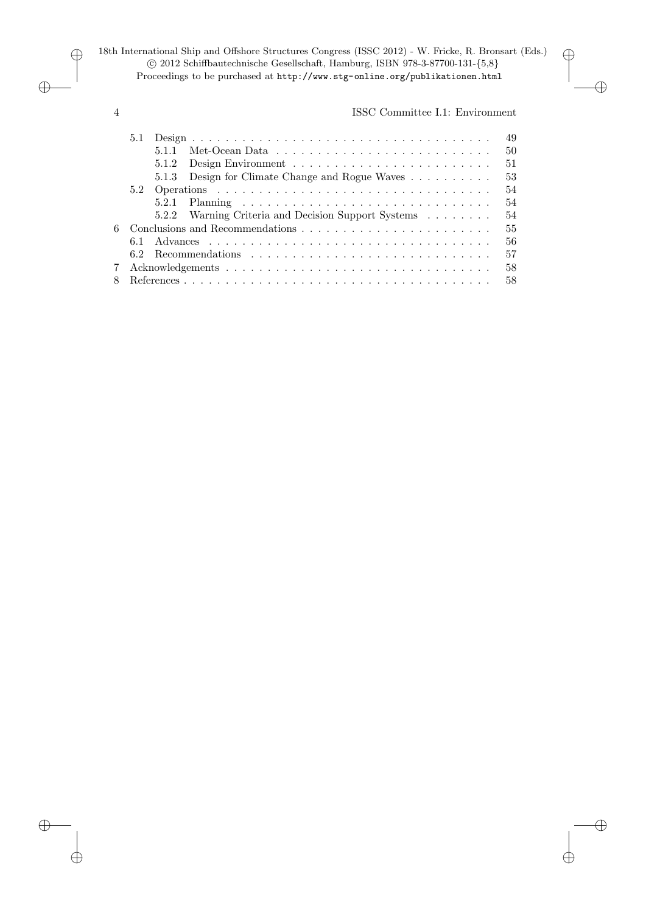$\oplus$ 

 $\bigoplus$ 

 $\oplus$ 

4 ISSC Committee I.1: Environment

 $\bigoplus$ 

 $\bigoplus$ 

 $\oplus$ 

 $\oplus$ 

|    | 5.1 |       | 49                                                        |  |  |  |  |
|----|-----|-------|-----------------------------------------------------------|--|--|--|--|
|    |     |       | 50                                                        |  |  |  |  |
|    |     | 5.1.2 | 51                                                        |  |  |  |  |
|    |     | 5.1.3 | 53<br>Design for Climate Change and Rogue Waves           |  |  |  |  |
|    | 5.2 |       |                                                           |  |  |  |  |
|    |     | 5.2.1 | 54                                                        |  |  |  |  |
|    |     |       | 54<br>5.2.2 Warning Criteria and Decision Support Systems |  |  |  |  |
| 6. |     |       |                                                           |  |  |  |  |
|    | 6.1 |       | 56                                                        |  |  |  |  |
|    | 62  |       | 57                                                        |  |  |  |  |
|    |     | 58    |                                                           |  |  |  |  |
|    |     | 58    |                                                           |  |  |  |  |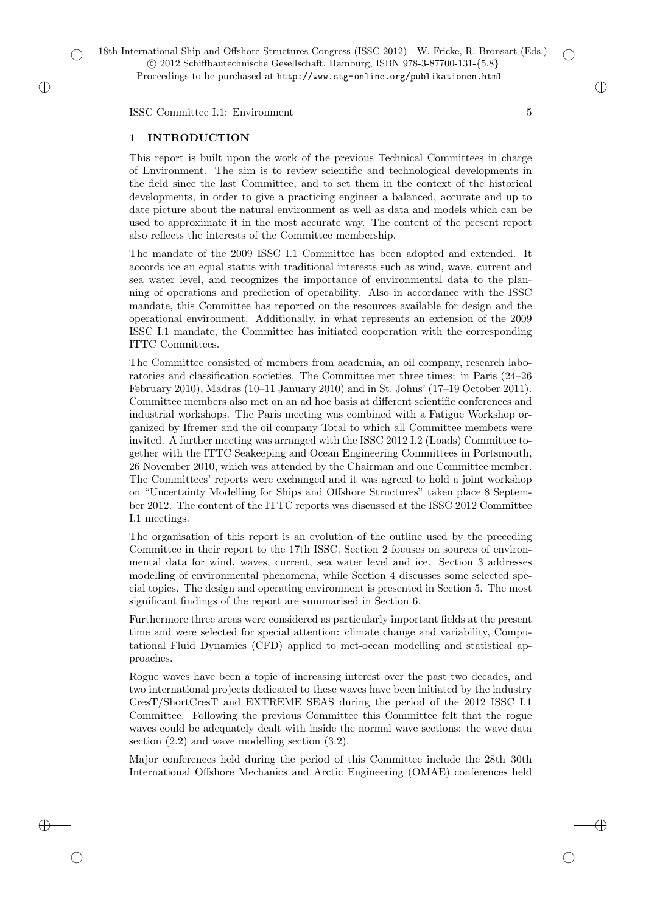✐

✐

✐

✐

ISSC Committee I.1: Environment 5

## 1 INTRODUCTION

 $\rightarrow$ 

✐

✐

This report is built upon the work of the previous Technical Committees in charge of Environment. The aim is to review scientific and technological developments in the field since the last Committee, and to set them in the context of the historical developments, in order to give a practicing engineer a balanced, accurate and up to date picture about the natural environment as well as data and models which can be used to approximate it in the most accurate way. The content of the present report also reflects the interests of the Committee membership.

The mandate of the 2009 ISSC I.1 Committee has been adopted and extended. It accords ice an equal status with traditional interests such as wind, wave, current and sea water level, and recognizes the importance of environmental data to the planning of operations and prediction of operability. Also in accordance with the ISSC mandate, this Committee has reported on the resources available for design and the operational environment. Additionally, in what represents an extension of the 2009 ISSC I.1 mandate, the Committee has initiated cooperation with the corresponding ITTC Committees.

The Committee consisted of members from academia, an oil company, research laboratories and classification societies. The Committee met three times: in Paris (24–26 February 2010), Madras (10–11 January 2010) and in St. Johns' (17–19 October 2011). Committee members also met on an ad hoc basis at different scientific conferences and industrial workshops. The Paris meeting was combined with a Fatigue Workshop organized by Ifremer and the oil company Total to which all Committee members were invited. A further meeting was arranged with the ISSC 2012 I.2 (Loads) Committee together with the ITTC Seakeeping and Ocean Engineering Committees in Portsmouth, 26 November 2010, which was attended by the Chairman and one Committee member. The Committees' reports were exchanged and it was agreed to hold a joint workshop on "Uncertainty Modelling for Ships and Offshore Structures" taken place 8 September 2012. The content of the ITTC reports was discussed at the ISSC 2012 Committee I.1 meetings.

The organisation of this report is an evolution of the outline used by the preceding Committee in their report to the 17th ISSC. Section 2 focuses on sources of environmental data for wind, waves, current, sea water level and ice. Section 3 addresses modelling of environmental phenomena, while Section 4 discusses some selected special topics. The design and operating environment is presented in Section 5. The most significant findings of the report are summarised in Section 6.

Furthermore three areas were considered as particularly important fields at the present time and were selected for special attention: climate change and variability, Computational Fluid Dynamics (CFD) applied to met-ocean modelling and statistical approaches.

Rogue waves have been a topic of increasing interest over the past two decades, and two international projects dedicated to these waves have been initiated by the industry CresT/ShortCresT and EXTREME SEAS during the period of the 2012 ISSC I.1 Committee. Following the previous Committee this Committee felt that the rogue waves could be adequately dealt with inside the normal wave sections: the wave data section (2.2) and wave modelling section (3.2).

Major conferences held during the period of this Committee include the 28th–30th International Offshore Mechanics and Arctic Engineering (OMAE) conferences held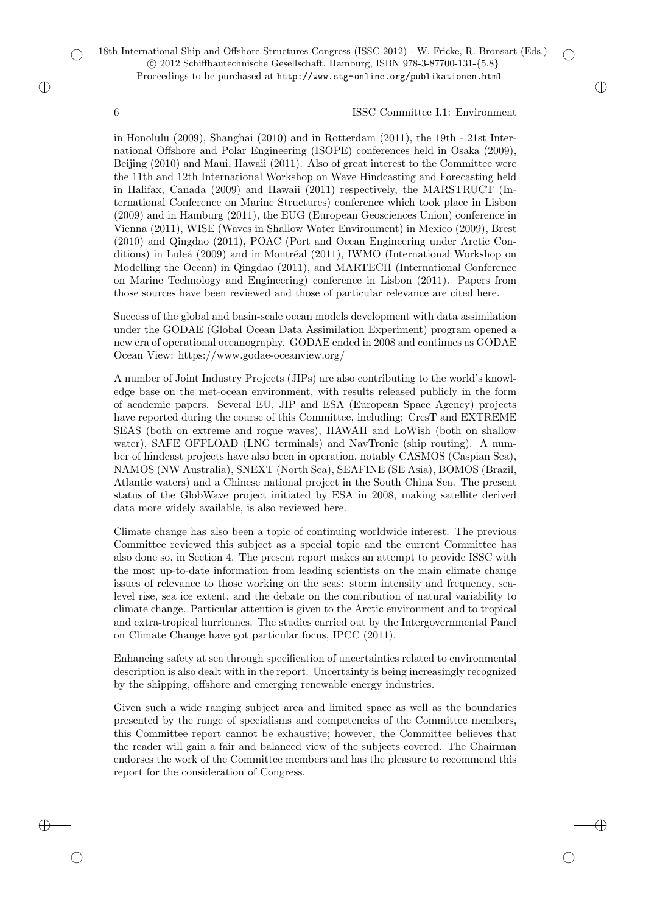$\rightarrow$ 

✐

✐

## 6 ISSC Committee I.1: Environment

✐

✐

✐

✐

in Honolulu (2009), Shanghai (2010) and in Rotterdam (2011), the 19th - 21st International Offshore and Polar Engineering (ISOPE) conferences held in Osaka (2009), Beijing (2010) and Maui, Hawaii (2011). Also of great interest to the Committee were the 11th and 12th International Workshop on Wave Hindcasting and Forecasting held in Halifax, Canada (2009) and Hawaii (2011) respectively, the MARSTRUCT (International Conference on Marine Structures) conference which took place in Lisbon (2009) and in Hamburg (2011), the EUG (European Geosciences Union) conference in Vienna (2011), WISE (Waves in Shallow Water Environment) in Mexico (2009), Brest (2010) and Qingdao (2011), POAC (Port and Ocean Engineering under Arctic Conditions) in Luleå (2009) and in Montréal (2011), IWMO (International Workshop on Modelling the Ocean) in Qingdao (2011), and MARTECH (International Conference on Marine Technology and Engineering) conference in Lisbon (2011). Papers from those sources have been reviewed and those of particular relevance are cited here.

Success of the global and basin-scale ocean models development with data assimilation under the GODAE (Global Ocean Data Assimilation Experiment) program opened a new era of operational oceanography. GODAE ended in 2008 and continues as GODAE Ocean View: https://www.godae-oceanview.org/

A number of Joint Industry Projects (JIPs) are also contributing to the world's knowledge base on the met-ocean environment, with results released publicly in the form of academic papers. Several EU, JIP and ESA (European Space Agency) projects have reported during the course of this Committee, including: CresT and EXTREME SEAS (both on extreme and rogue waves), HAWAII and LoWish (both on shallow water), SAFE OFFLOAD (LNG terminals) and NavTronic (ship routing). A number of hindcast projects have also been in operation, notably CASMOS (Caspian Sea), NAMOS (NW Australia), SNEXT (North Sea), SEAFINE (SE Asia), BOMOS (Brazil, Atlantic waters) and a Chinese national project in the South China Sea. The present status of the GlobWave project initiated by ESA in 2008, making satellite derived data more widely available, is also reviewed here.

Climate change has also been a topic of continuing worldwide interest. The previous Committee reviewed this subject as a special topic and the current Committee has also done so, in Section 4. The present report makes an attempt to provide ISSC with the most up-to-date information from leading scientists on the main climate change issues of relevance to those working on the seas: storm intensity and frequency, sealevel rise, sea ice extent, and the debate on the contribution of natural variability to climate change. Particular attention is given to the Arctic environment and to tropical and extra-tropical hurricanes. The studies carried out by the Intergovernmental Panel on Climate Change have got particular focus, IPCC (2011).

Enhancing safety at sea through specification of uncertainties related to environmental description is also dealt with in the report. Uncertainty is being increasingly recognized by the shipping, offshore and emerging renewable energy industries.

Given such a wide ranging subject area and limited space as well as the boundaries presented by the range of specialisms and competencies of the Committee members, this Committee report cannot be exhaustive; however, the Committee believes that the reader will gain a fair and balanced view of the subjects covered. The Chairman endorses the work of the Committee members and has the pleasure to recommend this report for the consideration of Congress.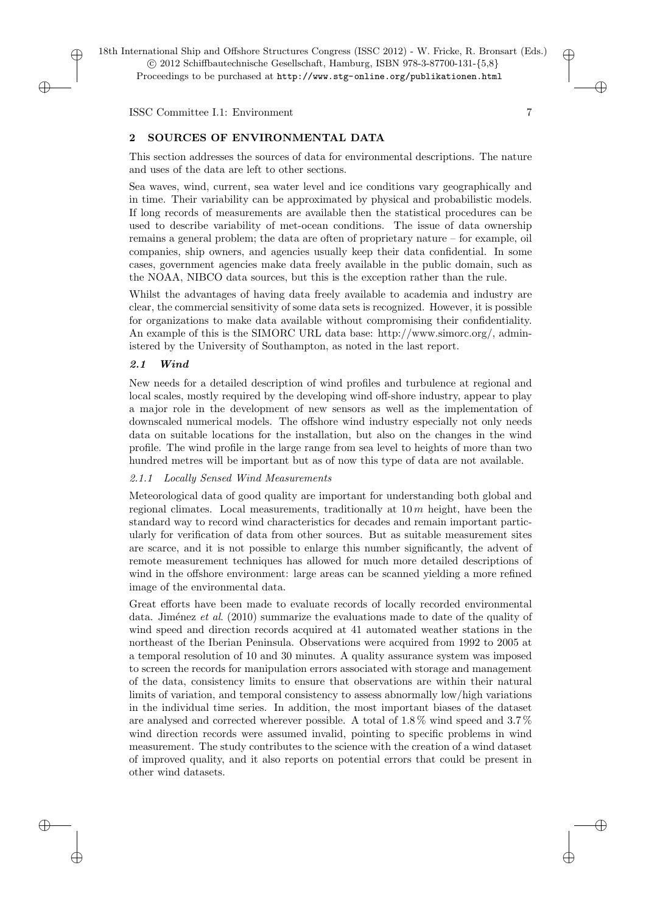ISSC Committee I.1: Environment 7

✐

✐

✐

✐

## 2 SOURCES OF ENVIRONMENTAL DATA

This section addresses the sources of data for environmental descriptions. The nature and uses of the data are left to other sections.

Sea waves, wind, current, sea water level and ice conditions vary geographically and in time. Their variability can be approximated by physical and probabilistic models. If long records of measurements are available then the statistical procedures can be used to describe variability of met-ocean conditions. The issue of data ownership remains a general problem; the data are often of proprietary nature – for example, oil companies, ship owners, and agencies usually keep their data confidential. In some cases, government agencies make data freely available in the public domain, such as the NOAA, NIBCO data sources, but this is the exception rather than the rule.

Whilst the advantages of having data freely available to academia and industry are clear, the commercial sensitivity of some data sets is recognized. However, it is possible for organizations to make data available without compromising their confidentiality. An example of this is the SIMORC URL data base: http://www.simorc.org/, administered by the University of Southampton, as noted in the last report.

## 2.1 Wind

 $\oplus$ 

✐

✐

New needs for a detailed description of wind profiles and turbulence at regional and local scales, mostly required by the developing wind off-shore industry, appear to play a major role in the development of new sensors as well as the implementation of downscaled numerical models. The offshore wind industry especially not only needs data on suitable locations for the installation, but also on the changes in the wind profile. The wind profile in the large range from sea level to heights of more than two hundred metres will be important but as of now this type of data are not available.

#### 2.1.1 Locally Sensed Wind Measurements

Meteorological data of good quality are important for understanding both global and regional climates. Local measurements, traditionally at  $10 \, m$  height, have been the standard way to record wind characteristics for decades and remain important particularly for verification of data from other sources. But as suitable measurement sites are scarce, and it is not possible to enlarge this number significantly, the advent of remote measurement techniques has allowed for much more detailed descriptions of wind in the offshore environment: large areas can be scanned yielding a more refined image of the environmental data.

Great efforts have been made to evaluate records of locally recorded environmental data. Jiménez et al.  $(2010)$  summarize the evaluations made to date of the quality of wind speed and direction records acquired at 41 automated weather stations in the northeast of the Iberian Peninsula. Observations were acquired from 1992 to 2005 at a temporal resolution of 10 and 30 minutes. A quality assurance system was imposed to screen the records for manipulation errors associated with storage and management of the data, consistency limits to ensure that observations are within their natural limits of variation, and temporal consistency to assess abnormally low/high variations in the individual time series. In addition, the most important biases of the dataset are analysed and corrected wherever possible. A total of 1.8 % wind speed and 3.7 % wind direction records were assumed invalid, pointing to specific problems in wind measurement. The study contributes to the science with the creation of a wind dataset of improved quality, and it also reports on potential errors that could be present in other wind datasets.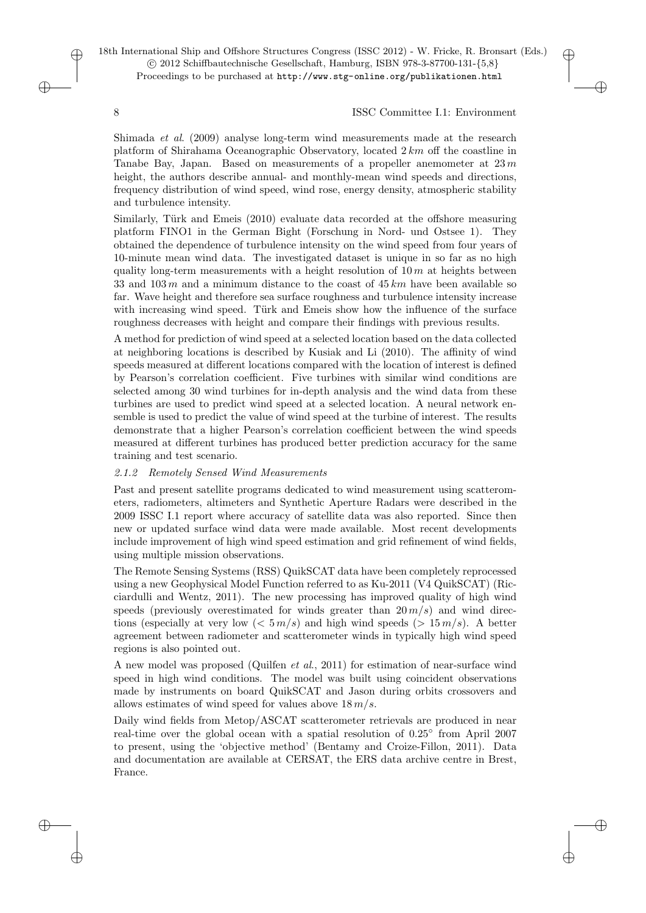## 8 ISSC Committee I.1: Environment

✐

✐

✐

✐

Shimada et al. (2009) analyse long-term wind measurements made at the research platform of Shirahama Oceanographic Observatory, located 2 km off the coastline in Tanabe Bay, Japan. Based on measurements of a propeller anemometer at  $23 m$ height, the authors describe annual- and monthly-mean wind speeds and directions, frequency distribution of wind speed, wind rose, energy density, atmospheric stability and turbulence intensity.

Similarly, Türk and Emeis (2010) evaluate data recorded at the offshore measuring platform FINO1 in the German Bight (Forschung in Nord- und Ostsee 1). They obtained the dependence of turbulence intensity on the wind speed from four years of 10-minute mean wind data. The investigated dataset is unique in so far as no high quality long-term measurements with a height resolution of  $10 m$  at heights between 33 and  $103 m$  and a minimum distance to the coast of  $45 km$  have been available so far. Wave height and therefore sea surface roughness and turbulence intensity increase with increasing wind speed. Türk and Emeis show how the influence of the surface roughness decreases with height and compare their findings with previous results.

A method for prediction of wind speed at a selected location based on the data collected at neighboring locations is described by Kusiak and Li (2010). The affinity of wind speeds measured at different locations compared with the location of interest is defined by Pearson's correlation coefficient. Five turbines with similar wind conditions are selected among 30 wind turbines for in-depth analysis and the wind data from these turbines are used to predict wind speed at a selected location. A neural network ensemble is used to predict the value of wind speed at the turbine of interest. The results demonstrate that a higher Pearson's correlation coefficient between the wind speeds measured at different turbines has produced better prediction accuracy for the same training and test scenario.

#### 2.1.2 Remotely Sensed Wind Measurements

Past and present satellite programs dedicated to wind measurement using scatterometers, radiometers, altimeters and Synthetic Aperture Radars were described in the 2009 ISSC I.1 report where accuracy of satellite data was also reported. Since then new or updated surface wind data were made available. Most recent developments include improvement of high wind speed estimation and grid refinement of wind fields, using multiple mission observations.

The Remote Sensing Systems (RSS) QuikSCAT data have been completely reprocessed using a new Geophysical Model Function referred to as Ku-2011 (V4 QuikSCAT) (Ricciardulli and Wentz, 2011). The new processing has improved quality of high wind speeds (previously overestimated for winds greater than  $20 \, m/s$ ) and wind directions (especially at very low  $(< 5 m/s$ ) and high wind speeds (> 15 $m/s$ ). A better agreement between radiometer and scatterometer winds in typically high wind speed regions is also pointed out.

A new model was proposed (Quilfen et al., 2011) for estimation of near-surface wind speed in high wind conditions. The model was built using coincident observations made by instruments on board QuikSCAT and Jason during orbits crossovers and allows estimates of wind speed for values above  $18 m/s$ .

Daily wind fields from Metop/ASCAT scatterometer retrievals are produced in near real-time over the global ocean with a spatial resolution of 0.25◦ from April 2007 to present, using the 'objective method' (Bentamy and Croize-Fillon, 2011). Data and documentation are available at CERSAT, the ERS data archive centre in Brest, France.

✐

✐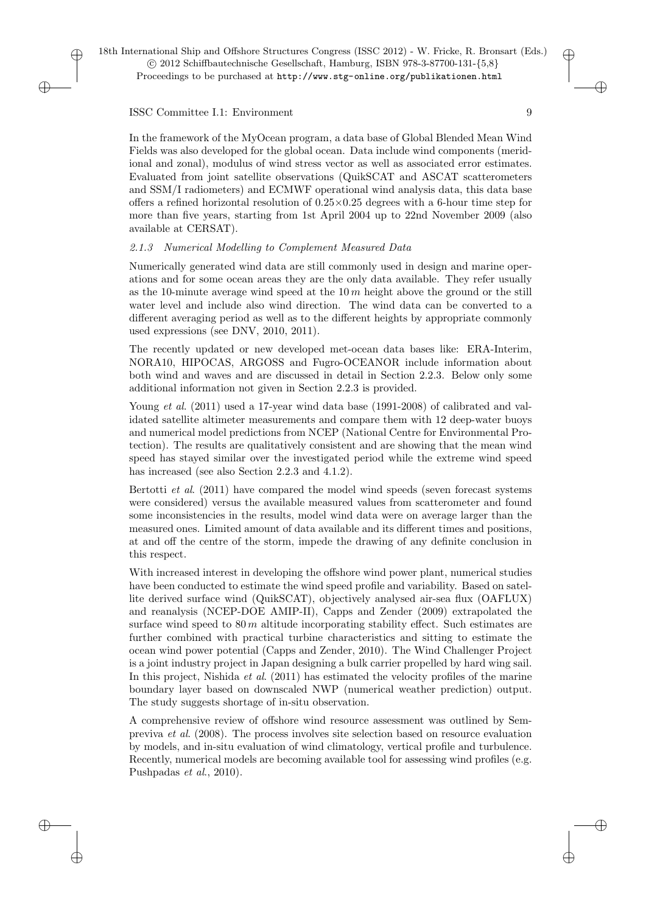## ISSC Committee I.1: Environment 9

✐

✐

✐

✐

✐

In the framework of the MyOcean program, a data base of Global Blended Mean Wind Fields was also developed for the global ocean. Data include wind components (meridional and zonal), modulus of wind stress vector as well as associated error estimates. Evaluated from joint satellite observations (QuikSCAT and ASCAT scatterometers and SSM/I radiometers) and ECMWF operational wind analysis data, this data base offers a refined horizontal resolution of  $0.25 \times 0.25$  degrees with a 6-hour time step for more than five years, starting from 1st April 2004 up to 22nd November 2009 (also available at CERSAT).

#### 2.1.3 Numerical Modelling to Complement Measured Data

Numerically generated wind data are still commonly used in design and marine operations and for some ocean areas they are the only data available. They refer usually as the 10-minute average wind speed at the  $10 m$  height above the ground or the still water level and include also wind direction. The wind data can be converted to a different averaging period as well as to the different heights by appropriate commonly used expressions (see DNV, 2010, 2011).

The recently updated or new developed met-ocean data bases like: ERA-Interim, NORA10, HIPOCAS, ARGOSS and Fugro-OCEANOR include information about both wind and waves and are discussed in detail in Section 2.2.3. Below only some additional information not given in Section 2.2.3 is provided.

Young *et al.* (2011) used a 17-year wind data base (1991-2008) of calibrated and validated satellite altimeter measurements and compare them with 12 deep-water buoys and numerical model predictions from NCEP (National Centre for Environmental Protection). The results are qualitatively consistent and are showing that the mean wind speed has stayed similar over the investigated period while the extreme wind speed has increased (see also Section 2.2.3 and 4.1.2).

Bertotti et al. (2011) have compared the model wind speeds (seven forecast systems were considered) versus the available measured values from scatterometer and found some inconsistencies in the results, model wind data were on average larger than the measured ones. Limited amount of data available and its different times and positions, at and off the centre of the storm, impede the drawing of any definite conclusion in this respect.

With increased interest in developing the offshore wind power plant, numerical studies have been conducted to estimate the wind speed profile and variability. Based on satellite derived surface wind (QuikSCAT), objectively analysed air-sea flux (OAFLUX) and reanalysis (NCEP-DOE AMIP-II), Capps and Zender (2009) extrapolated the surface wind speed to  $80 \, \text{m}$  altitude incorporating stability effect. Such estimates are further combined with practical turbine characteristics and sitting to estimate the ocean wind power potential (Capps and Zender, 2010). The Wind Challenger Project is a joint industry project in Japan designing a bulk carrier propelled by hard wing sail. In this project, Nishida *et al.*  $(2011)$  has estimated the velocity profiles of the marine boundary layer based on downscaled NWP (numerical weather prediction) output. The study suggests shortage of in-situ observation.

A comprehensive review of offshore wind resource assessment was outlined by Sempreviva et al. (2008). The process involves site selection based on resource evaluation by models, and in-situ evaluation of wind climatology, vertical profile and turbulence. Recently, numerical models are becoming available tool for assessing wind profiles (e.g. Pushpadas et al., 2010).

✐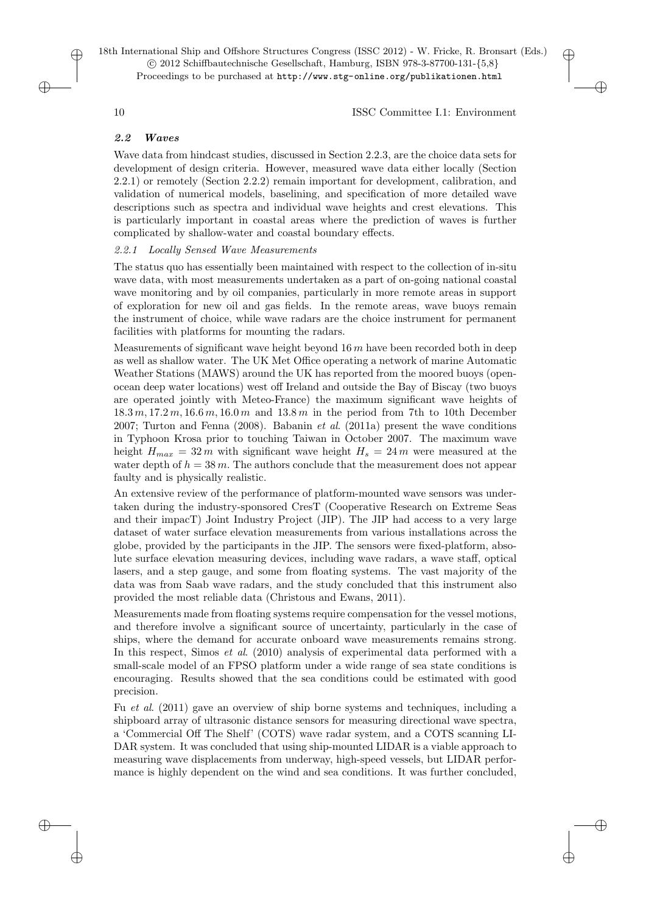10 ISSC Committee I.1: Environment

✐

✐

✐

✐

## 2.2 Waves

Wave data from hindcast studies, discussed in Section 2.2.3, are the choice data sets for development of design criteria. However, measured wave data either locally (Section 2.2.1) or remotely (Section 2.2.2) remain important for development, calibration, and validation of numerical models, baselining, and specification of more detailed wave descriptions such as spectra and individual wave heights and crest elevations. This is particularly important in coastal areas where the prediction of waves is further complicated by shallow-water and coastal boundary effects.

#### 2.2.1 Locally Sensed Wave Measurements

The status quo has essentially been maintained with respect to the collection of in-situ wave data, with most measurements undertaken as a part of on-going national coastal wave monitoring and by oil companies, particularly in more remote areas in support of exploration for new oil and gas fields. In the remote areas, wave buoys remain the instrument of choice, while wave radars are the choice instrument for permanent facilities with platforms for mounting the radars.

Measurements of significant wave height beyond  $16 m$  have been recorded both in deep as well as shallow water. The UK Met Office operating a network of marine Automatic Weather Stations (MAWS) around the UK has reported from the moored buoys (openocean deep water locations) west off Ireland and outside the Bay of Biscay (two buoys are operated jointly with Meteo-France) the maximum significant wave heights of  $18.3 m, 17.2 m, 16.6 m, 16.0 m$  and  $13.8 m$  in the period from 7th to 10th December 2007; Turton and Fenna (2008). Babanin et al. (2011a) present the wave conditions in Typhoon Krosa prior to touching Taiwan in October 2007. The maximum wave height  $H_{max} = 32 m$  with significant wave height  $H_s = 24 m$  were measured at the water depth of  $h = 38$  m. The authors conclude that the measurement does not appear faulty and is physically realistic.

An extensive review of the performance of platform-mounted wave sensors was undertaken during the industry-sponsored CresT (Cooperative Research on Extreme Seas and their impacT) Joint Industry Project (JIP). The JIP had access to a very large dataset of water surface elevation measurements from various installations across the globe, provided by the participants in the JIP. The sensors were fixed-platform, absolute surface elevation measuring devices, including wave radars, a wave staff, optical lasers, and a step gauge, and some from floating systems. The vast majority of the data was from Saab wave radars, and the study concluded that this instrument also provided the most reliable data (Christous and Ewans, 2011).

Measurements made from floating systems require compensation for the vessel motions, and therefore involve a significant source of uncertainty, particularly in the case of ships, where the demand for accurate onboard wave measurements remains strong. In this respect, Simos *et al.* (2010) analysis of experimental data performed with a small-scale model of an FPSO platform under a wide range of sea state conditions is encouraging. Results showed that the sea conditions could be estimated with good precision.

Fu et al. (2011) gave an overview of ship borne systems and techniques, including a shipboard array of ultrasonic distance sensors for measuring directional wave spectra, a 'Commercial Off The Shelf' (COTS) wave radar system, and a COTS scanning LI-DAR system. It was concluded that using ship-mounted LIDAR is a viable approach to measuring wave displacements from underway, high-speed vessels, but LIDAR performance is highly dependent on the wind and sea conditions. It was further concluded,

 $\rightarrow$ 

✐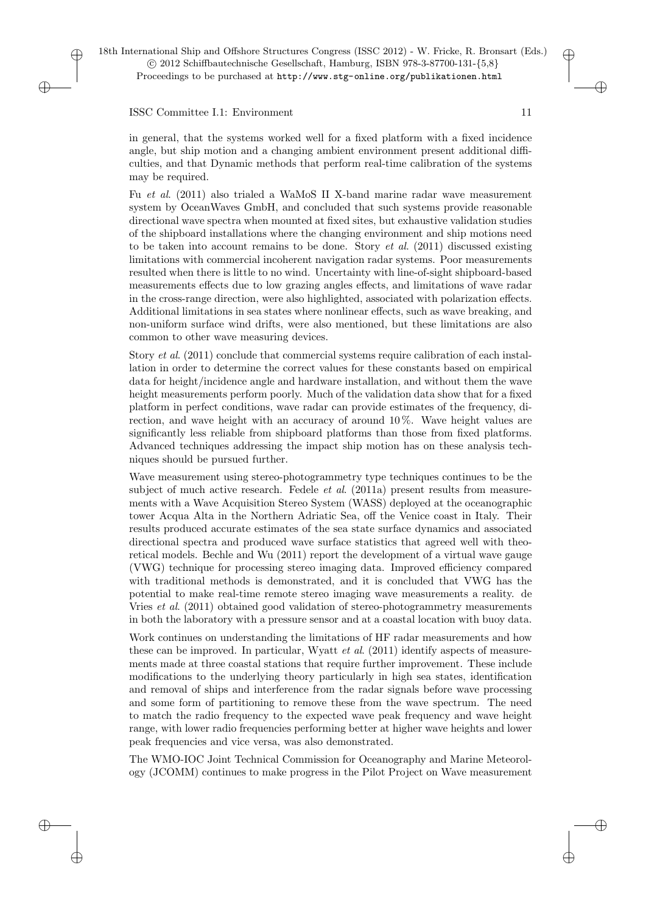## ISSC Committee I.1: Environment 11

✐

✐

✐

in general, that the systems worked well for a fixed platform with a fixed incidence angle, but ship motion and a changing ambient environment present additional difficulties, and that Dynamic methods that perform real-time calibration of the systems may be required.

Fu et al. (2011) also trialed a WaMoS II X-band marine radar wave measurement system by OceanWaves GmbH, and concluded that such systems provide reasonable directional wave spectra when mounted at fixed sites, but exhaustive validation studies of the shipboard installations where the changing environment and ship motions need to be taken into account remains to be done. Story  $et al. (2011)$  discussed existing limitations with commercial incoherent navigation radar systems. Poor measurements resulted when there is little to no wind. Uncertainty with line-of-sight shipboard-based measurements effects due to low grazing angles effects, and limitations of wave radar in the cross-range direction, were also highlighted, associated with polarization effects. Additional limitations in sea states where nonlinear effects, such as wave breaking, and non-uniform surface wind drifts, were also mentioned, but these limitations are also common to other wave measuring devices.

Story *et al.* (2011) conclude that commercial systems require calibration of each installation in order to determine the correct values for these constants based on empirical data for height/incidence angle and hardware installation, and without them the wave height measurements perform poorly. Much of the validation data show that for a fixed platform in perfect conditions, wave radar can provide estimates of the frequency, direction, and wave height with an accuracy of around  $10\%$ . Wave height values are significantly less reliable from shipboard platforms than those from fixed platforms. Advanced techniques addressing the impact ship motion has on these analysis techniques should be pursued further.

Wave measurement using stereo-photogrammetry type techniques continues to be the subject of much active research. Fedele *et al.*  $(2011a)$  present results from measurements with a Wave Acquisition Stereo System (WASS) deployed at the oceanographic tower Acqua Alta in the Northern Adriatic Sea, off the Venice coast in Italy. Their results produced accurate estimates of the sea state surface dynamics and associated directional spectra and produced wave surface statistics that agreed well with theoretical models. Bechle and Wu (2011) report the development of a virtual wave gauge (VWG) technique for processing stereo imaging data. Improved efficiency compared with traditional methods is demonstrated, and it is concluded that VWG has the potential to make real-time remote stereo imaging wave measurements a reality. de Vries et al. (2011) obtained good validation of stereo-photogrammetry measurements in both the laboratory with a pressure sensor and at a coastal location with buoy data.

Work continues on understanding the limitations of HF radar measurements and how these can be improved. In particular, Wyatt *et al.* (2011) identify aspects of measurements made at three coastal stations that require further improvement. These include modifications to the underlying theory particularly in high sea states, identification and removal of ships and interference from the radar signals before wave processing and some form of partitioning to remove these from the wave spectrum. The need to match the radio frequency to the expected wave peak frequency and wave height range, with lower radio frequencies performing better at higher wave heights and lower peak frequencies and vice versa, was also demonstrated.

The WMO-IOC Joint Technical Commission for Oceanography and Marine Meteorology (JCOMM) continues to make progress in the Pilot Project on Wave measurement

✐

✐

✐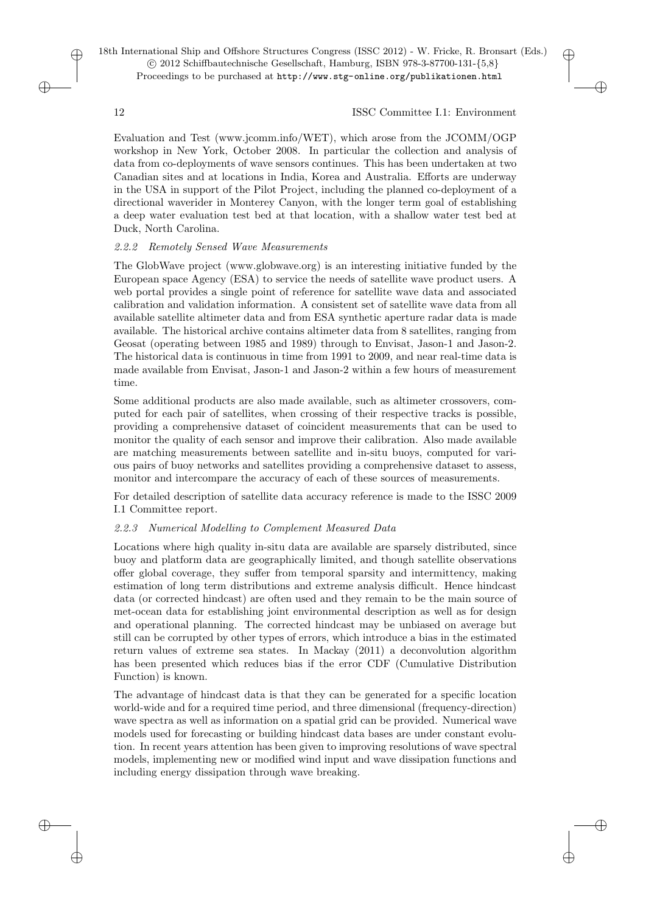✐

✐

✐

#### 12 ISSC Committee I.1: Environment

✐

✐

Evaluation and Test (www.jcomm.info/WET), which arose from the JCOMM/OGP workshop in New York, October 2008. In particular the collection and analysis of data from co-deployments of wave sensors continues. This has been undertaken at two Canadian sites and at locations in India, Korea and Australia. Efforts are underway in the USA in support of the Pilot Project, including the planned co-deployment of a directional waverider in Monterey Canyon, with the longer term goal of establishing a deep water evaluation test bed at that location, with a shallow water test bed at Duck, North Carolina.

#### 2.2.2 Remotely Sensed Wave Measurements

The GlobWave project (www.globwave.org) is an interesting initiative funded by the European space Agency (ESA) to service the needs of satellite wave product users. A web portal provides a single point of reference for satellite wave data and associated calibration and validation information. A consistent set of satellite wave data from all available satellite altimeter data and from ESA synthetic aperture radar data is made available. The historical archive contains altimeter data from 8 satellites, ranging from Geosat (operating between 1985 and 1989) through to Envisat, Jason-1 and Jason-2. The historical data is continuous in time from 1991 to 2009, and near real-time data is made available from Envisat, Jason-1 and Jason-2 within a few hours of measurement time.

Some additional products are also made available, such as altimeter crossovers, computed for each pair of satellites, when crossing of their respective tracks is possible, providing a comprehensive dataset of coincident measurements that can be used to monitor the quality of each sensor and improve their calibration. Also made available are matching measurements between satellite and in-situ buoys, computed for various pairs of buoy networks and satellites providing a comprehensive dataset to assess, monitor and intercompare the accuracy of each of these sources of measurements.

For detailed description of satellite data accuracy reference is made to the ISSC 2009 I.1 Committee report.

#### 2.2.3 Numerical Modelling to Complement Measured Data

Locations where high quality in-situ data are available are sparsely distributed, since buoy and platform data are geographically limited, and though satellite observations offer global coverage, they suffer from temporal sparsity and intermittency, making estimation of long term distributions and extreme analysis difficult. Hence hindcast data (or corrected hindcast) are often used and they remain to be the main source of met-ocean data for establishing joint environmental description as well as for design and operational planning. The corrected hindcast may be unbiased on average but still can be corrupted by other types of errors, which introduce a bias in the estimated return values of extreme sea states. In Mackay (2011) a deconvolution algorithm has been presented which reduces bias if the error CDF (Cumulative Distribution Function) is known.

The advantage of hindcast data is that they can be generated for a specific location world-wide and for a required time period, and three dimensional (frequency-direction) wave spectra as well as information on a spatial grid can be provided. Numerical wave models used for forecasting or building hindcast data bases are under constant evolution. In recent years attention has been given to improving resolutions of wave spectral models, implementing new or modified wind input and wave dissipation functions and including energy dissipation through wave breaking.

✐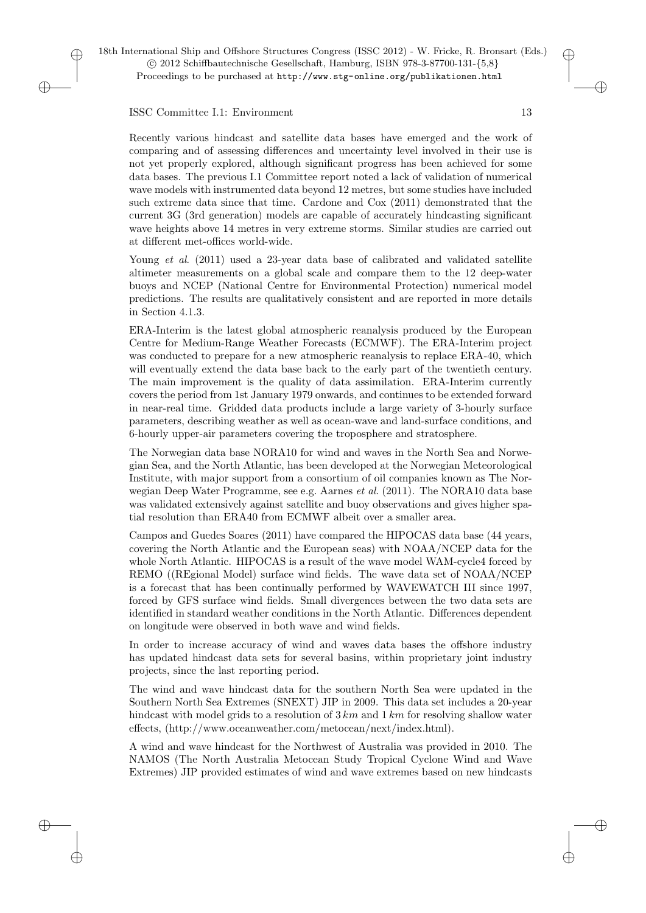## ISSC Committee I.1: Environment 13

✐

✐

✐

Recently various hindcast and satellite data bases have emerged and the work of comparing and of assessing differences and uncertainty level involved in their use is not yet properly explored, although significant progress has been achieved for some data bases. The previous I.1 Committee report noted a lack of validation of numerical wave models with instrumented data beyond 12 metres, but some studies have included such extreme data since that time. Cardone and Cox (2011) demonstrated that the current 3G (3rd generation) models are capable of accurately hindcasting significant wave heights above 14 metres in very extreme storms. Similar studies are carried out at different met-offices world-wide.

Young *et al.* (2011) used a 23-year data base of calibrated and validated satellite altimeter measurements on a global scale and compare them to the 12 deep-water buoys and NCEP (National Centre for Environmental Protection) numerical model predictions. The results are qualitatively consistent and are reported in more details in Section 4.1.3.

ERA-Interim is the latest global atmospheric reanalysis produced by the European Centre for Medium-Range Weather Forecasts (ECMWF). The ERA-Interim project was conducted to prepare for a new atmospheric reanalysis to replace ERA-40, which will eventually extend the data base back to the early part of the twentieth century. The main improvement is the quality of data assimilation. ERA-Interim currently covers the period from 1st January 1979 onwards, and continues to be extended forward in near-real time. Gridded data products include a large variety of 3-hourly surface parameters, describing weather as well as ocean-wave and land-surface conditions, and 6-hourly upper-air parameters covering the troposphere and stratosphere.

The Norwegian data base NORA10 for wind and waves in the North Sea and Norwegian Sea, and the North Atlantic, has been developed at the Norwegian Meteorological Institute, with major support from a consortium of oil companies known as The Norwegian Deep Water Programme, see e.g. Aarnes et al. (2011). The NORA10 data base was validated extensively against satellite and buoy observations and gives higher spatial resolution than ERA40 from ECMWF albeit over a smaller area.

Campos and Guedes Soares (2011) have compared the HIPOCAS data base (44 years, covering the North Atlantic and the European seas) with NOAA/NCEP data for the whole North Atlantic. HIPOCAS is a result of the wave model WAM-cycle4 forced by REMO ((REgional Model) surface wind fields. The wave data set of NOAA/NCEP is a forecast that has been continually performed by WAVEWATCH III since 1997, forced by GFS surface wind fields. Small divergences between the two data sets are identified in standard weather conditions in the North Atlantic. Differences dependent on longitude were observed in both wave and wind fields.

In order to increase accuracy of wind and waves data bases the offshore industry has updated hindcast data sets for several basins, within proprietary joint industry projects, since the last reporting period.

The wind and wave hindcast data for the southern North Sea were updated in the Southern North Sea Extremes (SNEXT) JIP in 2009. This data set includes a 20-year hindcast with model grids to a resolution of  $3 km$  and  $1 km$  for resolving shallow water effects, (http://www.oceanweather.com/metocean/next/index.html).

A wind and wave hindcast for the Northwest of Australia was provided in 2010. The NAMOS (The North Australia Metocean Study Tropical Cyclone Wind and Wave Extremes) JIP provided estimates of wind and wave extremes based on new hindcasts

✐

✐

✐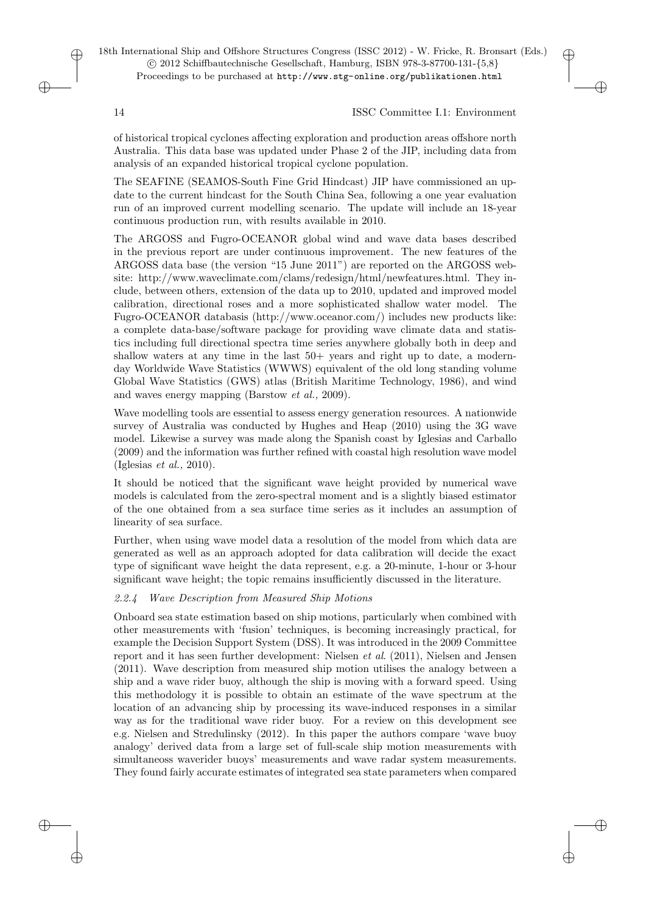#### 14 ISSC Committee I.1: Environment

✐

✐

✐

✐

of historical tropical cyclones affecting exploration and production areas offshore north Australia. This data base was updated under Phase 2 of the JIP, including data from analysis of an expanded historical tropical cyclone population.

The SEAFINE (SEAMOS-South Fine Grid Hindcast) JIP have commissioned an update to the current hindcast for the South China Sea, following a one year evaluation run of an improved current modelling scenario. The update will include an 18-year continuous production run, with results available in 2010.

The ARGOSS and Fugro-OCEANOR global wind and wave data bases described in the previous report are under continuous improvement. The new features of the ARGOSS data base (the version "15 June 2011") are reported on the ARGOSS website: http://www.waveclimate.com/clams/redesign/html/newfeatures.html. They include, between others, extension of the data up to 2010, updated and improved model calibration, directional roses and a more sophisticated shallow water model. The Fugro-OCEANOR databasis (http://www.oceanor.com/) includes new products like: a complete data-base/software package for providing wave climate data and statistics including full directional spectra time series anywhere globally both in deep and shallow waters at any time in the last  $50+$  years and right up to date, a modernday Worldwide Wave Statistics (WWWS) equivalent of the old long standing volume Global Wave Statistics (GWS) atlas (British Maritime Technology, 1986), and wind and waves energy mapping (Barstow et al., 2009).

Wave modelling tools are essential to assess energy generation resources. A nationwide survey of Australia was conducted by Hughes and Heap (2010) using the 3G wave model. Likewise a survey was made along the Spanish coast by Iglesias and Carballo (2009) and the information was further refined with coastal high resolution wave model (Iglesias et al., 2010).

It should be noticed that the significant wave height provided by numerical wave models is calculated from the zero-spectral moment and is a slightly biased estimator of the one obtained from a sea surface time series as it includes an assumption of linearity of sea surface.

Further, when using wave model data a resolution of the model from which data are generated as well as an approach adopted for data calibration will decide the exact type of significant wave height the data represent, e.g. a 20-minute, 1-hour or 3-hour significant wave height; the topic remains insufficiently discussed in the literature.

#### 2.2.4 Wave Description from Measured Ship Motions

Onboard sea state estimation based on ship motions, particularly when combined with other measurements with 'fusion' techniques, is becoming increasingly practical, for example the Decision Support System (DSS). It was introduced in the 2009 Committee report and it has seen further development: Nielsen et al. (2011), Nielsen and Jensen (2011). Wave description from measured ship motion utilises the analogy between a ship and a wave rider buoy, although the ship is moving with a forward speed. Using this methodology it is possible to obtain an estimate of the wave spectrum at the location of an advancing ship by processing its wave-induced responses in a similar way as for the traditional wave rider buoy. For a review on this development see e.g. Nielsen and Stredulinsky (2012). In this paper the authors compare 'wave buoy analogy' derived data from a large set of full-scale ship motion measurements with simultaneoss waverider buoys' measurements and wave radar system measurements. They found fairly accurate estimates of integrated sea state parameters when compared

✐

✐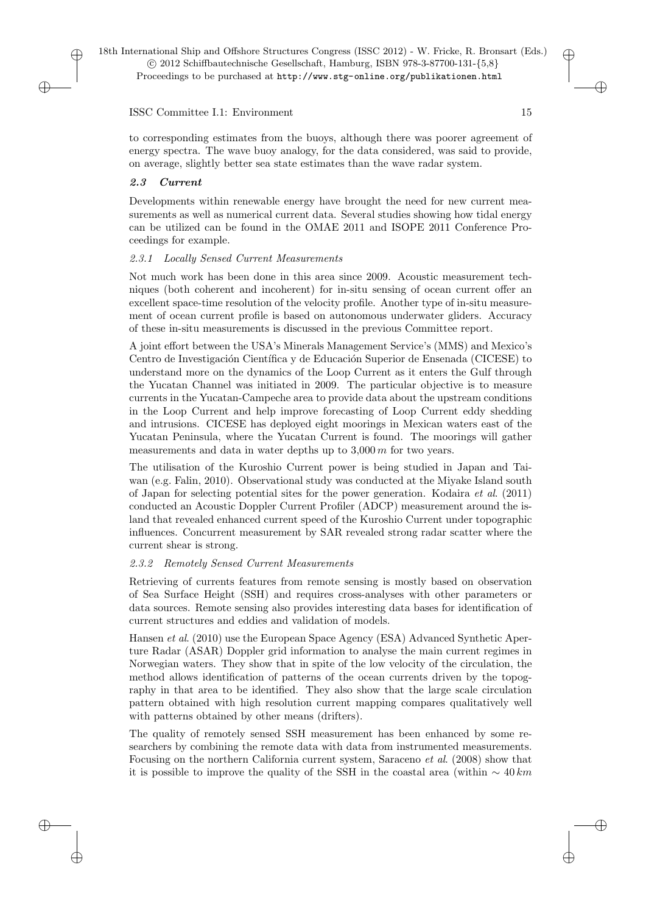### ISSC Committee I.1: Environment 15

to corresponding estimates from the buoys, although there was poorer agreement of energy spectra. The wave buoy analogy, for the data considered, was said to provide, on average, slightly better sea state estimates than the wave radar system.

#### 2.3 Current

 $\oplus$ 

✐

✐

Developments within renewable energy have brought the need for new current measurements as well as numerical current data. Several studies showing how tidal energy can be utilized can be found in the OMAE 2011 and ISOPE 2011 Conference Proceedings for example.

#### 2.3.1 Locally Sensed Current Measurements

Not much work has been done in this area since 2009. Acoustic measurement techniques (both coherent and incoherent) for in-situ sensing of ocean current offer an excellent space-time resolution of the velocity profile. Another type of in-situ measurement of ocean current profile is based on autonomous underwater gliders. Accuracy of these in-situ measurements is discussed in the previous Committee report.

A joint effort between the USA's Minerals Management Service's (MMS) and Mexico's Centro de Investigación Científica y de Educación Superior de Ensenada (CICESE) to understand more on the dynamics of the Loop Current as it enters the Gulf through the Yucatan Channel was initiated in 2009. The particular objective is to measure currents in the Yucatan-Campeche area to provide data about the upstream conditions in the Loop Current and help improve forecasting of Loop Current eddy shedding and intrusions. CICESE has deployed eight moorings in Mexican waters east of the Yucatan Peninsula, where the Yucatan Current is found. The moorings will gather measurements and data in water depths up to  $3,000\,m$  for two years.

The utilisation of the Kuroshio Current power is being studied in Japan and Taiwan (e.g. Falin, 2010). Observational study was conducted at the Miyake Island south of Japan for selecting potential sites for the power generation. Kodaira et al. (2011) conducted an Acoustic Doppler Current Profiler (ADCP) measurement around the island that revealed enhanced current speed of the Kuroshio Current under topographic influences. Concurrent measurement by SAR revealed strong radar scatter where the current shear is strong.

## 2.3.2 Remotely Sensed Current Measurements

Retrieving of currents features from remote sensing is mostly based on observation of Sea Surface Height (SSH) and requires cross-analyses with other parameters or data sources. Remote sensing also provides interesting data bases for identification of current structures and eddies and validation of models.

Hansen et al. (2010) use the European Space Agency (ESA) Advanced Synthetic Aperture Radar (ASAR) Doppler grid information to analyse the main current regimes in Norwegian waters. They show that in spite of the low velocity of the circulation, the method allows identification of patterns of the ocean currents driven by the topography in that area to be identified. They also show that the large scale circulation pattern obtained with high resolution current mapping compares qualitatively well with patterns obtained by other means (drifters).

The quality of remotely sensed SSH measurement has been enhanced by some researchers by combining the remote data with data from instrumented measurements. Focusing on the northern California current system, Saraceno et al. (2008) show that it is possible to improve the quality of the SSH in the coastal area (within  $\sim 40 \, km$ )

✐

✐

✐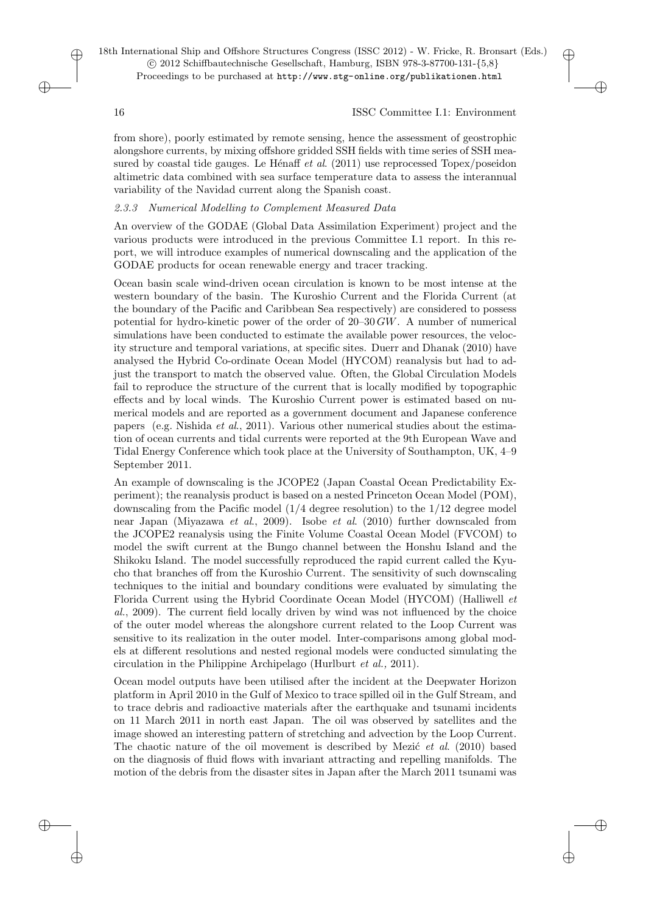#### 16 ISSC Committee I.1: Environment

✐

✐

✐

✐

from shore), poorly estimated by remote sensing, hence the assessment of geostrophic alongshore currents, by mixing offshore gridded SSH fields with time series of SSH measured by coastal tide gauges. Le Hénaff et al.  $(2011)$  use reprocessed Topex/poseidon altimetric data combined with sea surface temperature data to assess the interannual variability of the Navidad current along the Spanish coast.

## 2.3.3 Numerical Modelling to Complement Measured Data

An overview of the GODAE (Global Data Assimilation Experiment) project and the various products were introduced in the previous Committee I.1 report. In this report, we will introduce examples of numerical downscaling and the application of the GODAE products for ocean renewable energy and tracer tracking.

Ocean basin scale wind-driven ocean circulation is known to be most intense at the western boundary of the basin. The Kuroshio Current and the Florida Current (at the boundary of the Pacific and Caribbean Sea respectively) are considered to possess potential for hydro-kinetic power of the order of  $20-30$  GW. A number of numerical simulations have been conducted to estimate the available power resources, the velocity structure and temporal variations, at specific sites. Duerr and Dhanak (2010) have analysed the Hybrid Co-ordinate Ocean Model (HYCOM) reanalysis but had to adjust the transport to match the observed value. Often, the Global Circulation Models fail to reproduce the structure of the current that is locally modified by topographic effects and by local winds. The Kuroshio Current power is estimated based on numerical models and are reported as a government document and Japanese conference papers (e.g. Nishida et al., 2011). Various other numerical studies about the estimation of ocean currents and tidal currents were reported at the 9th European Wave and Tidal Energy Conference which took place at the University of Southampton, UK, 4–9 September 2011.

An example of downscaling is the JCOPE2 (Japan Coastal Ocean Predictability Experiment); the reanalysis product is based on a nested Princeton Ocean Model (POM), downscaling from the Pacific model (1/4 degree resolution) to the 1/12 degree model near Japan (Miyazawa et al., 2009). Isobe et al. (2010) further downscaled from the JCOPE2 reanalysis using the Finite Volume Coastal Ocean Model (FVCOM) to model the swift current at the Bungo channel between the Honshu Island and the Shikoku Island. The model successfully reproduced the rapid current called the Kyucho that branches off from the Kuroshio Current. The sensitivity of such downscaling techniques to the initial and boundary conditions were evaluated by simulating the Florida Current using the Hybrid Coordinate Ocean Model (HYCOM) (Halliwell et al., 2009). The current field locally driven by wind was not influenced by the choice of the outer model whereas the alongshore current related to the Loop Current was sensitive to its realization in the outer model. Inter-comparisons among global models at different resolutions and nested regional models were conducted simulating the circulation in the Philippine Archipelago (Hurlburt et al., 2011).

Ocean model outputs have been utilised after the incident at the Deepwater Horizon platform in April 2010 in the Gulf of Mexico to trace spilled oil in the Gulf Stream, and to trace debris and radioactive materials after the earthquake and tsunami incidents on 11 March 2011 in north east Japan. The oil was observed by satellites and the image showed an interesting pattern of stretching and advection by the Loop Current. The chaotic nature of the oil movement is described by Mezic  $et \ al.$  (2010) based on the diagnosis of fluid flows with invariant attracting and repelling manifolds. The motion of the debris from the disaster sites in Japan after the March 2011 tsunami was

 $\oplus$ 

✐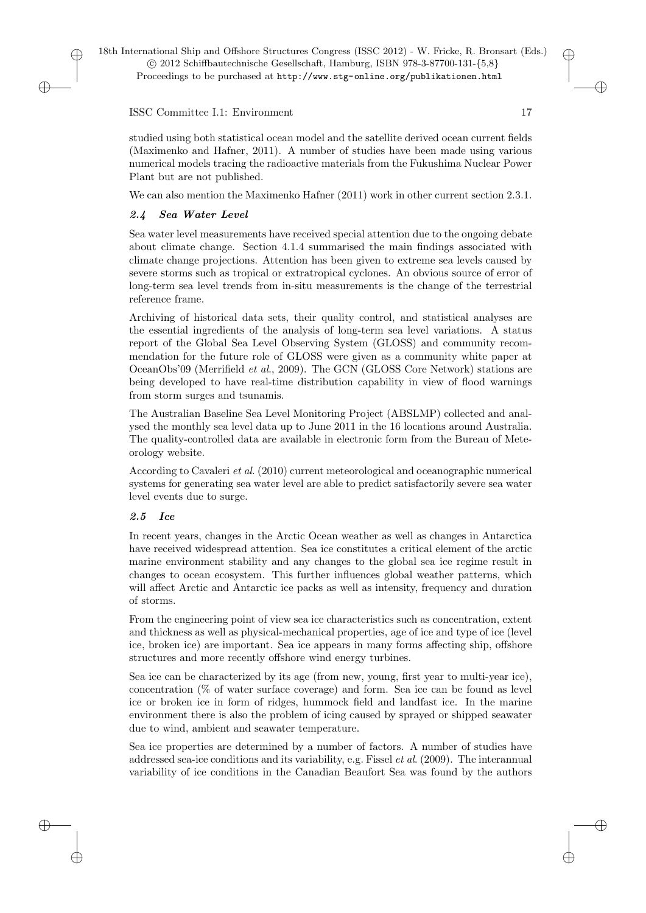## ISSC Committee I.1: Environment 17

studied using both statistical ocean model and the satellite derived ocean current fields (Maximenko and Hafner, 2011). A number of studies have been made using various numerical models tracing the radioactive materials from the Fukushima Nuclear Power Plant but are not published.

We can also mention the Maximenko Hafner (2011) work in other current section 2.3.1.

#### 2.4 Sea Water Level

 $\rightarrow$ 

✐

✐

Sea water level measurements have received special attention due to the ongoing debate about climate change. Section 4.1.4 summarised the main findings associated with climate change projections. Attention has been given to extreme sea levels caused by severe storms such as tropical or extratropical cyclones. An obvious source of error of long-term sea level trends from in-situ measurements is the change of the terrestrial reference frame.

Archiving of historical data sets, their quality control, and statistical analyses are the essential ingredients of the analysis of long-term sea level variations. A status report of the Global Sea Level Observing System (GLOSS) and community recommendation for the future role of GLOSS were given as a community white paper at OceanObs'09 (Merrifield et al., 2009). The GCN (GLOSS Core Network) stations are being developed to have real-time distribution capability in view of flood warnings from storm surges and tsunamis.

The Australian Baseline Sea Level Monitoring Project (ABSLMP) collected and analysed the monthly sea level data up to June 2011 in the 16 locations around Australia. The quality-controlled data are available in electronic form from the Bureau of Meteorology website.

According to Cavaleri et al. (2010) current meteorological and oceanographic numerical systems for generating sea water level are able to predict satisfactorily severe sea water level events due to surge.

#### 2.5 Ice

In recent years, changes in the Arctic Ocean weather as well as changes in Antarctica have received widespread attention. Sea ice constitutes a critical element of the arctic marine environment stability and any changes to the global sea ice regime result in changes to ocean ecosystem. This further influences global weather patterns, which will affect Arctic and Antarctic ice packs as well as intensity, frequency and duration of storms.

From the engineering point of view sea ice characteristics such as concentration, extent and thickness as well as physical-mechanical properties, age of ice and type of ice (level ice, broken ice) are important. Sea ice appears in many forms affecting ship, offshore structures and more recently offshore wind energy turbines.

Sea ice can be characterized by its age (from new, young, first year to multi-year ice), concentration (% of water surface coverage) and form. Sea ice can be found as level ice or broken ice in form of ridges, hummock field and landfast ice. In the marine environment there is also the problem of icing caused by sprayed or shipped seawater due to wind, ambient and seawater temperature.

Sea ice properties are determined by a number of factors. A number of studies have addressed sea-ice conditions and its variability, e.g. Fissel et al. (2009). The interannual variability of ice conditions in the Canadian Beaufort Sea was found by the authors

✐

✐

✐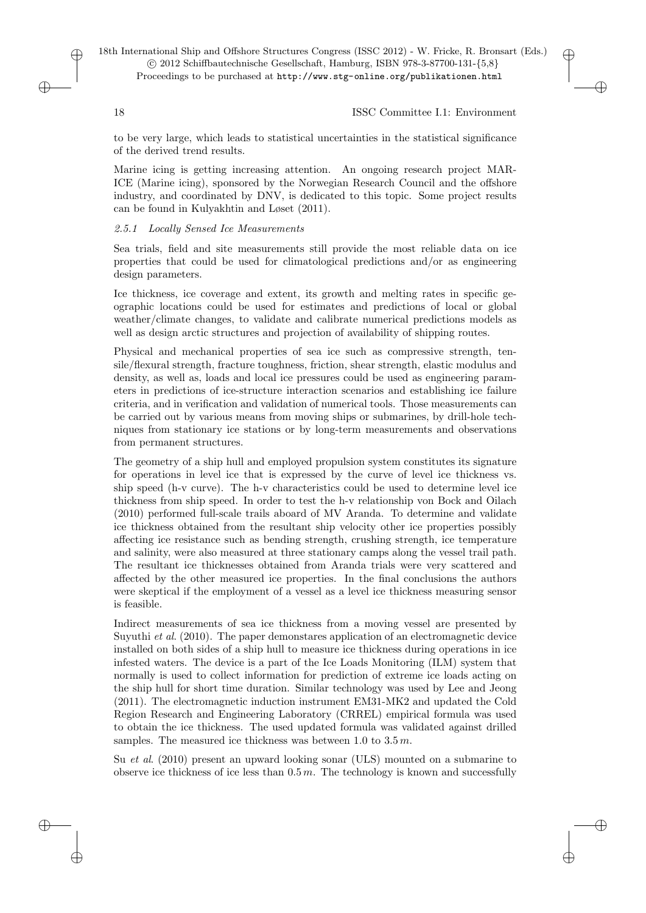#### 18 ISSC Committee I.1: Environment

✐

✐

✐

✐

to be very large, which leads to statistical uncertainties in the statistical significance of the derived trend results.

Marine icing is getting increasing attention. An ongoing research project MAR-ICE (Marine icing), sponsored by the Norwegian Research Council and the offshore industry, and coordinated by DNV, is dedicated to this topic. Some project results can be found in Kulyakhtin and Løset (2011).

#### 2.5.1 Locally Sensed Ice Measurements

Sea trials, field and site measurements still provide the most reliable data on ice properties that could be used for climatological predictions and/or as engineering design parameters.

Ice thickness, ice coverage and extent, its growth and melting rates in specific geographic locations could be used for estimates and predictions of local or global weather/climate changes, to validate and calibrate numerical predictions models as well as design arctic structures and projection of availability of shipping routes.

Physical and mechanical properties of sea ice such as compressive strength, tensile/flexural strength, fracture toughness, friction, shear strength, elastic modulus and density, as well as, loads and local ice pressures could be used as engineering parameters in predictions of ice-structure interaction scenarios and establishing ice failure criteria, and in verification and validation of numerical tools. Those measurements can be carried out by various means from moving ships or submarines, by drill-hole techniques from stationary ice stations or by long-term measurements and observations from permanent structures.

The geometry of a ship hull and employed propulsion system constitutes its signature for operations in level ice that is expressed by the curve of level ice thickness vs. ship speed (h-v curve). The h-v characteristics could be used to determine level ice thickness from ship speed. In order to test the h-v relationship von Bock and Oilach (2010) performed full-scale trails aboard of MV Aranda. To determine and validate ice thickness obtained from the resultant ship velocity other ice properties possibly affecting ice resistance such as bending strength, crushing strength, ice temperature and salinity, were also measured at three stationary camps along the vessel trail path. The resultant ice thicknesses obtained from Aranda trials were very scattered and affected by the other measured ice properties. In the final conclusions the authors were skeptical if the employment of a vessel as a level ice thickness measuring sensor is feasible.

Indirect measurements of sea ice thickness from a moving vessel are presented by Suyuthi *et al.* (2010). The paper demonstares application of an electromagnetic device installed on both sides of a ship hull to measure ice thickness during operations in ice infested waters. The device is a part of the Ice Loads Monitoring (ILM) system that normally is used to collect information for prediction of extreme ice loads acting on the ship hull for short time duration. Similar technology was used by Lee and Jeong (2011). The electromagnetic induction instrument EM31-MK2 and updated the Cold Region Research and Engineering Laboratory (CRREL) empirical formula was used to obtain the ice thickness. The used updated formula was validated against drilled samples. The measured ice thickness was between 1.0 to  $3.5 m$ .

Su et al. (2010) present an upward looking sonar (ULS) mounted on a submarine to observe ice thickness of ice less than  $0.5 m$ . The technology is known and successfully

 $\rightarrow$ 

✐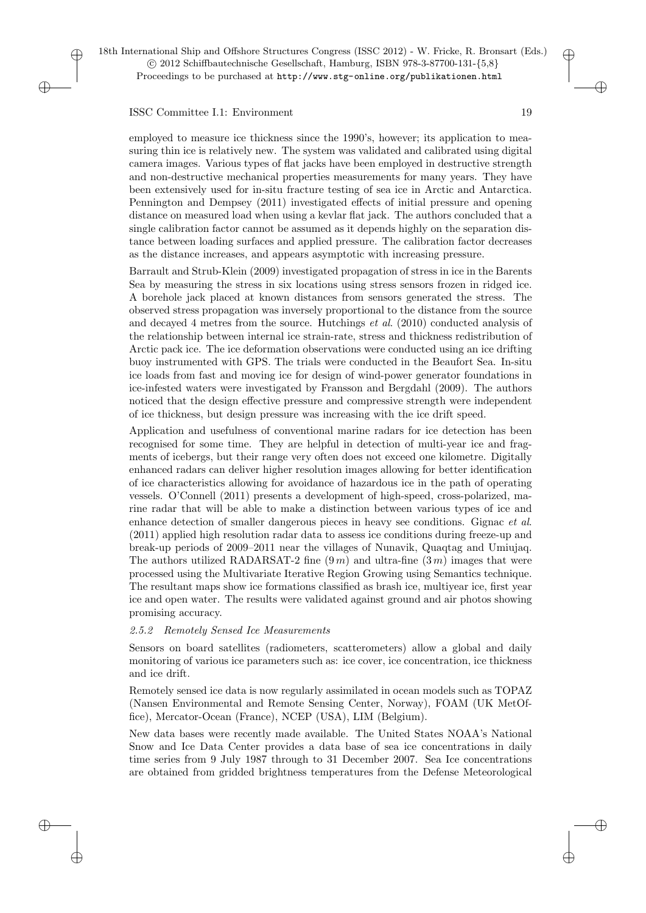### ISSC Committee I.1: Environment 19

✐

✐

✐

employed to measure ice thickness since the 1990's, however; its application to measuring thin ice is relatively new. The system was validated and calibrated using digital camera images. Various types of flat jacks have been employed in destructive strength and non-destructive mechanical properties measurements for many years. They have been extensively used for in-situ fracture testing of sea ice in Arctic and Antarctica. Pennington and Dempsey (2011) investigated effects of initial pressure and opening distance on measured load when using a kevlar flat jack. The authors concluded that a single calibration factor cannot be assumed as it depends highly on the separation distance between loading surfaces and applied pressure. The calibration factor decreases as the distance increases, and appears asymptotic with increasing pressure.

Barrault and Strub-Klein (2009) investigated propagation of stress in ice in the Barents Sea by measuring the stress in six locations using stress sensors frozen in ridged ice. A borehole jack placed at known distances from sensors generated the stress. The observed stress propagation was inversely proportional to the distance from the source and decayed 4 metres from the source. Hutchings et al. (2010) conducted analysis of the relationship between internal ice strain-rate, stress and thickness redistribution of Arctic pack ice. The ice deformation observations were conducted using an ice drifting buoy instrumented with GPS. The trials were conducted in the Beaufort Sea. In-situ ice loads from fast and moving ice for design of wind-power generator foundations in ice-infested waters were investigated by Fransson and Bergdahl (2009). The authors noticed that the design effective pressure and compressive strength were independent of ice thickness, but design pressure was increasing with the ice drift speed.

Application and usefulness of conventional marine radars for ice detection has been recognised for some time. They are helpful in detection of multi-year ice and fragments of icebergs, but their range very often does not exceed one kilometre. Digitally enhanced radars can deliver higher resolution images allowing for better identification of ice characteristics allowing for avoidance of hazardous ice in the path of operating vessels. O'Connell (2011) presents a development of high-speed, cross-polarized, marine radar that will be able to make a distinction between various types of ice and enhance detection of smaller dangerous pieces in heavy see conditions. Gignac *et al.* (2011) applied high resolution radar data to assess ice conditions during freeze-up and break-up periods of 2009–2011 near the villages of Nunavik, Quaqtag and Umiujaq. The authors utilized RADARSAT-2 fine  $(9 \, m)$  and ultra-fine  $(3 \, m)$  images that were processed using the Multivariate Iterative Region Growing using Semantics technique. The resultant maps show ice formations classified as brash ice, multiyear ice, first year ice and open water. The results were validated against ground and air photos showing promising accuracy.

#### 2.5.2 Remotely Sensed Ice Measurements

Sensors on board satellites (radiometers, scatterometers) allow a global and daily monitoring of various ice parameters such as: ice cover, ice concentration, ice thickness and ice drift.

Remotely sensed ice data is now regularly assimilated in ocean models such as TOPAZ (Nansen Environmental and Remote Sensing Center, Norway), FOAM (UK MetOffice), Mercator-Ocean (France), NCEP (USA), LIM (Belgium).

New data bases were recently made available. The United States NOAA's National Snow and Ice Data Center provides a data base of sea ice concentrations in daily time series from 9 July 1987 through to 31 December 2007. Sea Ice concentrations are obtained from gridded brightness temperatures from the Defense Meteorological

✐

✐

✐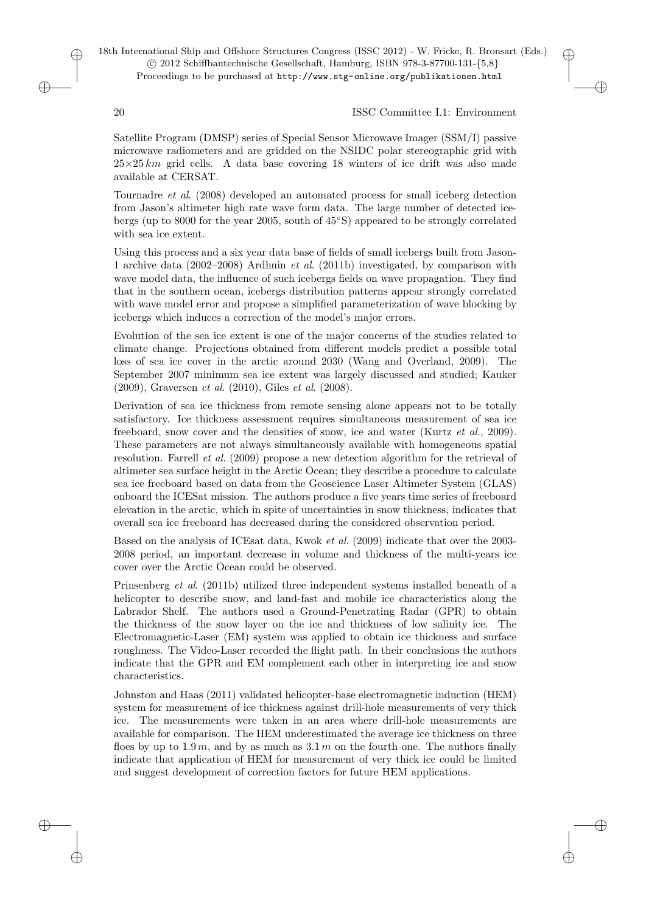#### 20 ISSC Committee I.1: Environment

✐

✐

✐

✐

Satellite Program (DMSP) series of Special Sensor Microwave Imager (SSM/I) passive microwave radiometers and are gridded on the NSIDC polar stereographic grid with  $25\times25\,km$  grid cells. A data base covering 18 winters of ice drift was also made available at CERSAT.

Tournadre et al. (2008) developed an automated process for small iceberg detection from Jason's altimeter high rate wave form data. The large number of detected icebergs (up to 8000 for the year 2005, south of 45◦S) appeared to be strongly correlated with sea ice extent.

Using this process and a six year data base of fields of small icebergs built from Jason-1 archive data (2002–2008) Ardhuin et al. (2011b) investigated, by comparison with wave model data, the influence of such icebergs fields on wave propagation. They find that in the southern ocean, icebergs distribution patterns appear strongly correlated with wave model error and propose a simplified parameterization of wave blocking by icebergs which induces a correction of the model's major errors.

Evolution of the sea ice extent is one of the major concerns of the studies related to climate change. Projections obtained from different models predict a possible total loss of sea ice cover in the arctic around 2030 (Wang and Overland, 2009). The September 2007 minimum sea ice extent was largely discussed and studied; Kauker (2009), Graversen et al. (2010), Giles et al. (2008).

Derivation of sea ice thickness from remote sensing alone appears not to be totally satisfactory. Ice thickness assessment requires simultaneous measurement of sea ice freeboard, snow cover and the densities of snow, ice and water (Kurtz et al., 2009). These parameters are not always simultaneously available with homogeneous spatial resolution. Farrell et al. (2009) propose a new detection algorithm for the retrieval of altimeter sea surface height in the Arctic Ocean; they describe a procedure to calculate sea ice freeboard based on data from the Geoscience Laser Altimeter System (GLAS) onboard the ICESat mission. The authors produce a five years time series of freeboard elevation in the arctic, which in spite of uncertainties in snow thickness, indicates that overall sea ice freeboard has decreased during the considered observation period.

Based on the analysis of ICEsat data, Kwok et al. (2009) indicate that over the 2003- 2008 period, an important decrease in volume and thickness of the multi-years ice cover over the Arctic Ocean could be observed.

Prinsenberg et al. (2011b) utilized three independent systems installed beneath of a helicopter to describe snow, and land-fast and mobile ice characteristics along the Labrador Shelf. The authors used a Ground-Penetrating Radar (GPR) to obtain the thickness of the snow layer on the ice and thickness of low salinity ice. The Electromagnetic-Laser (EM) system was applied to obtain ice thickness and surface roughness. The Video-Laser recorded the flight path. In their conclusions the authors indicate that the GPR and EM complement each other in interpreting ice and snow characteristics.

Johnston and Haas (2011) validated helicopter-base electromagnetic induction (HEM) system for measurement of ice thickness against drill-hole measurements of very thick ice. The measurements were taken in an area where drill-hole measurements are available for comparison. The HEM underestimated the average ice thickness on three floes by up to  $1.9 \, m$ , and by as much as  $3.1 \, m$  on the fourth one. The authors finally indicate that application of HEM for measurement of very thick ice could be limited and suggest development of correction factors for future HEM applications.

 $\rightarrow$ 

✐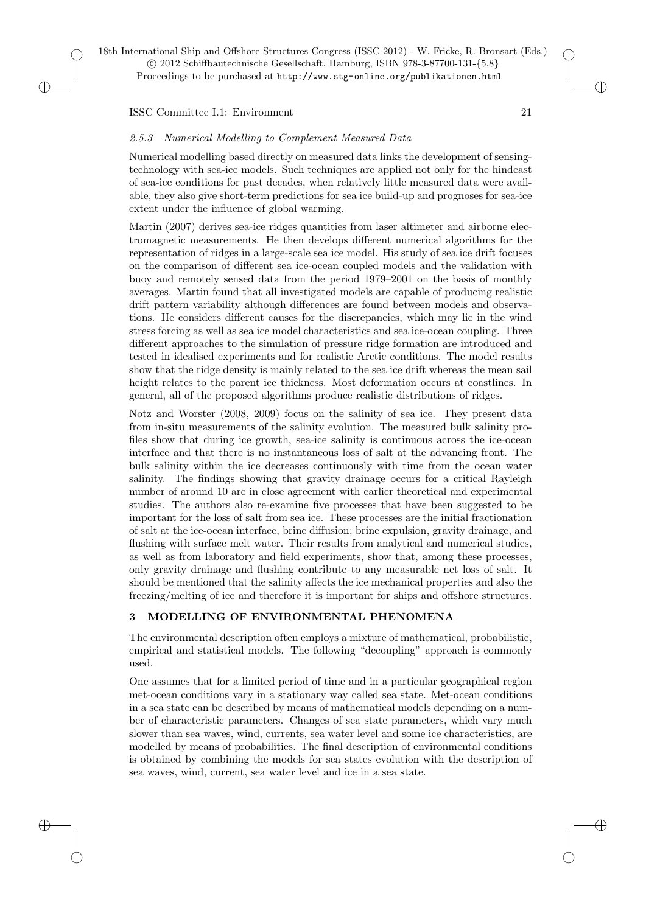#### ISSC Committee I.1: Environment 21

✐

✐

✐

✐

✐

✐

✐

## 2.5.3 Numerical Modelling to Complement Measured Data

Numerical modelling based directly on measured data links the development of sensingtechnology with sea-ice models. Such techniques are applied not only for the hindcast of sea-ice conditions for past decades, when relatively little measured data were available, they also give short-term predictions for sea ice build-up and prognoses for sea-ice extent under the influence of global warming.

Martin (2007) derives sea-ice ridges quantities from laser altimeter and airborne electromagnetic measurements. He then develops different numerical algorithms for the representation of ridges in a large-scale sea ice model. His study of sea ice drift focuses on the comparison of different sea ice-ocean coupled models and the validation with buoy and remotely sensed data from the period 1979–2001 on the basis of monthly averages. Martin found that all investigated models are capable of producing realistic drift pattern variability although differences are found between models and observations. He considers different causes for the discrepancies, which may lie in the wind stress forcing as well as sea ice model characteristics and sea ice-ocean coupling. Three different approaches to the simulation of pressure ridge formation are introduced and tested in idealised experiments and for realistic Arctic conditions. The model results show that the ridge density is mainly related to the sea ice drift whereas the mean sail height relates to the parent ice thickness. Most deformation occurs at coastlines. In general, all of the proposed algorithms produce realistic distributions of ridges.

Notz and Worster (2008, 2009) focus on the salinity of sea ice. They present data from in-situ measurements of the salinity evolution. The measured bulk salinity profiles show that during ice growth, sea-ice salinity is continuous across the ice-ocean interface and that there is no instantaneous loss of salt at the advancing front. The bulk salinity within the ice decreases continuously with time from the ocean water salinity. The findings showing that gravity drainage occurs for a critical Rayleigh number of around 10 are in close agreement with earlier theoretical and experimental studies. The authors also re-examine five processes that have been suggested to be important for the loss of salt from sea ice. These processes are the initial fractionation of salt at the ice-ocean interface, brine diffusion; brine expulsion, gravity drainage, and flushing with surface melt water. Their results from analytical and numerical studies, as well as from laboratory and field experiments, show that, among these processes, only gravity drainage and flushing contribute to any measurable net loss of salt. It should be mentioned that the salinity affects the ice mechanical properties and also the freezing/melting of ice and therefore it is important for ships and offshore structures.

#### 3 MODELLING OF ENVIRONMENTAL PHENOMENA

The environmental description often employs a mixture of mathematical, probabilistic, empirical and statistical models. The following "decoupling" approach is commonly used.

One assumes that for a limited period of time and in a particular geographical region met-ocean conditions vary in a stationary way called sea state. Met-ocean conditions in a sea state can be described by means of mathematical models depending on a number of characteristic parameters. Changes of sea state parameters, which vary much slower than sea waves, wind, currents, sea water level and some ice characteristics, are modelled by means of probabilities. The final description of environmental conditions is obtained by combining the models for sea states evolution with the description of sea waves, wind, current, sea water level and ice in a sea state.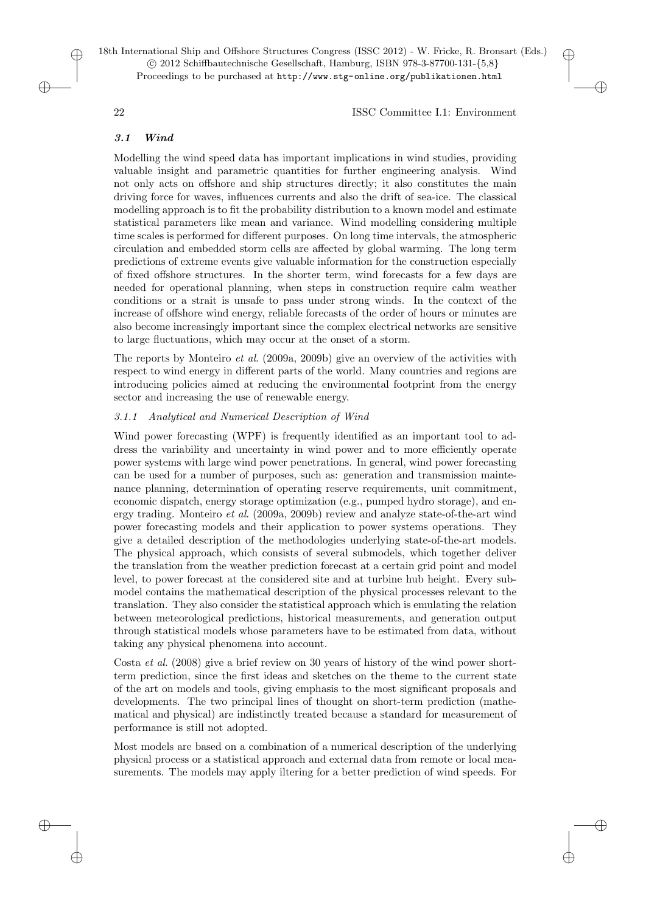22 ISSC Committee I.1: Environment

✐

✐

✐

✐

## 3.1 Wind

✐

✐

✐

Modelling the wind speed data has important implications in wind studies, providing valuable insight and parametric quantities for further engineering analysis. Wind not only acts on offshore and ship structures directly; it also constitutes the main driving force for waves, influences currents and also the drift of sea-ice. The classical modelling approach is to fit the probability distribution to a known model and estimate statistical parameters like mean and variance. Wind modelling considering multiple time scales is performed for different purposes. On long time intervals, the atmospheric circulation and embedded storm cells are affected by global warming. The long term predictions of extreme events give valuable information for the construction especially of fixed offshore structures. In the shorter term, wind forecasts for a few days are needed for operational planning, when steps in construction require calm weather conditions or a strait is unsafe to pass under strong winds. In the context of the increase of offshore wind energy, reliable forecasts of the order of hours or minutes are also become increasingly important since the complex electrical networks are sensitive to large fluctuations, which may occur at the onset of a storm.

The reports by Monteiro et al. (2009a, 2009b) give an overview of the activities with respect to wind energy in different parts of the world. Many countries and regions are introducing policies aimed at reducing the environmental footprint from the energy sector and increasing the use of renewable energy.

## 3.1.1 Analytical and Numerical Description of Wind

Wind power forecasting (WPF) is frequently identified as an important tool to address the variability and uncertainty in wind power and to more efficiently operate power systems with large wind power penetrations. In general, wind power forecasting can be used for a number of purposes, such as: generation and transmission maintenance planning, determination of operating reserve requirements, unit commitment, economic dispatch, energy storage optimization (e.g., pumped hydro storage), and energy trading. Monteiro et al. (2009a, 2009b) review and analyze state-of-the-art wind power forecasting models and their application to power systems operations. They give a detailed description of the methodologies underlying state-of-the-art models. The physical approach, which consists of several submodels, which together deliver the translation from the weather prediction forecast at a certain grid point and model level, to power forecast at the considered site and at turbine hub height. Every submodel contains the mathematical description of the physical processes relevant to the translation. They also consider the statistical approach which is emulating the relation between meteorological predictions, historical measurements, and generation output through statistical models whose parameters have to be estimated from data, without taking any physical phenomena into account.

Costa et al. (2008) give a brief review on 30 years of history of the wind power shortterm prediction, since the first ideas and sketches on the theme to the current state of the art on models and tools, giving emphasis to the most significant proposals and developments. The two principal lines of thought on short-term prediction (mathematical and physical) are indistinctly treated because a standard for measurement of performance is still not adopted.

Most models are based on a combination of a numerical description of the underlying physical process or a statistical approach and external data from remote or local measurements. The models may apply iltering for a better prediction of wind speeds. For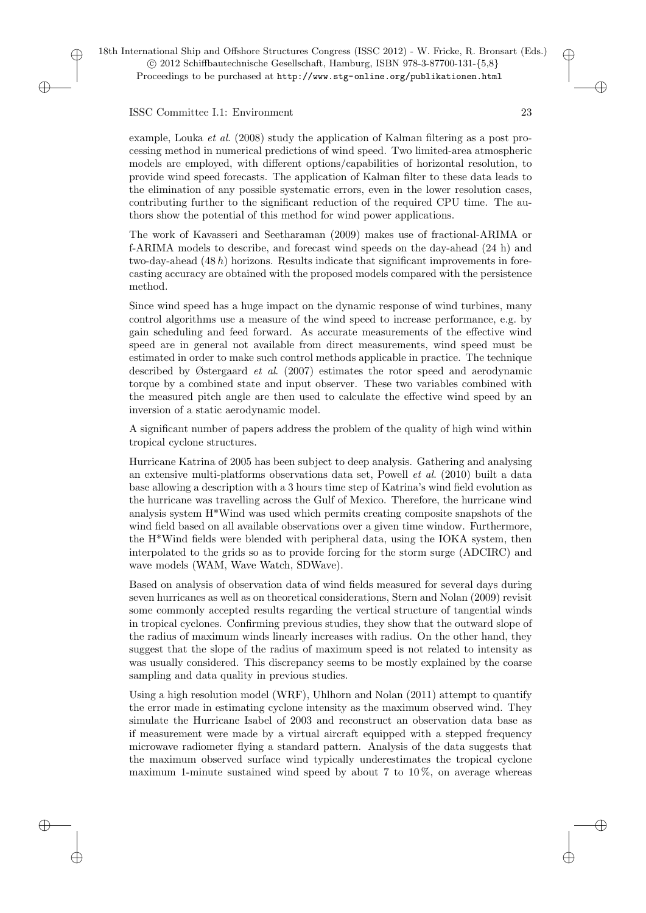### ISSC Committee I.1: Environment 23

✐

✐

✐

example, Louka et al. (2008) study the application of Kalman filtering as a post processing method in numerical predictions of wind speed. Two limited-area atmospheric models are employed, with different options/capabilities of horizontal resolution, to provide wind speed forecasts. The application of Kalman filter to these data leads to the elimination of any possible systematic errors, even in the lower resolution cases, contributing further to the significant reduction of the required CPU time. The authors show the potential of this method for wind power applications.

The work of Kavasseri and Seetharaman (2009) makes use of fractional-ARIMA or f-ARIMA models to describe, and forecast wind speeds on the day-ahead (24 h) and two-day-ahead (48 h) horizons. Results indicate that significant improvements in forecasting accuracy are obtained with the proposed models compared with the persistence method.

Since wind speed has a huge impact on the dynamic response of wind turbines, many control algorithms use a measure of the wind speed to increase performance, e.g. by gain scheduling and feed forward. As accurate measurements of the effective wind speed are in general not available from direct measurements, wind speed must be estimated in order to make such control methods applicable in practice. The technique described by Østergaard et al. (2007) estimates the rotor speed and aerodynamic torque by a combined state and input observer. These two variables combined with the measured pitch angle are then used to calculate the effective wind speed by an inversion of a static aerodynamic model.

A significant number of papers address the problem of the quality of high wind within tropical cyclone structures.

Hurricane Katrina of 2005 has been subject to deep analysis. Gathering and analysing an extensive multi-platforms observations data set, Powell et al. (2010) built a data base allowing a description with a 3 hours time step of Katrina's wind field evolution as the hurricane was travelling across the Gulf of Mexico. Therefore, the hurricane wind analysis system H\*Wind was used which permits creating composite snapshots of the wind field based on all available observations over a given time window. Furthermore, the H\*Wind fields were blended with peripheral data, using the IOKA system, then interpolated to the grids so as to provide forcing for the storm surge (ADCIRC) and wave models (WAM, Wave Watch, SDWave).

Based on analysis of observation data of wind fields measured for several days during seven hurricanes as well as on theoretical considerations, Stern and Nolan (2009) revisit some commonly accepted results regarding the vertical structure of tangential winds in tropical cyclones. Confirming previous studies, they show that the outward slope of the radius of maximum winds linearly increases with radius. On the other hand, they suggest that the slope of the radius of maximum speed is not related to intensity as was usually considered. This discrepancy seems to be mostly explained by the coarse sampling and data quality in previous studies.

Using a high resolution model (WRF), Uhlhorn and Nolan (2011) attempt to quantify the error made in estimating cyclone intensity as the maximum observed wind. They simulate the Hurricane Isabel of 2003 and reconstruct an observation data base as if measurement were made by a virtual aircraft equipped with a stepped frequency microwave radiometer flying a standard pattern. Analysis of the data suggests that the maximum observed surface wind typically underestimates the tropical cyclone maximum 1-minute sustained wind speed by about 7 to  $10\%$ , on average whereas

✐

✐

✐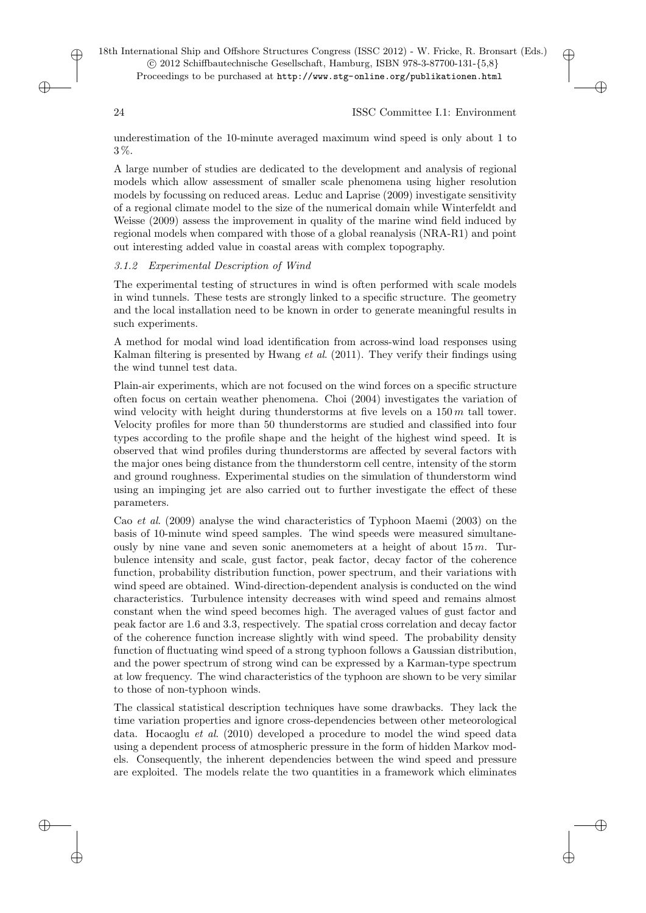#### 24 ISSC Committee I.1: Environment

✐

✐

✐

✐

underestimation of the 10-minute averaged maximum wind speed is only about 1 to 3 %.

A large number of studies are dedicated to the development and analysis of regional models which allow assessment of smaller scale phenomena using higher resolution models by focussing on reduced areas. Leduc and Laprise (2009) investigate sensitivity of a regional climate model to the size of the numerical domain while Winterfeldt and Weisse (2009) assess the improvement in quality of the marine wind field induced by regional models when compared with those of a global reanalysis (NRA-R1) and point out interesting added value in coastal areas with complex topography.

#### 3.1.2 Experimental Description of Wind

The experimental testing of structures in wind is often performed with scale models in wind tunnels. These tests are strongly linked to a specific structure. The geometry and the local installation need to be known in order to generate meaningful results in such experiments.

A method for modal wind load identification from across-wind load responses using Kalman filtering is presented by Hwang *et al.* (2011). They verify their findings using the wind tunnel test data.

Plain-air experiments, which are not focused on the wind forces on a specific structure often focus on certain weather phenomena. Choi (2004) investigates the variation of wind velocity with height during thunderstorms at five levels on a  $150 m$  tall tower. Velocity profiles for more than 50 thunderstorms are studied and classified into four types according to the profile shape and the height of the highest wind speed. It is observed that wind profiles during thunderstorms are affected by several factors with the major ones being distance from the thunderstorm cell centre, intensity of the storm and ground roughness. Experimental studies on the simulation of thunderstorm wind using an impinging jet are also carried out to further investigate the effect of these parameters.

Cao et al. (2009) analyse the wind characteristics of Typhoon Maemi (2003) on the basis of 10-minute wind speed samples. The wind speeds were measured simultaneously by nine vane and seven sonic anemometers at a height of about  $15 m$ . Turbulence intensity and scale, gust factor, peak factor, decay factor of the coherence function, probability distribution function, power spectrum, and their variations with wind speed are obtained. Wind-direction-dependent analysis is conducted on the wind characteristics. Turbulence intensity decreases with wind speed and remains almost constant when the wind speed becomes high. The averaged values of gust factor and peak factor are 1.6 and 3.3, respectively. The spatial cross correlation and decay factor of the coherence function increase slightly with wind speed. The probability density function of fluctuating wind speed of a strong typhoon follows a Gaussian distribution, and the power spectrum of strong wind can be expressed by a Karman-type spectrum at low frequency. The wind characteristics of the typhoon are shown to be very similar to those of non-typhoon winds.

The classical statistical description techniques have some drawbacks. They lack the time variation properties and ignore cross-dependencies between other meteorological data. Hocaoglu et al. (2010) developed a procedure to model the wind speed data using a dependent process of atmospheric pressure in the form of hidden Markov models. Consequently, the inherent dependencies between the wind speed and pressure are exploited. The models relate the two quantities in a framework which eliminates

 $\rightarrow$ 

✐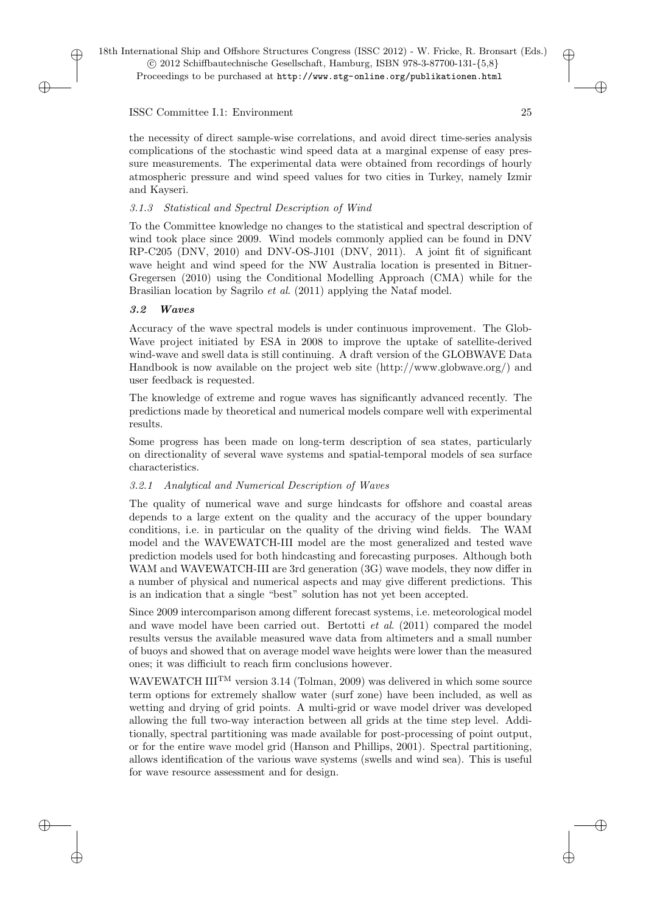## ISSC Committee I.1: Environment 25

the necessity of direct sample-wise correlations, and avoid direct time-series analysis complications of the stochastic wind speed data at a marginal expense of easy pressure measurements. The experimental data were obtained from recordings of hourly atmospheric pressure and wind speed values for two cities in Turkey, namely Izmir and Kayseri.

## 3.1.3 Statistical and Spectral Description of Wind

To the Committee knowledge no changes to the statistical and spectral description of wind took place since 2009. Wind models commonly applied can be found in DNV RP-C205 (DNV, 2010) and DNV-OS-J101 (DNV, 2011). A joint fit of significant wave height and wind speed for the NW Australia location is presented in Bitner-Gregersen (2010) using the Conditional Modelling Approach (CMA) while for the Brasilian location by Sagrilo *et al.* (2011) applying the Nataf model.

#### 3.2 Waves

✐

✐

✐

Accuracy of the wave spectral models is under continuous improvement. The Glob-Wave project initiated by ESA in 2008 to improve the uptake of satellite-derived wind-wave and swell data is still continuing. A draft version of the GLOBWAVE Data Handbook is now available on the project web site (http://www.globwave.org/) and user feedback is requested.

The knowledge of extreme and rogue waves has significantly advanced recently. The predictions made by theoretical and numerical models compare well with experimental results.

Some progress has been made on long-term description of sea states, particularly on directionality of several wave systems and spatial-temporal models of sea surface characteristics.

#### 3.2.1 Analytical and Numerical Description of Waves

The quality of numerical wave and surge hindcasts for offshore and coastal areas depends to a large extent on the quality and the accuracy of the upper boundary conditions, i.e. in particular on the quality of the driving wind fields. The WAM model and the WAVEWATCH-III model are the most generalized and tested wave prediction models used for both hindcasting and forecasting purposes. Although both WAM and WAVEWATCH-III are 3rd generation (3G) wave models, they now differ in a number of physical and numerical aspects and may give different predictions. This is an indication that a single "best" solution has not yet been accepted.

Since 2009 intercomparison among different forecast systems, i.e. meteorological model and wave model have been carried out. Bertotti et al. (2011) compared the model results versus the available measured wave data from altimeters and a small number of buoys and showed that on average model wave heights were lower than the measured ones; it was difficiult to reach firm conclusions however.

WAVEWATCH III<sup>TM</sup> version 3.14 (Tolman, 2009) was delivered in which some source term options for extremely shallow water (surf zone) have been included, as well as wetting and drying of grid points. A multi-grid or wave model driver was developed allowing the full two-way interaction between all grids at the time step level. Additionally, spectral partitioning was made available for post-processing of point output, or for the entire wave model grid (Hanson and Phillips, 2001). Spectral partitioning, allows identification of the various wave systems (swells and wind sea). This is useful for wave resource assessment and for design.

✐

✐

✐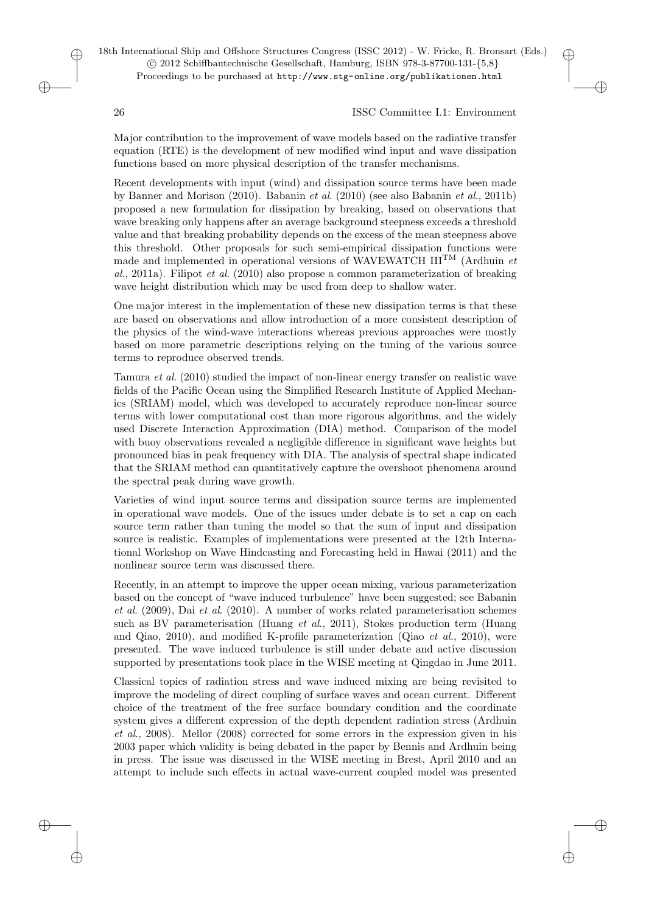#### 26 ISSC Committee I.1: Environment

✐

✐

✐

✐

Major contribution to the improvement of wave models based on the radiative transfer equation (RTE) is the development of new modified wind input and wave dissipation functions based on more physical description of the transfer mechanisms.

Recent developments with input (wind) and dissipation source terms have been made by Banner and Morison (2010). Babanin et al. (2010) (see also Babanin et al., 2011b) proposed a new formulation for dissipation by breaking, based on observations that wave breaking only happens after an average background steepness exceeds a threshold value and that breaking probability depends on the excess of the mean steepness above this threshold. Other proposals for such semi-empirical dissipation functions were made and implemented in operational versions of WAVEWATCH III<sup>TM</sup> (Ardhuin  $et$ al., 2011a). Filipot et al. (2010) also propose a common parameterization of breaking wave height distribution which may be used from deep to shallow water.

One major interest in the implementation of these new dissipation terms is that these are based on observations and allow introduction of a more consistent description of the physics of the wind-wave interactions whereas previous approaches were mostly based on more parametric descriptions relying on the tuning of the various source terms to reproduce observed trends.

Tamura et al. (2010) studied the impact of non-linear energy transfer on realistic wave fields of the Pacific Ocean using the Simplified Research Institute of Applied Mechanics (SRIAM) model, which was developed to accurately reproduce non-linear source terms with lower computational cost than more rigorous algorithms, and the widely used Discrete Interaction Approximation (DIA) method. Comparison of the model with buoy observations revealed a negligible difference in significant wave heights but pronounced bias in peak frequency with DIA. The analysis of spectral shape indicated that the SRIAM method can quantitatively capture the overshoot phenomena around the spectral peak during wave growth.

Varieties of wind input source terms and dissipation source terms are implemented in operational wave models. One of the issues under debate is to set a cap on each source term rather than tuning the model so that the sum of input and dissipation source is realistic. Examples of implementations were presented at the 12th International Workshop on Wave Hindcasting and Forecasting held in Hawai (2011) and the nonlinear source term was discussed there.

Recently, in an attempt to improve the upper ocean mixing, various parameterization based on the concept of "wave induced turbulence" have been suggested; see Babanin et al. (2009), Dai et al. (2010). A number of works related parameterisation schemes such as BV parameterisation (Huang *et al.*, 2011), Stokes production term (Huang and Qiao, 2010), and modified K-profile parameterization (Qiao *et al.*, 2010), were presented. The wave induced turbulence is still under debate and active discussion supported by presentations took place in the WISE meeting at Qingdao in June 2011.

Classical topics of radiation stress and wave induced mixing are being revisited to improve the modeling of direct coupling of surface waves and ocean current. Different choice of the treatment of the free surface boundary condition and the coordinate system gives a different expression of the depth dependent radiation stress (Ardhuin et al., 2008). Mellor (2008) corrected for some errors in the expression given in his 2003 paper which validity is being debated in the paper by Bennis and Ardhuin being in press. The issue was discussed in the WISE meeting in Brest, April 2010 and an attempt to include such effects in actual wave-current coupled model was presented

✐

✐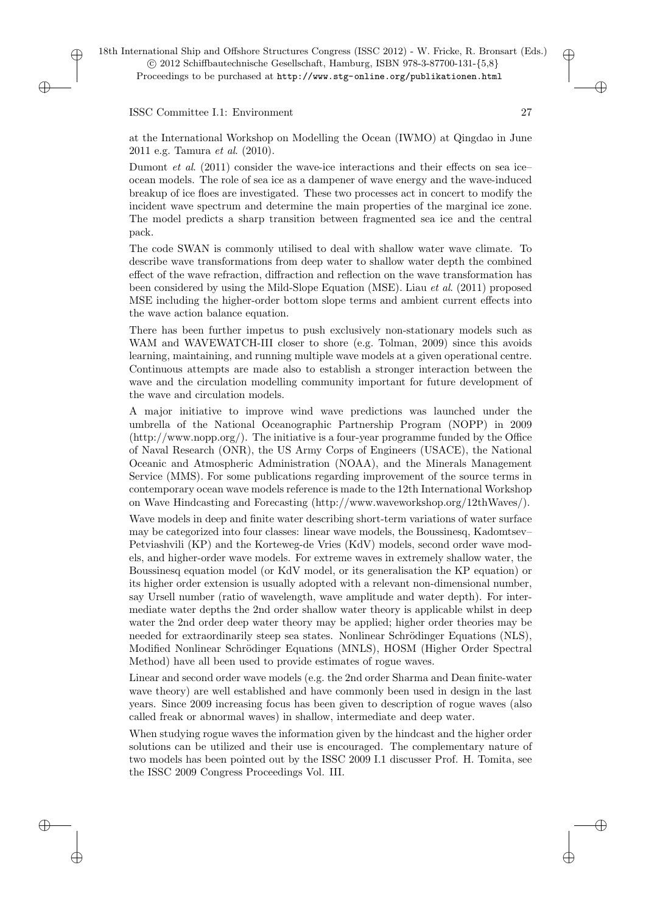ISSC Committee I.1: Environment 27

 $\oplus$ 

✐

✐

✐

✐

✐

✐

at the International Workshop on Modelling the Ocean (IWMO) at Qingdao in June 2011 e.g. Tamura et al. (2010).

Dumont et al. (2011) consider the wave-ice interactions and their effects on sea ice– ocean models. The role of sea ice as a dampener of wave energy and the wave-induced breakup of ice floes are investigated. These two processes act in concert to modify the incident wave spectrum and determine the main properties of the marginal ice zone. The model predicts a sharp transition between fragmented sea ice and the central pack.

The code SWAN is commonly utilised to deal with shallow water wave climate. To describe wave transformations from deep water to shallow water depth the combined effect of the wave refraction, diffraction and reflection on the wave transformation has been considered by using the Mild-Slope Equation (MSE). Liau et al. (2011) proposed MSE including the higher-order bottom slope terms and ambient current effects into the wave action balance equation.

There has been further impetus to push exclusively non-stationary models such as WAM and WAVEWATCH-III closer to shore (e.g. Tolman, 2009) since this avoids learning, maintaining, and running multiple wave models at a given operational centre. Continuous attempts are made also to establish a stronger interaction between the wave and the circulation modelling community important for future development of the wave and circulation models.

A major initiative to improve wind wave predictions was launched under the umbrella of the National Oceanographic Partnership Program (NOPP) in 2009 (http://www.nopp.org/). The initiative is a four-year programme funded by the Office of Naval Research (ONR), the US Army Corps of Engineers (USACE), the National Oceanic and Atmospheric Administration (NOAA), and the Minerals Management Service (MMS). For some publications regarding improvement of the source terms in contemporary ocean wave models reference is made to the 12th International Workshop on Wave Hindcasting and Forecasting (http://www.waveworkshop.org/12thWaves/).

Wave models in deep and finite water describing short-term variations of water surface may be categorized into four classes: linear wave models, the Boussinesq, Kadomtsev– Petviashvili (KP) and the Korteweg-de Vries (KdV) models, second order wave models, and higher-order wave models. For extreme waves in extremely shallow water, the Boussinesq equation model (or KdV model, or its generalisation the KP equation) or its higher order extension is usually adopted with a relevant non-dimensional number, say Ursell number (ratio of wavelength, wave amplitude and water depth). For intermediate water depths the 2nd order shallow water theory is applicable whilst in deep water the 2nd order deep water theory may be applied; higher order theories may be needed for extraordinarily steep sea states. Nonlinear Schrödinger Equations (NLS), Modified Nonlinear Schrödinger Equations (MNLS), HOSM (Higher Order Spectral Method) have all been used to provide estimates of rogue waves.

Linear and second order wave models (e.g. the 2nd order Sharma and Dean finite-water wave theory) are well established and have commonly been used in design in the last years. Since 2009 increasing focus has been given to description of rogue waves (also called freak or abnormal waves) in shallow, intermediate and deep water.

When studying rogue waves the information given by the hindcast and the higher order solutions can be utilized and their use is encouraged. The complementary nature of two models has been pointed out by the ISSC 2009 I.1 discusser Prof. H. Tomita, see the ISSC 2009 Congress Proceedings Vol. III.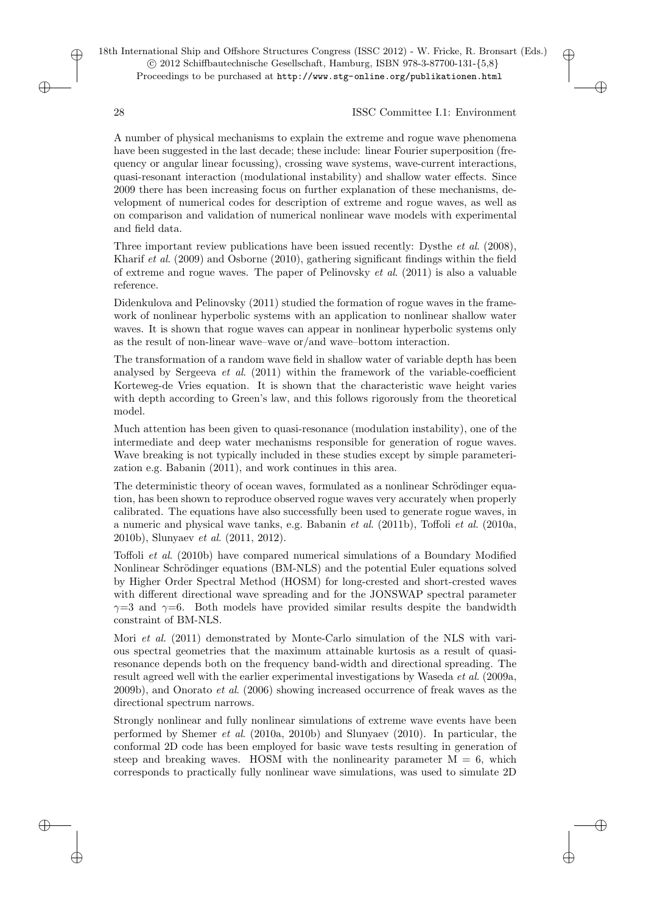#### 28 ISSC Committee I.1: Environment

✐

✐

✐

✐

A number of physical mechanisms to explain the extreme and rogue wave phenomena have been suggested in the last decade; these include: linear Fourier superposition (frequency or angular linear focussing), crossing wave systems, wave-current interactions, quasi-resonant interaction (modulational instability) and shallow water effects. Since 2009 there has been increasing focus on further explanation of these mechanisms, development of numerical codes for description of extreme and rogue waves, as well as on comparison and validation of numerical nonlinear wave models with experimental and field data.

Three important review publications have been issued recently: Dysthe et al. (2008), Kharif et al. (2009) and Osborne (2010), gathering significant findings within the field of extreme and rogue waves. The paper of Pelinovsky et al. (2011) is also a valuable reference.

Didenkulova and Pelinovsky (2011) studied the formation of rogue waves in the framework of nonlinear hyperbolic systems with an application to nonlinear shallow water waves. It is shown that rogue waves can appear in nonlinear hyperbolic systems only as the result of non-linear wave–wave or/and wave–bottom interaction.

The transformation of a random wave field in shallow water of variable depth has been analysed by Sergeeva et al. (2011) within the framework of the variable-coefficient Korteweg-de Vries equation. It is shown that the characteristic wave height varies with depth according to Green's law, and this follows rigorously from the theoretical model.

Much attention has been given to quasi-resonance (modulation instability), one of the intermediate and deep water mechanisms responsible for generation of rogue waves. Wave breaking is not typically included in these studies except by simple parameterization e.g. Babanin (2011), and work continues in this area.

The deterministic theory of ocean waves, formulated as a nonlinear Schrödinger equation, has been shown to reproduce observed rogue waves very accurately when properly calibrated. The equations have also successfully been used to generate rogue waves, in a numeric and physical wave tanks, e.g. Babanin et al. (2011b), Toffoli et al. (2010a, 2010b), Slunyaev et al. (2011, 2012).

Toffoli et al. (2010b) have compared numerical simulations of a Boundary Modified Nonlinear Schrödinger equations (BM-NLS) and the potential Euler equations solved by Higher Order Spectral Method (HOSM) for long-crested and short-crested waves with different directional wave spreading and for the JONSWAP spectral parameter  $\gamma=3$  and  $\gamma=6$ . Both models have provided similar results despite the bandwidth constraint of BM-NLS.

Mori et al. (2011) demonstrated by Monte-Carlo simulation of the NLS with various spectral geometries that the maximum attainable kurtosis as a result of quasiresonance depends both on the frequency band-width and directional spreading. The result agreed well with the earlier experimental investigations by Waseda et al. (2009a, 2009b), and Onorato et al. (2006) showing increased occurrence of freak waves as the directional spectrum narrows.

Strongly nonlinear and fully nonlinear simulations of extreme wave events have been performed by Shemer et al. (2010a, 2010b) and Slunyaev (2010). In particular, the conformal 2D code has been employed for basic wave tests resulting in generation of steep and breaking waves. HOSM with the nonlinearity parameter  $M = 6$ , which corresponds to practically fully nonlinear wave simulations, was used to simulate 2D

 $\rightarrow$ 

✐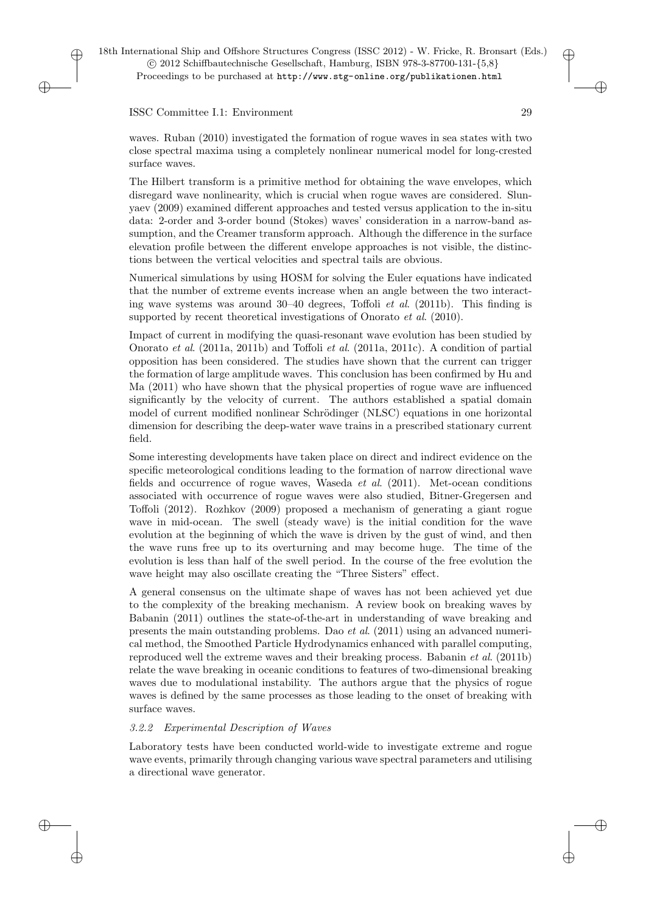#### ISSC Committee I.1: Environment 29

✐

✐

✐

✐

✐

✐

✐

waves. Ruban (2010) investigated the formation of rogue waves in sea states with two close spectral maxima using a completely nonlinear numerical model for long-crested surface waves.

The Hilbert transform is a primitive method for obtaining the wave envelopes, which disregard wave nonlinearity, which is crucial when rogue waves are considered. Slunyaev (2009) examined different approaches and tested versus application to the in-situ data: 2-order and 3-order bound (Stokes) waves' consideration in a narrow-band assumption, and the Creamer transform approach. Although the difference in the surface elevation profile between the different envelope approaches is not visible, the distinctions between the vertical velocities and spectral tails are obvious.

Numerical simulations by using HOSM for solving the Euler equations have indicated that the number of extreme events increase when an angle between the two interacting wave systems was around  $30-40$  degrees, Toffoli *et al.* (2011b). This finding is supported by recent theoretical investigations of Onorato *et al.* (2010).

Impact of current in modifying the quasi-resonant wave evolution has been studied by Onorato et al. (2011a, 2011b) and Toffoli et al. (2011a, 2011c). A condition of partial opposition has been considered. The studies have shown that the current can trigger the formation of large amplitude waves. This conclusion has been confirmed by Hu and Ma (2011) who have shown that the physical properties of rogue wave are influenced significantly by the velocity of current. The authors established a spatial domain model of current modified nonlinear Schrödinger (NLSC) equations in one horizontal dimension for describing the deep-water wave trains in a prescribed stationary current field.

Some interesting developments have taken place on direct and indirect evidence on the specific meteorological conditions leading to the formation of narrow directional wave fields and occurrence of rogue waves, Waseda *et al.*  $(2011)$ . Met-ocean conditions associated with occurrence of rogue waves were also studied, Bitner-Gregersen and Toffoli (2012). Rozhkov (2009) proposed a mechanism of generating a giant rogue wave in mid-ocean. The swell (steady wave) is the initial condition for the wave evolution at the beginning of which the wave is driven by the gust of wind, and then the wave runs free up to its overturning and may become huge. The time of the evolution is less than half of the swell period. In the course of the free evolution the wave height may also oscillate creating the "Three Sisters" effect.

A general consensus on the ultimate shape of waves has not been achieved yet due to the complexity of the breaking mechanism. A review book on breaking waves by Babanin (2011) outlines the state-of-the-art in understanding of wave breaking and presents the main outstanding problems. Dao et al. (2011) using an advanced numerical method, the Smoothed Particle Hydrodynamics enhanced with parallel computing, reproduced well the extreme waves and their breaking process. Babanin et al. (2011b) relate the wave breaking in oceanic conditions to features of two-dimensional breaking waves due to modulational instability. The authors argue that the physics of rogue waves is defined by the same processes as those leading to the onset of breaking with surface waves.

#### 3.2.2 Experimental Description of Waves

Laboratory tests have been conducted world-wide to investigate extreme and rogue wave events, primarily through changing various wave spectral parameters and utilising a directional wave generator.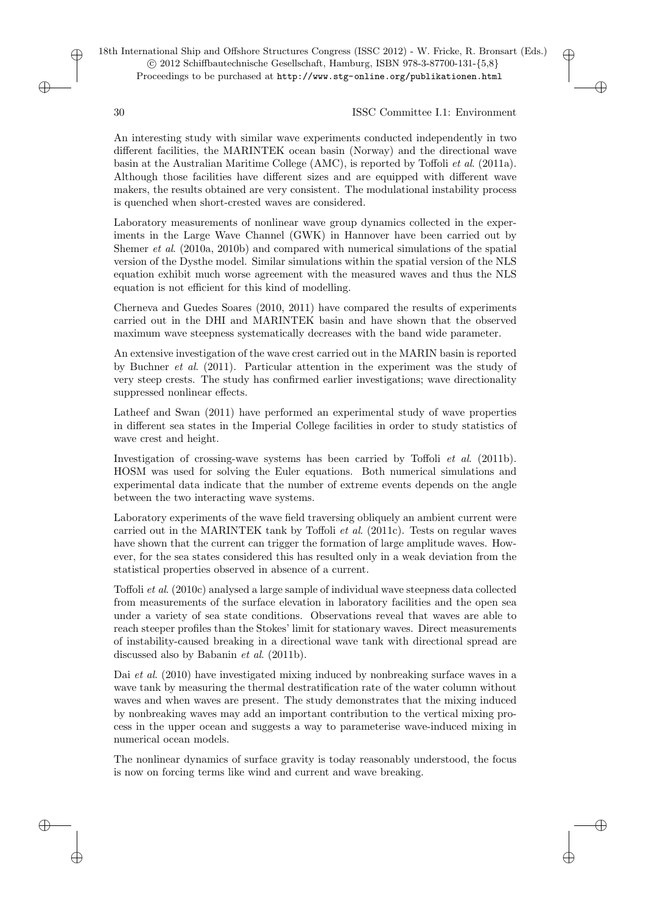$\rightarrow$ 

✐

✐

30 ISSC Committee I.1: Environment

✐

✐

✐

✐

An interesting study with similar wave experiments conducted independently in two different facilities, the MARINTEK ocean basin (Norway) and the directional wave basin at the Australian Maritime College (AMC), is reported by Toffoli et al. (2011a). Although those facilities have different sizes and are equipped with different wave makers, the results obtained are very consistent. The modulational instability process is quenched when short-crested waves are considered.

Laboratory measurements of nonlinear wave group dynamics collected in the experiments in the Large Wave Channel (GWK) in Hannover have been carried out by Shemer et al. (2010a, 2010b) and compared with numerical simulations of the spatial version of the Dysthe model. Similar simulations within the spatial version of the NLS equation exhibit much worse agreement with the measured waves and thus the NLS equation is not efficient for this kind of modelling.

Cherneva and Guedes Soares (2010, 2011) have compared the results of experiments carried out in the DHI and MARINTEK basin and have shown that the observed maximum wave steepness systematically decreases with the band wide parameter.

An extensive investigation of the wave crest carried out in the MARIN basin is reported by Buchner et al. (2011). Particular attention in the experiment was the study of very steep crests. The study has confirmed earlier investigations; wave directionality suppressed nonlinear effects.

Latheef and Swan (2011) have performed an experimental study of wave properties in different sea states in the Imperial College facilities in order to study statistics of wave crest and height.

Investigation of crossing-wave systems has been carried by Toffoli et al. (2011b). HOSM was used for solving the Euler equations. Both numerical simulations and experimental data indicate that the number of extreme events depends on the angle between the two interacting wave systems.

Laboratory experiments of the wave field traversing obliquely an ambient current were carried out in the MARINTEK tank by Toffoli et al. (2011c). Tests on regular waves have shown that the current can trigger the formation of large amplitude waves. However, for the sea states considered this has resulted only in a weak deviation from the statistical properties observed in absence of a current.

Toffoli et al. (2010c) analysed a large sample of individual wave steepness data collected from measurements of the surface elevation in laboratory facilities and the open sea under a variety of sea state conditions. Observations reveal that waves are able to reach steeper profiles than the Stokes' limit for stationary waves. Direct measurements of instability-caused breaking in a directional wave tank with directional spread are discussed also by Babanin et al. (2011b).

Dai et al. (2010) have investigated mixing induced by nonbreaking surface waves in a wave tank by measuring the thermal destratification rate of the water column without waves and when waves are present. The study demonstrates that the mixing induced by nonbreaking waves may add an important contribution to the vertical mixing process in the upper ocean and suggests a way to parameterise wave-induced mixing in numerical ocean models.

The nonlinear dynamics of surface gravity is today reasonably understood, the focus is now on forcing terms like wind and current and wave breaking.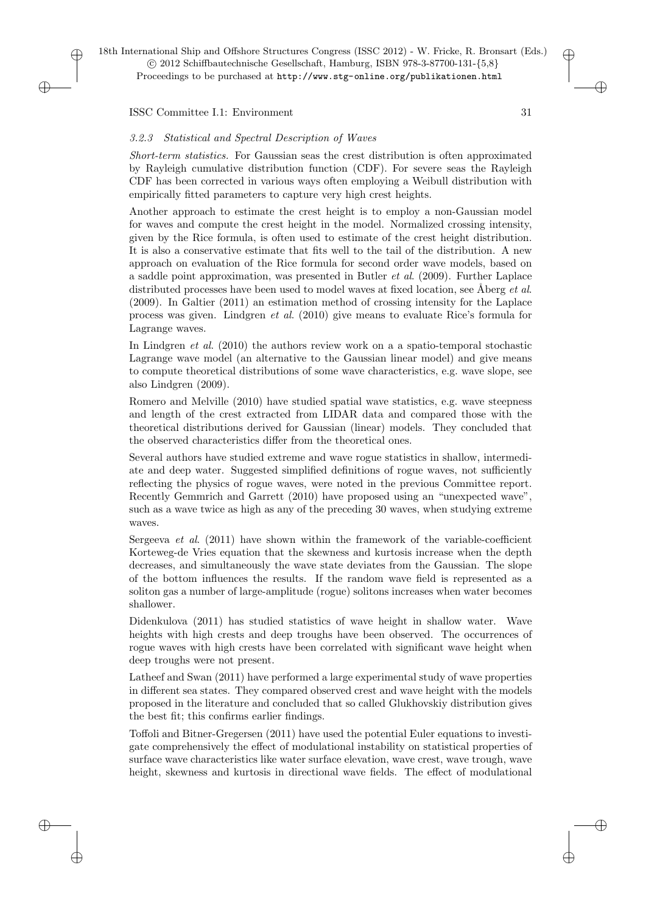#### ISSC Committee I.1: Environment 31

✐

✐

✐

✐

✐

✐

✐

#### 3.2.3 Statistical and Spectral Description of Waves

Short-term statistics. For Gaussian seas the crest distribution is often approximated by Rayleigh cumulative distribution function (CDF). For severe seas the Rayleigh CDF has been corrected in various ways often employing a Weibull distribution with empirically fitted parameters to capture very high crest heights.

Another approach to estimate the crest height is to employ a non-Gaussian model for waves and compute the crest height in the model. Normalized crossing intensity, given by the Rice formula, is often used to estimate of the crest height distribution. It is also a conservative estimate that fits well to the tail of the distribution. A new approach on evaluation of the Rice formula for second order wave models, based on a saddle point approximation, was presented in Butler et al. (2009). Further Laplace distributed processes have been used to model waves at fixed location, see Åberg *et al.* (2009). In Galtier (2011) an estimation method of crossing intensity for the Laplace process was given. Lindgren et al. (2010) give means to evaluate Rice's formula for Lagrange waves.

In Lindgren *et al.* (2010) the authors review work on a a spatio-temporal stochastic Lagrange wave model (an alternative to the Gaussian linear model) and give means to compute theoretical distributions of some wave characteristics, e.g. wave slope, see also Lindgren (2009).

Romero and Melville (2010) have studied spatial wave statistics, e.g. wave steepness and length of the crest extracted from LIDAR data and compared those with the theoretical distributions derived for Gaussian (linear) models. They concluded that the observed characteristics differ from the theoretical ones.

Several authors have studied extreme and wave rogue statistics in shallow, intermediate and deep water. Suggested simplified definitions of rogue waves, not sufficiently reflecting the physics of rogue waves, were noted in the previous Committee report. Recently Gemmrich and Garrett (2010) have proposed using an "unexpected wave", such as a wave twice as high as any of the preceding 30 waves, when studying extreme waves.

Sergeeva et al. (2011) have shown within the framework of the variable-coefficient Korteweg-de Vries equation that the skewness and kurtosis increase when the depth decreases, and simultaneously the wave state deviates from the Gaussian. The slope of the bottom influences the results. If the random wave field is represented as a soliton gas a number of large-amplitude (rogue) solitons increases when water becomes shallower.

Didenkulova (2011) has studied statistics of wave height in shallow water. Wave heights with high crests and deep troughs have been observed. The occurrences of rogue waves with high crests have been correlated with significant wave height when deep troughs were not present.

Latheef and Swan (2011) have performed a large experimental study of wave properties in different sea states. They compared observed crest and wave height with the models proposed in the literature and concluded that so called Glukhovskiy distribution gives the best fit; this confirms earlier findings.

Toffoli and Bitner-Gregersen (2011) have used the potential Euler equations to investigate comprehensively the effect of modulational instability on statistical properties of surface wave characteristics like water surface elevation, wave crest, wave trough, wave height, skewness and kurtosis in directional wave fields. The effect of modulational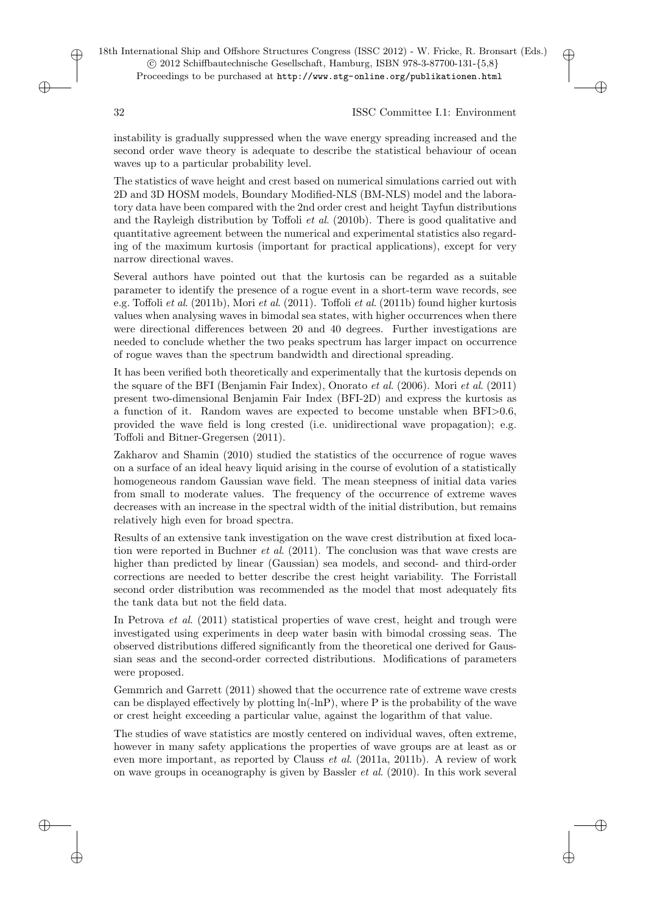32 ISSC Committee I.1: Environment

✐

✐

✐

✐

instability is gradually suppressed when the wave energy spreading increased and the second order wave theory is adequate to describe the statistical behaviour of ocean waves up to a particular probability level.

The statistics of wave height and crest based on numerical simulations carried out with 2D and 3D HOSM models, Boundary Modified-NLS (BM-NLS) model and the laboratory data have been compared with the 2nd order crest and height Tayfun distributions and the Rayleigh distribution by Toffoli *et al.* (2010b). There is good qualitative and quantitative agreement between the numerical and experimental statistics also regarding of the maximum kurtosis (important for practical applications), except for very narrow directional waves.

Several authors have pointed out that the kurtosis can be regarded as a suitable parameter to identify the presence of a rogue event in a short-term wave records, see e.g. Toffoli et al. (2011b), Mori et al. (2011). Toffoli et al. (2011b) found higher kurtosis values when analysing waves in bimodal sea states, with higher occurrences when there were directional differences between 20 and 40 degrees. Further investigations are needed to conclude whether the two peaks spectrum has larger impact on occurrence of rogue waves than the spectrum bandwidth and directional spreading.

It has been verified both theoretically and experimentally that the kurtosis depends on the square of the BFI (Benjamin Fair Index), Onorato et al. (2006). Mori et al. (2011) present two-dimensional Benjamin Fair Index (BFI-2D) and express the kurtosis as a function of it. Random waves are expected to become unstable when BFI>0.6, provided the wave field is long crested (i.e. unidirectional wave propagation); e.g. Toffoli and Bitner-Gregersen (2011).

Zakharov and Shamin (2010) studied the statistics of the occurrence of rogue waves on a surface of an ideal heavy liquid arising in the course of evolution of a statistically homogeneous random Gaussian wave field. The mean steepness of initial data varies from small to moderate values. The frequency of the occurrence of extreme waves decreases with an increase in the spectral width of the initial distribution, but remains relatively high even for broad spectra.

Results of an extensive tank investigation on the wave crest distribution at fixed location were reported in Buchner et al. (2011). The conclusion was that wave crests are higher than predicted by linear (Gaussian) sea models, and second- and third-order corrections are needed to better describe the crest height variability. The Forristall second order distribution was recommended as the model that most adequately fits the tank data but not the field data.

In Petrova *et al.* (2011) statistical properties of wave crest, height and trough were investigated using experiments in deep water basin with bimodal crossing seas. The observed distributions differed significantly from the theoretical one derived for Gaussian seas and the second-order corrected distributions. Modifications of parameters were proposed.

Gemmrich and Garrett (2011) showed that the occurrence rate of extreme wave crests can be displayed effectively by plotting  $ln(-lnP)$ , where P is the probability of the wave or crest height exceeding a particular value, against the logarithm of that value.

The studies of wave statistics are mostly centered on individual waves, often extreme, however in many safety applications the properties of wave groups are at least as or even more important, as reported by Clauss et al. (2011a, 2011b). A review of work on wave groups in oceanography is given by Bassler et al. (2010). In this work several

 $\rightarrow$ 

✐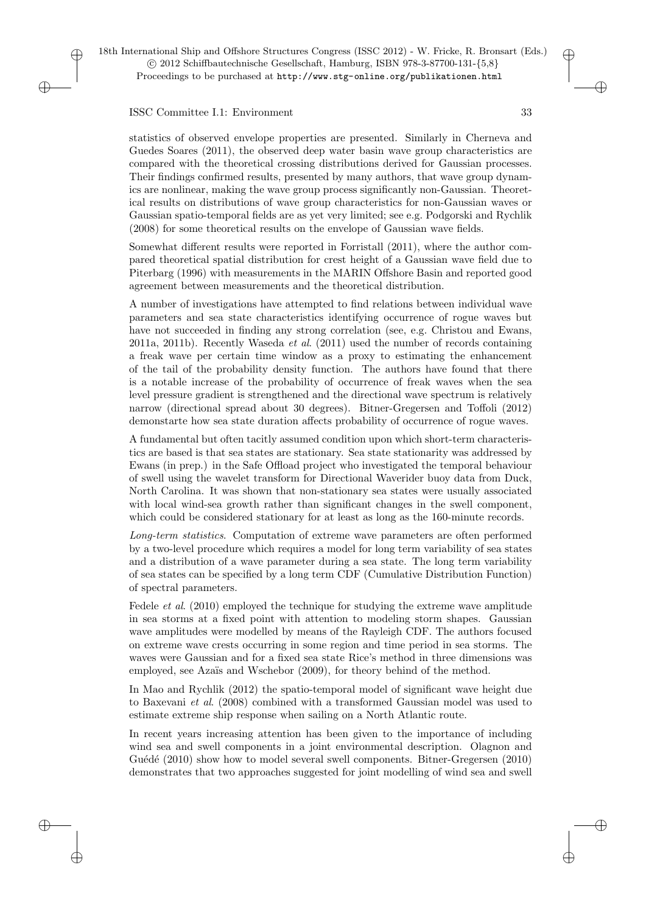## ISSC Committee I.1: Environment 33

 $\oplus$ 

✐

✐

statistics of observed envelope properties are presented. Similarly in Cherneva and Guedes Soares (2011), the observed deep water basin wave group characteristics are compared with the theoretical crossing distributions derived for Gaussian processes. Their findings confirmed results, presented by many authors, that wave group dynamics are nonlinear, making the wave group process significantly non-Gaussian. Theoretical results on distributions of wave group characteristics for non-Gaussian waves or Gaussian spatio-temporal fields are as yet very limited; see e.g. Podgorski and Rychlik (2008) for some theoretical results on the envelope of Gaussian wave fields.

Somewhat different results were reported in Forristall (2011), where the author compared theoretical spatial distribution for crest height of a Gaussian wave field due to Piterbarg (1996) with measurements in the MARIN Offshore Basin and reported good agreement between measurements and the theoretical distribution.

A number of investigations have attempted to find relations between individual wave parameters and sea state characteristics identifying occurrence of rogue waves but have not succeeded in finding any strong correlation (see, e.g. Christou and Ewans, 2011a, 2011b). Recently Waseda *et al.*  $(2011)$  used the number of records containing a freak wave per certain time window as a proxy to estimating the enhancement of the tail of the probability density function. The authors have found that there is a notable increase of the probability of occurrence of freak waves when the sea level pressure gradient is strengthened and the directional wave spectrum is relatively narrow (directional spread about 30 degrees). Bitner-Gregersen and Toffoli (2012) demonstarte how sea state duration affects probability of occurrence of rogue waves.

A fundamental but often tacitly assumed condition upon which short-term characteristics are based is that sea states are stationary. Sea state stationarity was addressed by Ewans (in prep.) in the Safe Offload project who investigated the temporal behaviour of swell using the wavelet transform for Directional Waverider buoy data from Duck, North Carolina. It was shown that non-stationary sea states were usually associated with local wind-sea growth rather than significant changes in the swell component, which could be considered stationary for at least as long as the 160-minute records.

Long-term statistics. Computation of extreme wave parameters are often performed by a two-level procedure which requires a model for long term variability of sea states and a distribution of a wave parameter during a sea state. The long term variability of sea states can be specified by a long term CDF (Cumulative Distribution Function) of spectral parameters.

Fedele *et al.* (2010) employed the technique for studying the extreme wave amplitude in sea storms at a fixed point with attention to modeling storm shapes. Gaussian wave amplitudes were modelled by means of the Rayleigh CDF. The authors focused on extreme wave crests occurring in some region and time period in sea storms. The waves were Gaussian and for a fixed sea state Rice's method in three dimensions was employed, see Azaïs and Wschebor (2009), for theory behind of the method.

In Mao and Rychlik (2012) the spatio-temporal model of significant wave height due to Baxevani et al. (2008) combined with a transformed Gaussian model was used to estimate extreme ship response when sailing on a North Atlantic route.

In recent years increasing attention has been given to the importance of including wind sea and swell components in a joint environmental description. Olagnon and Guédé (2010) show how to model several swell components. Bitner-Gregersen (2010) demonstrates that two approaches suggested for joint modelling of wind sea and swell

✐

✐

✐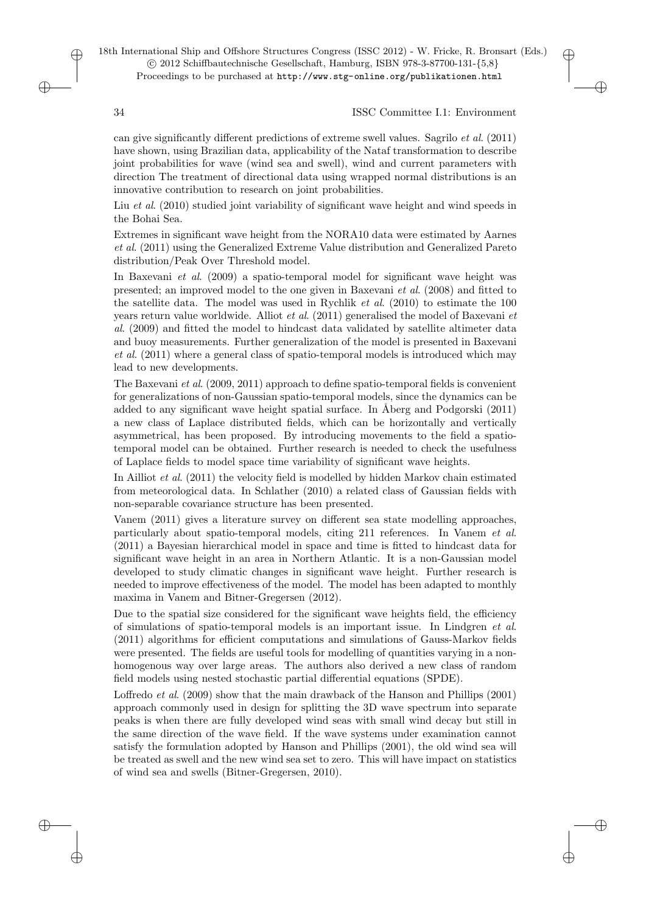#### 34 ISSC Committee I.1: Environment

✐

✐

✐

✐

can give significantly different predictions of extreme swell values. Sagrilo et al. (2011) have shown, using Brazilian data, applicability of the Nataf transformation to describe joint probabilities for wave (wind sea and swell), wind and current parameters with direction The treatment of directional data using wrapped normal distributions is an innovative contribution to research on joint probabilities.

Liu et al. (2010) studied joint variability of significant wave height and wind speeds in the Bohai Sea.

Extremes in significant wave height from the NORA10 data were estimated by Aarnes et al. (2011) using the Generalized Extreme Value distribution and Generalized Pareto distribution/Peak Over Threshold model.

In Baxevani et al. (2009) a spatio-temporal model for significant wave height was presented; an improved model to the one given in Baxevani et al. (2008) and fitted to the satellite data. The model was used in Rychlik *et al.* (2010) to estimate the 100 years return value worldwide. Alliot et al. (2011) generalised the model of Baxevani et al. (2009) and fitted the model to hindcast data validated by satellite altimeter data and buoy measurements. Further generalization of the model is presented in Baxevani et al. (2011) where a general class of spatio-temporal models is introduced which may lead to new developments.

The Baxevani et al. (2009, 2011) approach to define spatio-temporal fields is convenient for generalizations of non-Gaussian spatio-temporal models, since the dynamics can be added to any significant wave height spatial surface. In Åberg and Podgorski  $(2011)$ a new class of Laplace distributed fields, which can be horizontally and vertically asymmetrical, has been proposed. By introducing movements to the field a spatiotemporal model can be obtained. Further research is needed to check the usefulness of Laplace fields to model space time variability of significant wave heights.

In Ailliot et al. (2011) the velocity field is modelled by hidden Markov chain estimated from meteorological data. In Schlather (2010) a related class of Gaussian fields with non-separable covariance structure has been presented.

Vanem (2011) gives a literature survey on different sea state modelling approaches, particularly about spatio-temporal models, citing 211 references. In Vanem et al. (2011) a Bayesian hierarchical model in space and time is fitted to hindcast data for significant wave height in an area in Northern Atlantic. It is a non-Gaussian model developed to study climatic changes in significant wave height. Further research is needed to improve effectiveness of the model. The model has been adapted to monthly maxima in Vanem and Bitner-Gregersen (2012).

Due to the spatial size considered for the significant wave heights field, the efficiency of simulations of spatio-temporal models is an important issue. In Lindgren et al. (2011) algorithms for efficient computations and simulations of Gauss-Markov fields were presented. The fields are useful tools for modelling of quantities varying in a nonhomogenous way over large areas. The authors also derived a new class of random field models using nested stochastic partial differential equations (SPDE).

Loffredo *et al.* (2009) show that the main drawback of the Hanson and Phillips (2001) approach commonly used in design for splitting the 3D wave spectrum into separate peaks is when there are fully developed wind seas with small wind decay but still in the same direction of the wave field. If the wave systems under examination cannot satisfy the formulation adopted by Hanson and Phillips (2001), the old wind sea will be treated as swell and the new wind sea set to zero. This will have impact on statistics of wind sea and swells (Bitner-Gregersen, 2010).

✐

✐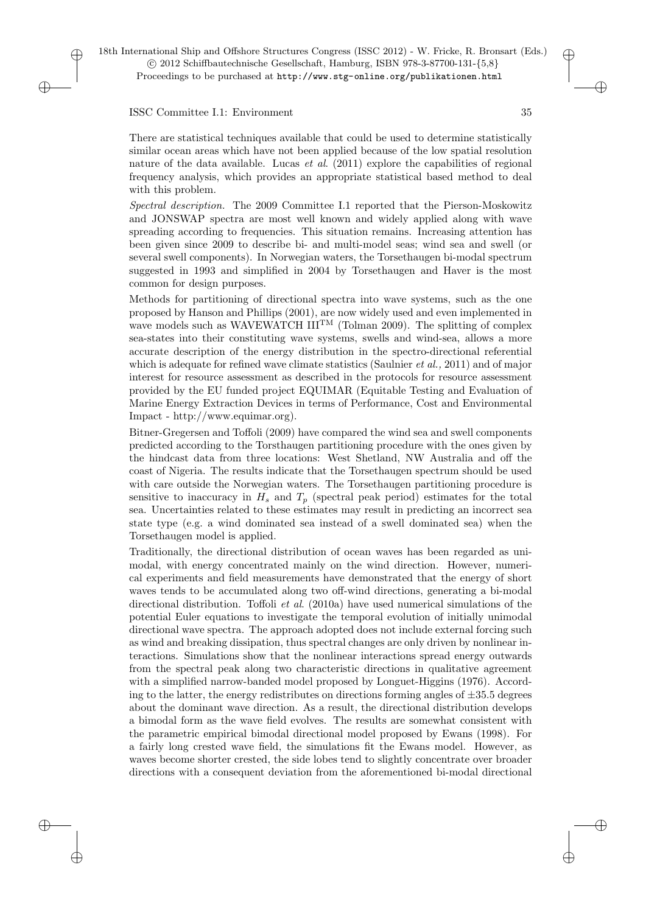## ISSC Committee I.1: Environment 35

 $\oplus$ 

✐

✐

There are statistical techniques available that could be used to determine statistically similar ocean areas which have not been applied because of the low spatial resolution nature of the data available. Lucas *et al.*  $(2011)$  explore the capabilities of regional frequency analysis, which provides an appropriate statistical based method to deal with this problem.

Spectral description. The 2009 Committee I.1 reported that the Pierson-Moskowitz and JONSWAP spectra are most well known and widely applied along with wave spreading according to frequencies. This situation remains. Increasing attention has been given since 2009 to describe bi- and multi-model seas; wind sea and swell (or several swell components). In Norwegian waters, the Torsethaugen bi-modal spectrum suggested in 1993 and simplified in 2004 by Torsethaugen and Haver is the most common for design purposes.

Methods for partitioning of directional spectra into wave systems, such as the one proposed by Hanson and Phillips (2001), are now widely used and even implemented in wave models such as WAVEWATCH  $III^{TM}$  (Tolman 2009). The splitting of complex sea-states into their constituting wave systems, swells and wind-sea, allows a more accurate description of the energy distribution in the spectro-directional referential which is adequate for refined wave climate statistics (Saulnier *et al.*, 2011) and of major interest for resource assessment as described in the protocols for resource assessment provided by the EU funded project EQUIMAR (Equitable Testing and Evaluation of Marine Energy Extraction Devices in terms of Performance, Cost and Environmental Impact - http://www.equimar.org).

Bitner-Gregersen and Toffoli (2009) have compared the wind sea and swell components predicted according to the Torsthaugen partitioning procedure with the ones given by the hindcast data from three locations: West Shetland, NW Australia and off the coast of Nigeria. The results indicate that the Torsethaugen spectrum should be used with care outside the Norwegian waters. The Torsethaugen partitioning procedure is sensitive to inaccuracy in  $H_s$  and  $T_p$  (spectral peak period) estimates for the total sea. Uncertainties related to these estimates may result in predicting an incorrect sea state type (e.g. a wind dominated sea instead of a swell dominated sea) when the Torsethaugen model is applied.

Traditionally, the directional distribution of ocean waves has been regarded as unimodal, with energy concentrated mainly on the wind direction. However, numerical experiments and field measurements have demonstrated that the energy of short waves tends to be accumulated along two off-wind directions, generating a bi-modal directional distribution. Toffoli et al. (2010a) have used numerical simulations of the potential Euler equations to investigate the temporal evolution of initially unimodal directional wave spectra. The approach adopted does not include external forcing such as wind and breaking dissipation, thus spectral changes are only driven by nonlinear interactions. Simulations show that the nonlinear interactions spread energy outwards from the spectral peak along two characteristic directions in qualitative agreement with a simplified narrow-banded model proposed by Longuet-Higgins (1976). According to the latter, the energy redistributes on directions forming angles of  $\pm 35.5$  degrees about the dominant wave direction. As a result, the directional distribution develops a bimodal form as the wave field evolves. The results are somewhat consistent with the parametric empirical bimodal directional model proposed by Ewans (1998). For a fairly long crested wave field, the simulations fit the Ewans model. However, as waves become shorter crested, the side lobes tend to slightly concentrate over broader directions with a consequent deviation from the aforementioned bi-modal directional

✐

✐

✐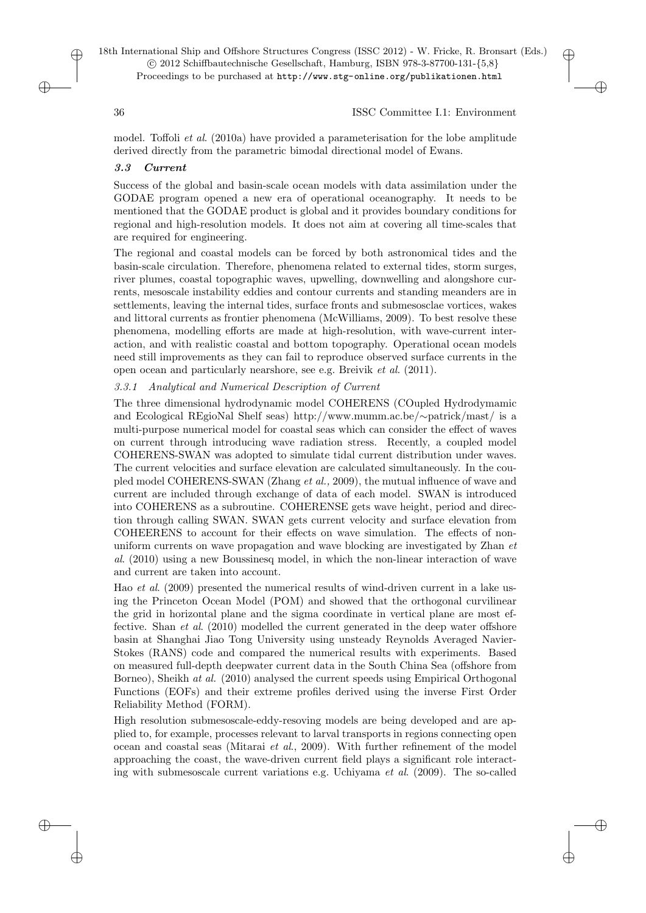#### 36 ISSC Committee I.1: Environment

✐

✐

✐

✐

model. Toffoli et al. (2010a) have provided a parameterisation for the lobe amplitude derived directly from the parametric bimodal directional model of Ewans.

## 3.3 Current

Success of the global and basin-scale ocean models with data assimilation under the GODAE program opened a new era of operational oceanography. It needs to be mentioned that the GODAE product is global and it provides boundary conditions for regional and high-resolution models. It does not aim at covering all time-scales that are required for engineering.

The regional and coastal models can be forced by both astronomical tides and the basin-scale circulation. Therefore, phenomena related to external tides, storm surges, river plumes, coastal topographic waves, upwelling, downwelling and alongshore currents, mesoscale instability eddies and contour currents and standing meanders are in settlements, leaving the internal tides, surface fronts and submesosclae vortices, wakes and littoral currents as frontier phenomena (McWilliams, 2009). To best resolve these phenomena, modelling efforts are made at high-resolution, with wave-current interaction, and with realistic coastal and bottom topography. Operational ocean models need still improvements as they can fail to reproduce observed surface currents in the open ocean and particularly nearshore, see e.g. Breivik et al. (2011).

## 3.3.1 Analytical and Numerical Description of Current

The three dimensional hydrodynamic model COHERENS (COupled Hydrodymamic and Ecological REgioNal Shelf seas) http://www.mumm.ac.be/∼patrick/mast/ is a multi-purpose numerical model for coastal seas which can consider the effect of waves on current through introducing wave radiation stress. Recently, a coupled model COHERENS-SWAN was adopted to simulate tidal current distribution under waves. The current velocities and surface elevation are calculated simultaneously. In the coupled model COHERENS-SWAN (Zhang et al., 2009), the mutual influence of wave and current are included through exchange of data of each model. SWAN is introduced into COHERENS as a subroutine. COHERENSE gets wave height, period and direction through calling SWAN. SWAN gets current velocity and surface elevation from COHEERENS to account for their effects on wave simulation. The effects of nonuniform currents on wave propagation and wave blocking are investigated by Zhan  $et$ al. (2010) using a new Boussinesq model, in which the non-linear interaction of wave and current are taken into account.

Hao et al. (2009) presented the numerical results of wind-driven current in a lake using the Princeton Ocean Model (POM) and showed that the orthogonal curvilinear the grid in horizontal plane and the sigma coordinate in vertical plane are most effective. Shan et al. (2010) modelled the current generated in the deep water offshore basin at Shanghai Jiao Tong University using unsteady Reynolds Averaged Navier-Stokes (RANS) code and compared the numerical results with experiments. Based on measured full-depth deepwater current data in the South China Sea (offshore from Borneo), Sheikh at al. (2010) analysed the current speeds using Empirical Orthogonal Functions (EOFs) and their extreme profiles derived using the inverse First Order Reliability Method (FORM).

High resolution submesoscale-eddy-resoving models are being developed and are applied to, for example, processes relevant to larval transports in regions connecting open ocean and coastal seas (Mitarai et al., 2009). With further refinement of the model approaching the coast, the wave-driven current field plays a significant role interacting with submesoscale current variations e.g. Uchiyama et al. (2009). The so-called

✐

✐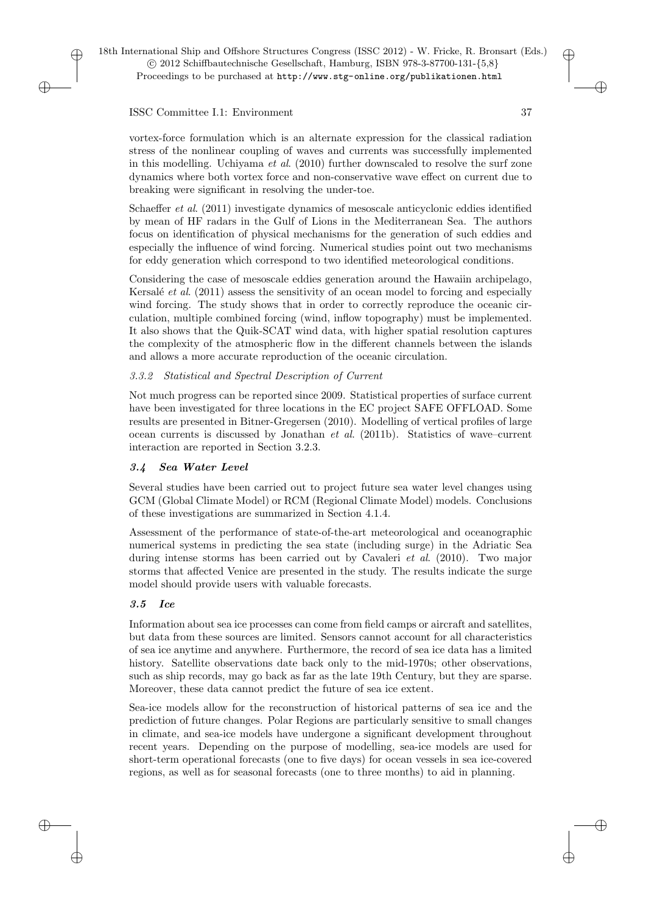# ISSC Committee I.1: Environment 37

✐

vortex-force formulation which is an alternate expression for the classical radiation stress of the nonlinear coupling of waves and currents was successfully implemented in this modelling. Uchiyama et al. (2010) further downscaled to resolve the surf zone dynamics where both vortex force and non-conservative wave effect on current due to breaking were significant in resolving the under-toe.

Schaeffer et al. (2011) investigate dynamics of mesoscale anticyclonic eddies identified by mean of HF radars in the Gulf of Lions in the Mediterranean Sea. The authors focus on identification of physical mechanisms for the generation of such eddies and especially the influence of wind forcing. Numerical studies point out two mechanisms for eddy generation which correspond to two identified meteorological conditions.

Considering the case of mesoscale eddies generation around the Hawaiin archipelago, Kersalé *et al.* (2011) assess the sensitivity of an ocean model to forcing and especially wind forcing. The study shows that in order to correctly reproduce the oceanic circulation, multiple combined forcing (wind, inflow topography) must be implemented. It also shows that the Quik-SCAT wind data, with higher spatial resolution captures the complexity of the atmospheric flow in the different channels between the islands and allows a more accurate reproduction of the oceanic circulation.

## 3.3.2 Statistical and Spectral Description of Current

Not much progress can be reported since 2009. Statistical properties of surface current have been investigated for three locations in the EC project SAFE OFFLOAD. Some results are presented in Bitner-Gregersen (2010). Modelling of vertical profiles of large ocean currents is discussed by Jonathan *et al.* (2011b). Statistics of wave–current interaction are reported in Section 3.2.3.

#### 3.4 Sea Water Level

Several studies have been carried out to project future sea water level changes using GCM (Global Climate Model) or RCM (Regional Climate Model) models. Conclusions of these investigations are summarized in Section 4.1.4.

Assessment of the performance of state-of-the-art meteorological and oceanographic numerical systems in predicting the sea state (including surge) in the Adriatic Sea during intense storms has been carried out by Cavaleri et al. (2010). Two major storms that affected Venice are presented in the study. The results indicate the surge model should provide users with valuable forecasts.

## 3.5 Ice

✐

✐

Information about sea ice processes can come from field camps or aircraft and satellites, but data from these sources are limited. Sensors cannot account for all characteristics of sea ice anytime and anywhere. Furthermore, the record of sea ice data has a limited history. Satellite observations date back only to the mid-1970s; other observations, such as ship records, may go back as far as the late 19th Century, but they are sparse. Moreover, these data cannot predict the future of sea ice extent.

Sea-ice models allow for the reconstruction of historical patterns of sea ice and the prediction of future changes. Polar Regions are particularly sensitive to small changes in climate, and sea-ice models have undergone a significant development throughout recent years. Depending on the purpose of modelling, sea-ice models are used for short-term operational forecasts (one to five days) for ocean vessels in sea ice-covered regions, as well as for seasonal forecasts (one to three months) to aid in planning.

✐

✐

✐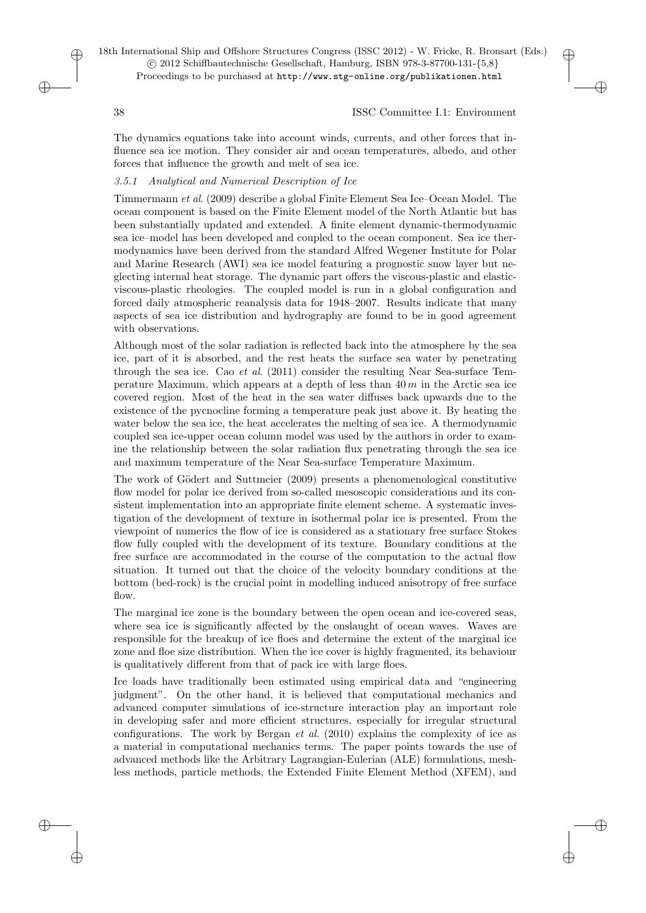#### 38 ISSC Committee I.1: Environment

✐

✐

✐

✐

The dynamics equations take into account winds, currents, and other forces that influence sea ice motion. They consider air and ocean temperatures, albedo, and other forces that influence the growth and melt of sea ice.

## 3.5.1 Analytical and Numerical Description of Ice

Timmermann et al. (2009) describe a global Finite Element Sea Ice–Ocean Model. The ocean component is based on the Finite Element model of the North Atlantic but has been substantially updated and extended. A finite element dynamic-thermodynamic sea ice–model has been developed and coupled to the ocean component. Sea ice thermodynamics have been derived from the standard Alfred Wegener Institute for Polar and Marine Research (AWI) sea ice model featuring a prognostic snow layer but neglecting internal heat storage. The dynamic part offers the viscous-plastic and elasticviscous-plastic rheologies. The coupled model is run in a global configuration and forced daily atmospheric reanalysis data for 1948–2007. Results indicate that many aspects of sea ice distribution and hydrography are found to be in good agreement with observations.

Although most of the solar radiation is reflected back into the atmosphere by the sea ice, part of it is absorbed, and the rest heats the surface sea water by penetrating through the sea ice. Cao et al. (2011) consider the resulting Near Sea-surface Temperature Maximum, which appears at a depth of less than  $40 m$  in the Arctic sea ice covered region. Most of the heat in the sea water diffuses back upwards due to the existence of the pycnocline forming a temperature peak just above it. By heating the water below the sea ice, the heat accelerates the melting of sea ice. A thermodynamic coupled sea ice-upper ocean column model was used by the authors in order to examine the relationship between the solar radiation flux penetrating through the sea ice and maximum temperature of the Near Sea-surface Temperature Maximum.

The work of Gödert and Suttmeier (2009) presents a phenomenological constitutive flow model for polar ice derived from so-called mesoscopic considerations and its consistent implementation into an appropriate finite element scheme. A systematic investigation of the development of texture in isothermal polar ice is presented. From the viewpoint of numerics the flow of ice is considered as a stationary free surface Stokes flow fully coupled with the development of its texture. Boundary conditions at the free surface are accommodated in the course of the computation to the actual flow situation. It turned out that the choice of the velocity boundary conditions at the bottom (bed-rock) is the crucial point in modelling induced anisotropy of free surface flow.

The marginal ice zone is the boundary between the open ocean and ice-covered seas, where sea ice is significantly affected by the onslaught of ocean waves. Waves are responsible for the breakup of ice floes and determine the extent of the marginal ice zone and floe size distribution. When the ice cover is highly fragmented, its behaviour is qualitatively different from that of pack ice with large floes.

Ice loads have traditionally been estimated using empirical data and "engineering judgment". On the other hand, it is believed that computational mechanics and advanced computer simulations of ice-structure interaction play an important role in developing safer and more efficient structures, especially for irregular structural configurations. The work by Bergan et al. (2010) explains the complexity of ice as a material in computational mechanics terms. The paper points towards the use of advanced methods like the Arbitrary Lagrangian-Eulerian (ALE) formulations, meshless methods, particle methods, the Extended Finite Element Method (XFEM), and

✐

✐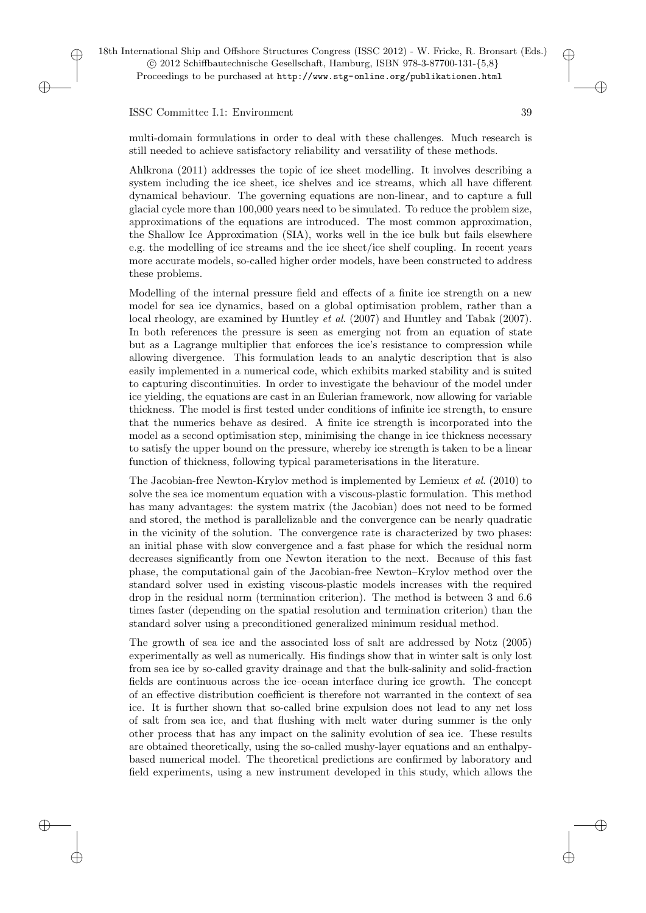## ISSC Committee I.1: Environment 39

✐

✐

✐

multi-domain formulations in order to deal with these challenges. Much research is still needed to achieve satisfactory reliability and versatility of these methods.

Ahlkrona (2011) addresses the topic of ice sheet modelling. It involves describing a system including the ice sheet, ice shelves and ice streams, which all have different dynamical behaviour. The governing equations are non-linear, and to capture a full glacial cycle more than 100,000 years need to be simulated. To reduce the problem size, approximations of the equations are introduced. The most common approximation, the Shallow Ice Approximation (SIA), works well in the ice bulk but fails elsewhere e.g. the modelling of ice streams and the ice sheet/ice shelf coupling. In recent years more accurate models, so-called higher order models, have been constructed to address these problems.

Modelling of the internal pressure field and effects of a finite ice strength on a new model for sea ice dynamics, based on a global optimisation problem, rather than a local rheology, are examined by Huntley et al. (2007) and Huntley and Tabak (2007). In both references the pressure is seen as emerging not from an equation of state but as a Lagrange multiplier that enforces the ice's resistance to compression while allowing divergence. This formulation leads to an analytic description that is also easily implemented in a numerical code, which exhibits marked stability and is suited to capturing discontinuities. In order to investigate the behaviour of the model under ice yielding, the equations are cast in an Eulerian framework, now allowing for variable thickness. The model is first tested under conditions of infinite ice strength, to ensure that the numerics behave as desired. A finite ice strength is incorporated into the model as a second optimisation step, minimising the change in ice thickness necessary to satisfy the upper bound on the pressure, whereby ice strength is taken to be a linear function of thickness, following typical parameterisations in the literature.

The Jacobian-free Newton-Krylov method is implemented by Lemieux et al. (2010) to solve the sea ice momentum equation with a viscous-plastic formulation. This method has many advantages: the system matrix (the Jacobian) does not need to be formed and stored, the method is parallelizable and the convergence can be nearly quadratic in the vicinity of the solution. The convergence rate is characterized by two phases: an initial phase with slow convergence and a fast phase for which the residual norm decreases significantly from one Newton iteration to the next. Because of this fast phase, the computational gain of the Jacobian-free Newton–Krylov method over the standard solver used in existing viscous-plastic models increases with the required drop in the residual norm (termination criterion). The method is between 3 and 6.6 times faster (depending on the spatial resolution and termination criterion) than the standard solver using a preconditioned generalized minimum residual method.

The growth of sea ice and the associated loss of salt are addressed by Notz (2005) experimentally as well as numerically. His findings show that in winter salt is only lost from sea ice by so-called gravity drainage and that the bulk-salinity and solid-fraction fields are continuous across the ice–ocean interface during ice growth. The concept of an effective distribution coefficient is therefore not warranted in the context of sea ice. It is further shown that so-called brine expulsion does not lead to any net loss of salt from sea ice, and that flushing with melt water during summer is the only other process that has any impact on the salinity evolution of sea ice. These results are obtained theoretically, using the so-called mushy-layer equations and an enthalpybased numerical model. The theoretical predictions are confirmed by laboratory and field experiments, using a new instrument developed in this study, which allows the

✐

✐

✐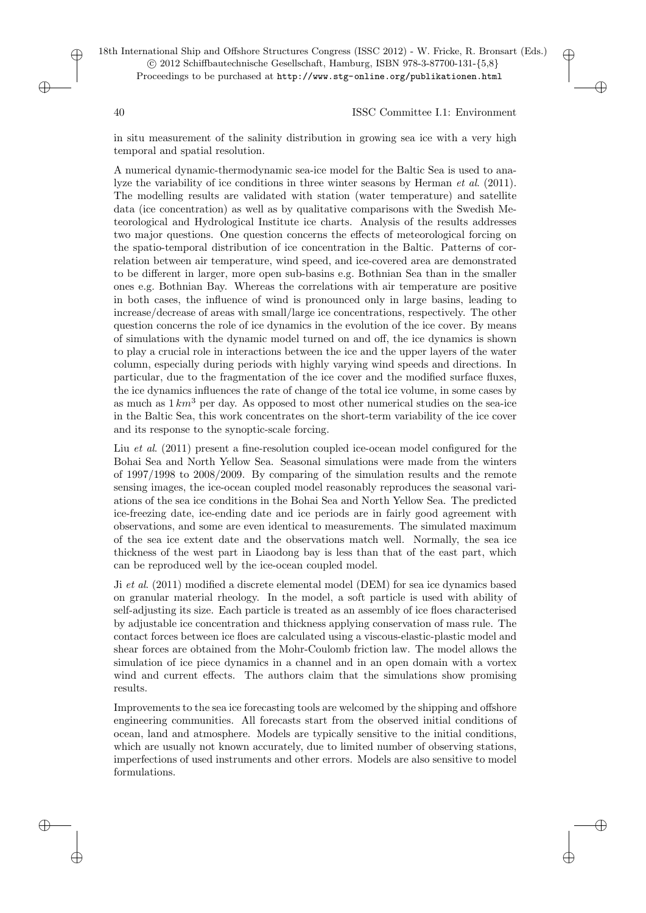## 40 ISSC Committee I.1: Environment

✐

✐

✐

✐

in situ measurement of the salinity distribution in growing sea ice with a very high temporal and spatial resolution.

A numerical dynamic-thermodynamic sea-ice model for the Baltic Sea is used to analyze the variability of ice conditions in three winter seasons by Herman et al. (2011). The modelling results are validated with station (water temperature) and satellite data (ice concentration) as well as by qualitative comparisons with the Swedish Meteorological and Hydrological Institute ice charts. Analysis of the results addresses two major questions. One question concerns the effects of meteorological forcing on the spatio-temporal distribution of ice concentration in the Baltic. Patterns of correlation between air temperature, wind speed, and ice-covered area are demonstrated to be different in larger, more open sub-basins e.g. Bothnian Sea than in the smaller ones e.g. Bothnian Bay. Whereas the correlations with air temperature are positive in both cases, the influence of wind is pronounced only in large basins, leading to increase/decrease of areas with small/large ice concentrations, respectively. The other question concerns the role of ice dynamics in the evolution of the ice cover. By means of simulations with the dynamic model turned on and off, the ice dynamics is shown to play a crucial role in interactions between the ice and the upper layers of the water column, especially during periods with highly varying wind speeds and directions. In particular, due to the fragmentation of the ice cover and the modified surface fluxes, the ice dynamics influences the rate of change of the total ice volume, in some cases by as much as  $1 km<sup>3</sup>$  per day. As opposed to most other numerical studies on the sea-ice in the Baltic Sea, this work concentrates on the short-term variability of the ice cover and its response to the synoptic-scale forcing.

Liu *et al.* (2011) present a fine-resolution coupled ice-ocean model configured for the Bohai Sea and North Yellow Sea. Seasonal simulations were made from the winters of 1997/1998 to 2008/2009. By comparing of the simulation results and the remote sensing images, the ice-ocean coupled model reasonably reproduces the seasonal variations of the sea ice conditions in the Bohai Sea and North Yellow Sea. The predicted ice-freezing date, ice-ending date and ice periods are in fairly good agreement with observations, and some are even identical to measurements. The simulated maximum of the sea ice extent date and the observations match well. Normally, the sea ice thickness of the west part in Liaodong bay is less than that of the east part, which can be reproduced well by the ice-ocean coupled model.

Ji et al. (2011) modified a discrete elemental model (DEM) for sea ice dynamics based on granular material rheology. In the model, a soft particle is used with ability of self-adjusting its size. Each particle is treated as an assembly of ice floes characterised by adjustable ice concentration and thickness applying conservation of mass rule. The contact forces between ice floes are calculated using a viscous-elastic-plastic model and shear forces are obtained from the Mohr-Coulomb friction law. The model allows the simulation of ice piece dynamics in a channel and in an open domain with a vortex wind and current effects. The authors claim that the simulations show promising results.

Improvements to the sea ice forecasting tools are welcomed by the shipping and offshore engineering communities. All forecasts start from the observed initial conditions of ocean, land and atmosphere. Models are typically sensitive to the initial conditions, which are usually not known accurately, due to limited number of observing stations, imperfections of used instruments and other errors. Models are also sensitive to model formulations.

✐

✐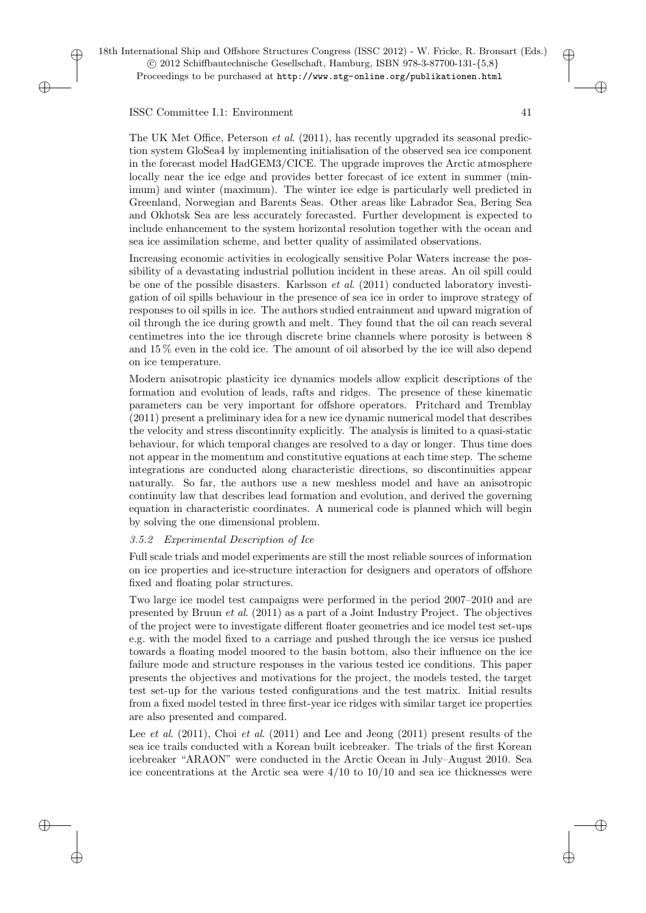# ISSC Committee I.1: Environment 41

 $\oplus$ 

✐

✐

The UK Met Office, Peterson et al. (2011), has recently upgraded its seasonal prediction system GloSea4 by implementing initialisation of the observed sea ice component in the forecast model HadGEM3/CICE. The upgrade improves the Arctic atmosphere locally near the ice edge and provides better forecast of ice extent in summer (minimum) and winter (maximum). The winter ice edge is particularly well predicted in Greenland, Norwegian and Barents Seas. Other areas like Labrador Sea, Bering Sea and Okhotsk Sea are less accurately forecasted. Further development is expected to include enhancement to the system horizontal resolution together with the ocean and sea ice assimilation scheme, and better quality of assimilated observations.

Increasing economic activities in ecologically sensitive Polar Waters increase the possibility of a devastating industrial pollution incident in these areas. An oil spill could be one of the possible disasters. Karlsson et al. (2011) conducted laboratory investigation of oil spills behaviour in the presence of sea ice in order to improve strategy of responses to oil spills in ice. The authors studied entrainment and upward migration of oil through the ice during growth and melt. They found that the oil can reach several centimetres into the ice through discrete brine channels where porosity is between 8 and 15 % even in the cold ice. The amount of oil absorbed by the ice will also depend on ice temperature.

Modern anisotropic plasticity ice dynamics models allow explicit descriptions of the formation and evolution of leads, rafts and ridges. The presence of these kinematic parameters can be very important for offshore operators. Pritchard and Tremblay (2011) present a preliminary idea for a new ice dynamic numerical model that describes the velocity and stress discontinuity explicitly. The analysis is limited to a quasi-static behaviour, for which temporal changes are resolved to a day or longer. Thus time does not appear in the momentum and constitutive equations at each time step. The scheme integrations are conducted along characteristic directions, so discontinuities appear naturally. So far, the authors use a new meshless model and have an anisotropic continuity law that describes lead formation and evolution, and derived the governing equation in characteristic coordinates. A numerical code is planned which will begin by solving the one dimensional problem.

## 3.5.2 Experimental Description of Ice

Full scale trials and model experiments are still the most reliable sources of information on ice properties and ice-structure interaction for designers and operators of offshore fixed and floating polar structures.

Two large ice model test campaigns were performed in the period 2007–2010 and are presented by Bruun et al. (2011) as a part of a Joint Industry Project. The objectives of the project were to investigate different floater geometries and ice model test set-ups e.g. with the model fixed to a carriage and pushed through the ice versus ice pushed towards a floating model moored to the basin bottom, also their influence on the ice failure mode and structure responses in the various tested ice conditions. This paper presents the objectives and motivations for the project, the models tested, the target test set-up for the various tested configurations and the test matrix. Initial results from a fixed model tested in three first-year ice ridges with similar target ice properties are also presented and compared.

Lee *et al.*  $(2011)$ , Choi *et al.*  $(2011)$  and Lee and Jeong  $(2011)$  present results of the sea ice trails conducted with a Korean built icebreaker. The trials of the first Korean icebreaker "ARAON" were conducted in the Arctic Ocean in July–August 2010. Sea ice concentrations at the Arctic sea were  $4/10$  to  $10/10$  and sea ice thicknesses were

✐

✐

✐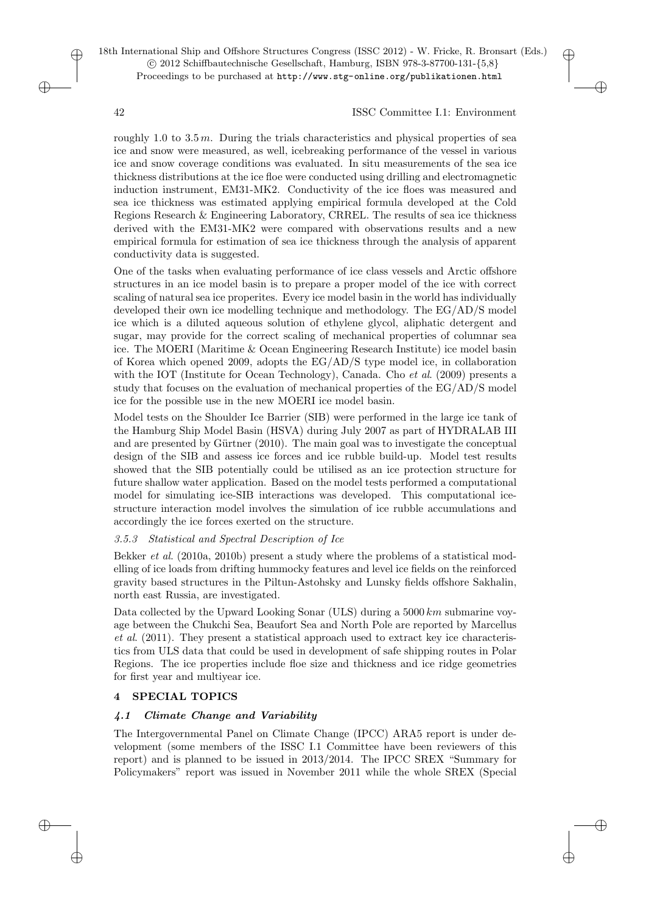✐

## 42 ISSC Committee I.1: Environment

✐

✐

✐

✐

roughly 1.0 to  $3.5 \, \text{m}$ . During the trials characteristics and physical properties of sea ice and snow were measured, as well, icebreaking performance of the vessel in various ice and snow coverage conditions was evaluated. In situ measurements of the sea ice thickness distributions at the ice floe were conducted using drilling and electromagnetic induction instrument, EM31-MK2. Conductivity of the ice floes was measured and sea ice thickness was estimated applying empirical formula developed at the Cold Regions Research & Engineering Laboratory, CRREL. The results of sea ice thickness derived with the EM31-MK2 were compared with observations results and a new empirical formula for estimation of sea ice thickness through the analysis of apparent conductivity data is suggested.

One of the tasks when evaluating performance of ice class vessels and Arctic offshore structures in an ice model basin is to prepare a proper model of the ice with correct scaling of natural sea ice properites. Every ice model basin in the world has individually developed their own ice modelling technique and methodology. The EG/AD/S model ice which is a diluted aqueous solution of ethylene glycol, aliphatic detergent and sugar, may provide for the correct scaling of mechanical properties of columnar sea ice. The MOERI (Maritime & Ocean Engineering Research Institute) ice model basin of Korea which opened 2009, adopts the  $EG/AD/S$  type model ice, in collaboration with the IOT (Institute for Ocean Technology), Canada. Cho et al. (2009) presents a study that focuses on the evaluation of mechanical properties of the EG/AD/S model ice for the possible use in the new MOERI ice model basin.

Model tests on the Shoulder Ice Barrier (SIB) were performed in the large ice tank of the Hamburg Ship Model Basin (HSVA) during July 2007 as part of HYDRALAB III and are presented by Gürtner  $(2010)$ . The main goal was to investigate the conceptual design of the SIB and assess ice forces and ice rubble build-up. Model test results showed that the SIB potentially could be utilised as an ice protection structure for future shallow water application. Based on the model tests performed a computational model for simulating ice-SIB interactions was developed. This computational icestructure interaction model involves the simulation of ice rubble accumulations and accordingly the ice forces exerted on the structure.

# 3.5.3 Statistical and Spectral Description of Ice

Bekker *et al.* (2010a, 2010b) present a study where the problems of a statistical modelling of ice loads from drifting hummocky features and level ice fields on the reinforced gravity based structures in the Piltun-Astohsky and Lunsky fields offshore Sakhalin, north east Russia, are investigated.

Data collected by the Upward Looking Sonar (ULS) during a  $5000 \, km$  submarine voyage between the Chukchi Sea, Beaufort Sea and North Pole are reported by Marcellus et al. (2011). They present a statistical approach used to extract key ice characteristics from ULS data that could be used in development of safe shipping routes in Polar Regions. The ice properties include floe size and thickness and ice ridge geometries for first year and multiyear ice.

## 4 SPECIAL TOPICS

✐

✐

## 4.1 Climate Change and Variability

The Intergovernmental Panel on Climate Change (IPCC) ARA5 report is under development (some members of the ISSC I.1 Committee have been reviewers of this report) and is planned to be issued in 2013/2014. The IPCC SREX "Summary for Policymakers" report was issued in November 2011 while the whole SREX (Special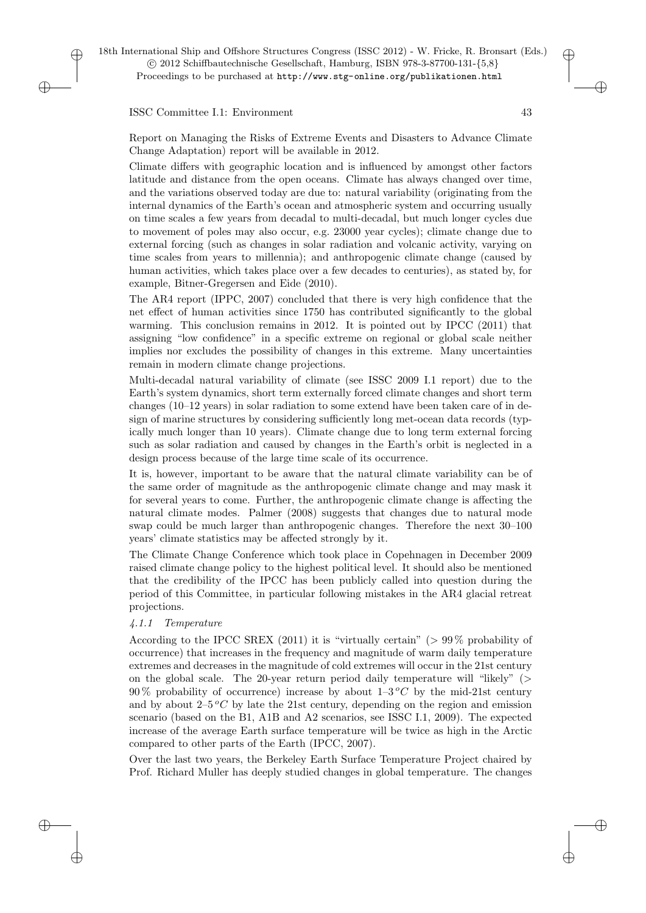ISSC Committee I.1: Environment 43

 $\oplus$ 

✐

✐

Report on Managing the Risks of Extreme Events and Disasters to Advance Climate Change Adaptation) report will be available in 2012.

Climate differs with geographic location and is influenced by amongst other factors latitude and distance from the open oceans. Climate has always changed over time, and the variations observed today are due to: natural variability (originating from the internal dynamics of the Earth's ocean and atmospheric system and occurring usually on time scales a few years from decadal to multi-decadal, but much longer cycles due to movement of poles may also occur, e.g. 23000 year cycles); climate change due to external forcing (such as changes in solar radiation and volcanic activity, varying on time scales from years to millennia); and anthropogenic climate change (caused by human activities, which takes place over a few decades to centuries), as stated by, for example, Bitner-Gregersen and Eide (2010).

The AR4 report (IPPC, 2007) concluded that there is very high confidence that the net effect of human activities since 1750 has contributed significantly to the global warming. This conclusion remains in 2012. It is pointed out by IPCC (2011) that assigning "low confidence" in a specific extreme on regional or global scale neither implies nor excludes the possibility of changes in this extreme. Many uncertainties remain in modern climate change projections.

Multi-decadal natural variability of climate (see ISSC 2009 I.1 report) due to the Earth's system dynamics, short term externally forced climate changes and short term changes (10–12 years) in solar radiation to some extend have been taken care of in design of marine structures by considering sufficiently long met-ocean data records (typically much longer than 10 years). Climate change due to long term external forcing such as solar radiation and caused by changes in the Earth's orbit is neglected in a design process because of the large time scale of its occurrence.

It is, however, important to be aware that the natural climate variability can be of the same order of magnitude as the anthropogenic climate change and may mask it for several years to come. Further, the anthropogenic climate change is affecting the natural climate modes. Palmer (2008) suggests that changes due to natural mode swap could be much larger than anthropogenic changes. Therefore the next 30–100 years' climate statistics may be affected strongly by it.

The Climate Change Conference which took place in Copehnagen in December 2009 raised climate change policy to the highest political level. It should also be mentioned that the credibility of the IPCC has been publicly called into question during the period of this Committee, in particular following mistakes in the AR4 glacial retreat projections.

#### 4.1.1 Temperature

According to the IPCC SREX (2011) it is "virtually certain" ( $> 99\%$  probability of occurrence) that increases in the frequency and magnitude of warm daily temperature extremes and decreases in the magnitude of cold extremes will occur in the 21st century on the global scale. The 20-year return period daily temperature will "likely" ( $>$ 90% probability of occurrence) increase by about  $1-3$  °C by the mid-21st century and by about  $2-5$  °C by late the 21st century, depending on the region and emission scenario (based on the B1, A1B and A2 scenarios, see ISSC I.1, 2009). The expected increase of the average Earth surface temperature will be twice as high in the Arctic compared to other parts of the Earth (IPCC, 2007).

Over the last two years, the Berkeley Earth Surface Temperature Project chaired by Prof. Richard Muller has deeply studied changes in global temperature. The changes

✐

✐

✐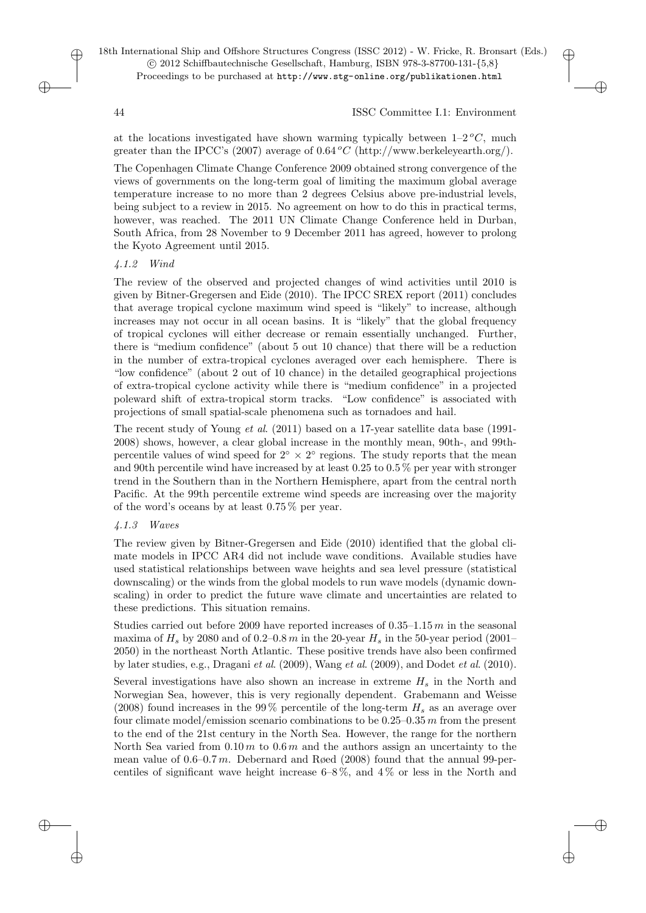#### 44 ISSC Committee I.1: Environment

✐

✐

✐

✐

at the locations investigated have shown warming typically between  $1-2\degree C$ , much greater than the IPCC's (2007) average of  $0.64\,^{\circ}C$  (http://www.berkeleyearth.org/).

The Copenhagen Climate Change Conference 2009 obtained strong convergence of the views of governments on the long-term goal of limiting the maximum global average temperature increase to no more than 2 degrees Celsius above pre-industrial levels, being subject to a review in 2015. No agreement on how to do this in practical terms, however, was reached. The 2011 UN Climate Change Conference held in Durban, South Africa, from 28 November to 9 December 2011 has agreed, however to prolong the Kyoto Agreement until 2015.

#### 4.1.2 Wind

The review of the observed and projected changes of wind activities until 2010 is given by Bitner-Gregersen and Eide (2010). The IPCC SREX report (2011) concludes that average tropical cyclone maximum wind speed is "likely" to increase, although increases may not occur in all ocean basins. It is "likely" that the global frequency of tropical cyclones will either decrease or remain essentially unchanged. Further, there is "medium confidence" (about 5 out 10 chance) that there will be a reduction in the number of extra-tropical cyclones averaged over each hemisphere. There is "low confidence" (about 2 out of 10 chance) in the detailed geographical projections of extra-tropical cyclone activity while there is "medium confidence" in a projected poleward shift of extra-tropical storm tracks. "Low confidence" is associated with projections of small spatial-scale phenomena such as tornadoes and hail.

The recent study of Young et al. (2011) based on a 17-year satellite data base (1991- 2008) shows, however, a clear global increase in the monthly mean, 90th-, and 99thpercentile values of wind speed for  $2^{\circ} \times 2^{\circ}$  regions. The study reports that the mean and 90th percentile wind have increased by at least 0.25 to 0.5 % per year with stronger trend in the Southern than in the Northern Hemisphere, apart from the central north Pacific. At the 99th percentile extreme wind speeds are increasing over the majority of the word's oceans by at least 0.75 % per year.

#### 4.1.3 Waves

The review given by Bitner-Gregersen and Eide (2010) identified that the global climate models in IPCC AR4 did not include wave conditions. Available studies have used statistical relationships between wave heights and sea level pressure (statistical downscaling) or the winds from the global models to run wave models (dynamic downscaling) in order to predict the future wave climate and uncertainties are related to these predictions. This situation remains.

Studies carried out before 2009 have reported increases of  $0.35-1.15 m$  in the seasonal maxima of  $H_s$  by 2080 and of 0.2–0.8 m in the 20-year  $H_s$  in the 50-year period (2001– 2050) in the northeast North Atlantic. These positive trends have also been confirmed by later studies, e.g., Dragani et al. (2009), Wang et al. (2009), and Dodet et al. (2010).

Several investigations have also shown an increase in extreme  $H_s$  in the North and Norwegian Sea, however, this is very regionally dependent. Grabemann and Weisse (2008) found increases in the 99% percentile of the long-term  $H_s$  as an average over four climate model/emission scenario combinations to be  $0.25-0.35$  m from the present to the end of the 21st century in the North Sea. However, the range for the northern North Sea varied from  $0.10 m$  to  $0.6 m$  and the authors assign an uncertainty to the mean value of  $0.6-0.7 \, m$ . Debernard and Røed (2008) found that the annual 99-percentiles of significant wave height increase 6–8 %, and 4 % or less in the North and

✐

✐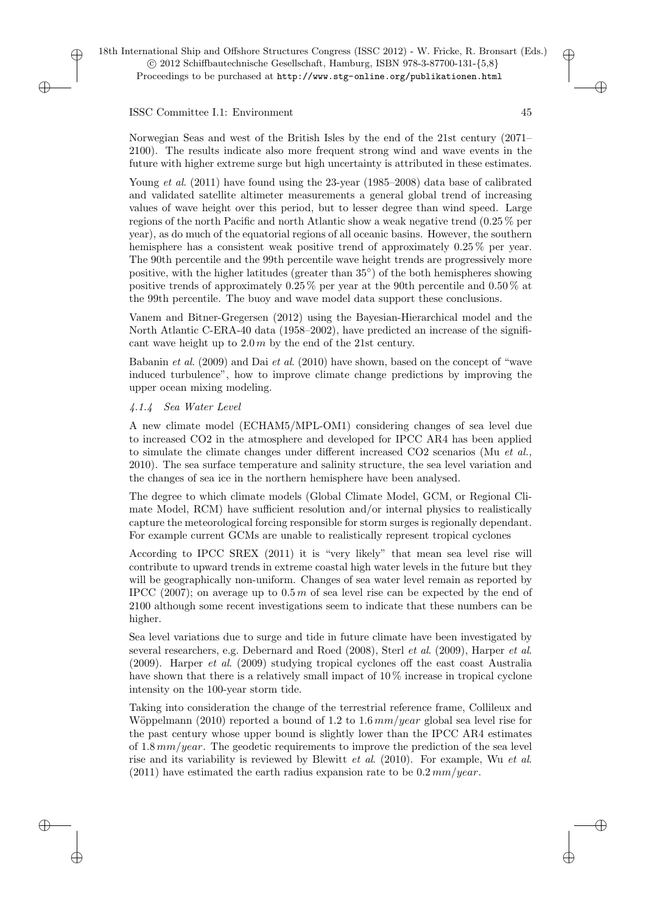## ISSC Committee I.1: Environment 45

 $\oplus$ 

✐

✐

Norwegian Seas and west of the British Isles by the end of the 21st century (2071– 2100). The results indicate also more frequent strong wind and wave events in the future with higher extreme surge but high uncertainty is attributed in these estimates.

Young *et al.* (2011) have found using the 23-year (1985–2008) data base of calibrated and validated satellite altimeter measurements a general global trend of increasing values of wave height over this period, but to lesser degree than wind speed. Large regions of the north Pacific and north Atlantic show a weak negative trend (0.25 % per year), as do much of the equatorial regions of all oceanic basins. However, the southern hemisphere has a consistent weak positive trend of approximately  $0.25\%$  per year. The 90th percentile and the 99th percentile wave height trends are progressively more positive, with the higher latitudes (greater than 35<sup>°</sup>) of the both hemispheres showing positive trends of approximately 0.25 % per year at the 90th percentile and 0.50 % at the 99th percentile. The buoy and wave model data support these conclusions.

Vanem and Bitner-Gregersen (2012) using the Bayesian-Hierarchical model and the North Atlantic C-ERA-40 data (1958–2002), have predicted an increase of the significant wave height up to  $2.0 \, \text{m}$  by the end of the 21st century.

Babanin et al. (2009) and Dai et al. (2010) have shown, based on the concept of "wave induced turbulence", how to improve climate change predictions by improving the upper ocean mixing modeling.

## 4.1.4 Sea Water Level

A new climate model (ECHAM5/MPL-OM1) considering changes of sea level due to increased CO2 in the atmosphere and developed for IPCC AR4 has been applied to simulate the climate changes under different increased  $CO2$  scenarios (Mu et al., 2010). The sea surface temperature and salinity structure, the sea level variation and the changes of sea ice in the northern hemisphere have been analysed.

The degree to which climate models (Global Climate Model, GCM, or Regional Climate Model, RCM) have sufficient resolution and/or internal physics to realistically capture the meteorological forcing responsible for storm surges is regionally dependant. For example current GCMs are unable to realistically represent tropical cyclones

According to IPCC SREX (2011) it is "very likely" that mean sea level rise will contribute to upward trends in extreme coastal high water levels in the future but they will be geographically non-uniform. Changes of sea water level remain as reported by IPCC (2007); on average up to  $0.5 \, \text{m}$  of sea level rise can be expected by the end of 2100 although some recent investigations seem to indicate that these numbers can be higher.

Sea level variations due to surge and tide in future climate have been investigated by several researchers, e.g. Debernard and Roed (2008), Sterl et al. (2009), Harper et al. (2009). Harper et al. (2009) studying tropical cyclones off the east coast Australia have shown that there is a relatively small impact of  $10\%$  increase in tropical cyclone intensity on the 100-year storm tide.

Taking into consideration the change of the terrestrial reference frame, Collileux and Wöppelmann (2010) reported a bound of 1.2 to 1.6  $mm/year$  global sea level rise for the past century whose upper bound is slightly lower than the IPCC AR4 estimates of 1.8  $mm/year$ . The geodetic requirements to improve the prediction of the sea level rise and its variability is reviewed by Blewitt et al. (2010). For example, Wu et al. (2011) have estimated the earth radius expansion rate to be  $0.2 \, mm/year$ .

✐

✐

✐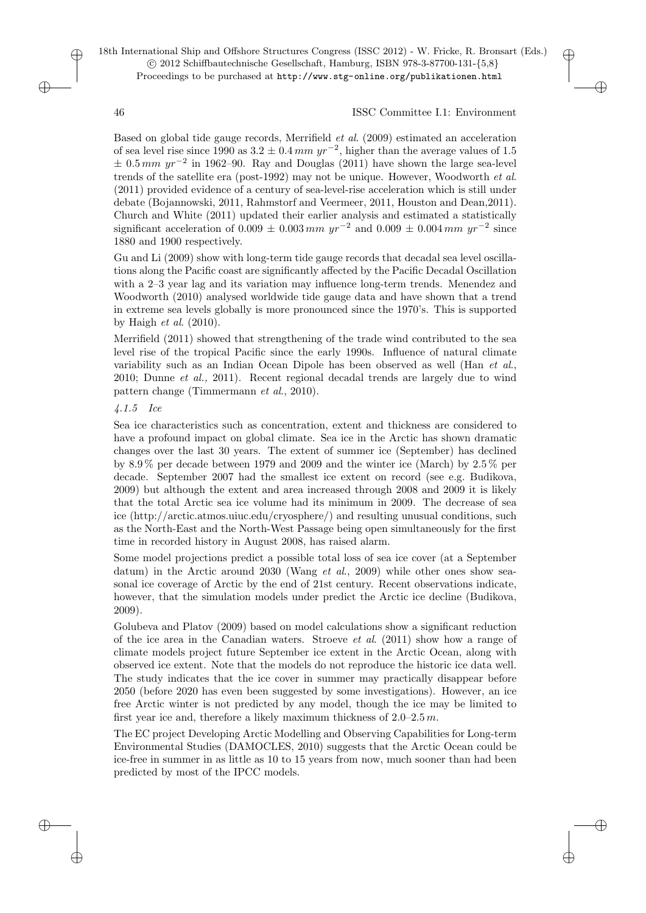$\oplus$ 

✐

✐

## 46 ISSC Committee I.1: Environment

✐

✐

✐

✐

Based on global tide gauge records, Merrifield et al. (2009) estimated an acceleration of sea level rise since 1990 as  $3.2 \pm 0.4$  mm  $yr^{-2}$ , higher than the average values of 1.5  $\pm$  0.5 mm  $yr^{-2}$  in 1962–90. Ray and Douglas (2011) have shown the large sea-level trends of the satellite era (post-1992) may not be unique. However, Woodworth et al. (2011) provided evidence of a century of sea-level-rise acceleration which is still under debate (Bojannowski, 2011, Rahmstorf and Veermeer, 2011, Houston and Dean,2011). Church and White (2011) updated their earlier analysis and estimated a statistically significant acceleration of 0.009  $\pm$  0.003 mm yr<sup>-2</sup> and 0.009  $\pm$  0.004 mm yr<sup>-2</sup> since 1880 and 1900 respectively.

Gu and Li (2009) show with long-term tide gauge records that decadal sea level oscillations along the Pacific coast are significantly affected by the Pacific Decadal Oscillation with a 2–3 year lag and its variation may influence long-term trends. Menendez and Woodworth (2010) analysed worldwide tide gauge data and have shown that a trend in extreme sea levels globally is more pronounced since the 1970's. This is supported by Haigh  $et \ al.$  (2010).

Merrifield (2011) showed that strengthening of the trade wind contributed to the sea level rise of the tropical Pacific since the early 1990s. Influence of natural climate variability such as an Indian Ocean Dipole has been observed as well (Han et al., 2010; Dunne et al., 2011). Recent regional decadal trends are largely due to wind pattern change (Timmermann et al., 2010).

## 4.1.5 Ice

Sea ice characteristics such as concentration, extent and thickness are considered to have a profound impact on global climate. Sea ice in the Arctic has shown dramatic changes over the last 30 years. The extent of summer ice (September) has declined by 8.9 % per decade between 1979 and 2009 and the winter ice (March) by 2.5 % per decade. September 2007 had the smallest ice extent on record (see e.g. Budikova, 2009) but although the extent and area increased through 2008 and 2009 it is likely that the total Arctic sea ice volume had its minimum in 2009. The decrease of sea ice (http://arctic.atmos.uiuc.edu/cryosphere/) and resulting unusual conditions, such as the North-East and the North-West Passage being open simultaneously for the first time in recorded history in August 2008, has raised alarm.

Some model projections predict a possible total loss of sea ice cover (at a September datum) in the Arctic around 2030 (Wang et al., 2009) while other ones show seasonal ice coverage of Arctic by the end of 21st century. Recent observations indicate, however, that the simulation models under predict the Arctic ice decline (Budikova, 2009).

Golubeva and Platov (2009) based on model calculations show a significant reduction of the ice area in the Canadian waters. Stroeve  $et \ al.$  (2011) show how a range of climate models project future September ice extent in the Arctic Ocean, along with observed ice extent. Note that the models do not reproduce the historic ice data well. The study indicates that the ice cover in summer may practically disappear before 2050 (before 2020 has even been suggested by some investigations). However, an ice free Arctic winter is not predicted by any model, though the ice may be limited to first year ice and, therefore a likely maximum thickness of  $2.0-2.5$  m.

The EC project Developing Arctic Modelling and Observing Capabilities for Long-term Environmental Studies (DAMOCLES, 2010) suggests that the Arctic Ocean could be ice-free in summer in as little as 10 to 15 years from now, much sooner than had been predicted by most of the IPCC models.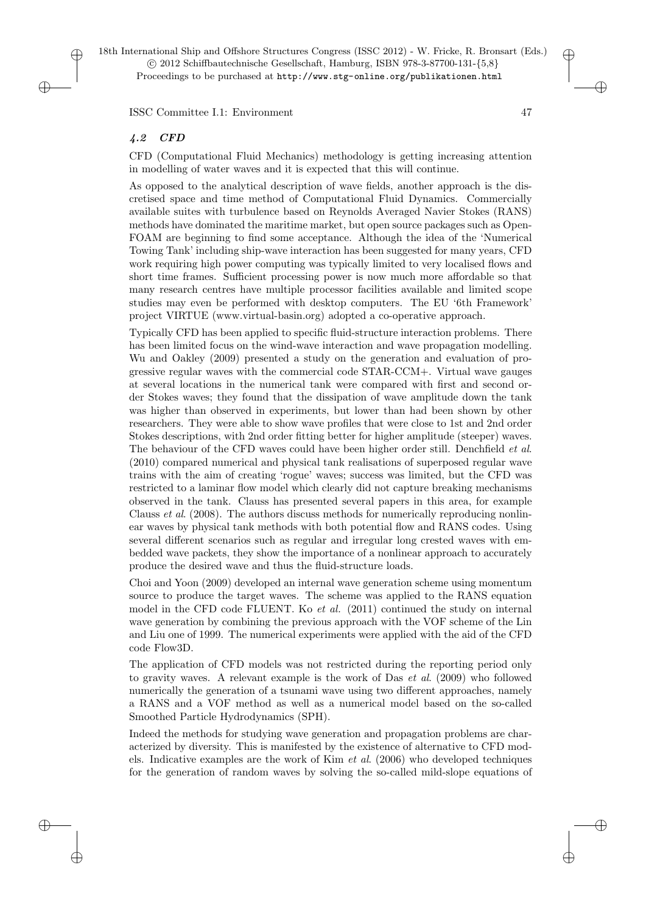ISSC Committee I.1: Environment 47

## 4.2 CFD

✐

✐

✐

CFD (Computational Fluid Mechanics) methodology is getting increasing attention in modelling of water waves and it is expected that this will continue.

As opposed to the analytical description of wave fields, another approach is the discretised space and time method of Computational Fluid Dynamics. Commercially available suites with turbulence based on Reynolds Averaged Navier Stokes (RANS) methods have dominated the maritime market, but open source packages such as Open-FOAM are beginning to find some acceptance. Although the idea of the 'Numerical Towing Tank' including ship-wave interaction has been suggested for many years, CFD work requiring high power computing was typically limited to very localised flows and short time frames. Sufficient processing power is now much more affordable so that many research centres have multiple processor facilities available and limited scope studies may even be performed with desktop computers. The EU '6th Framework' project VIRTUE (www.virtual-basin.org) adopted a co-operative approach.

Typically CFD has been applied to specific fluid-structure interaction problems. There has been limited focus on the wind-wave interaction and wave propagation modelling. Wu and Oakley (2009) presented a study on the generation and evaluation of progressive regular waves with the commercial code STAR-CCM+. Virtual wave gauges at several locations in the numerical tank were compared with first and second order Stokes waves; they found that the dissipation of wave amplitude down the tank was higher than observed in experiments, but lower than had been shown by other researchers. They were able to show wave profiles that were close to 1st and 2nd order Stokes descriptions, with 2nd order fitting better for higher amplitude (steeper) waves. The behaviour of the CFD waves could have been higher order still. Denchfield *et al.* (2010) compared numerical and physical tank realisations of superposed regular wave trains with the aim of creating 'rogue' waves; success was limited, but the CFD was restricted to a laminar flow model which clearly did not capture breaking mechanisms observed in the tank. Clauss has presented several papers in this area, for example Clauss et al. (2008). The authors discuss methods for numerically reproducing nonlinear waves by physical tank methods with both potential flow and RANS codes. Using several different scenarios such as regular and irregular long crested waves with embedded wave packets, they show the importance of a nonlinear approach to accurately produce the desired wave and thus the fluid-structure loads.

Choi and Yoon (2009) developed an internal wave generation scheme using momentum source to produce the target waves. The scheme was applied to the RANS equation model in the CFD code FLUENT. Ko *et al.* (2011) continued the study on internal wave generation by combining the previous approach with the VOF scheme of the Lin and Liu one of 1999. The numerical experiments were applied with the aid of the CFD code Flow3D.

The application of CFD models was not restricted during the reporting period only to gravity waves. A relevant example is the work of Das  $et \ al.$  (2009) who followed numerically the generation of a tsunami wave using two different approaches, namely a RANS and a VOF method as well as a numerical model based on the so-called Smoothed Particle Hydrodynamics (SPH).

Indeed the methods for studying wave generation and propagation problems are characterized by diversity. This is manifested by the existence of alternative to CFD models. Indicative examples are the work of Kim  $et \ al.$  (2006) who developed techniques for the generation of random waves by solving the so-called mild-slope equations of

✐

✐

✐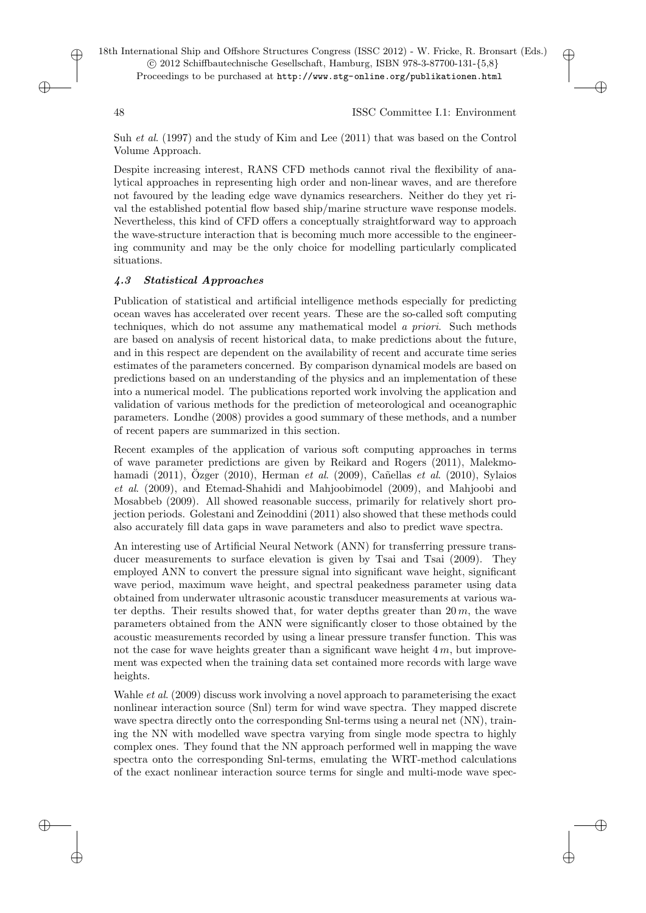#### 48 ISSC Committee I.1: Environment

✐

✐

✐

✐

Suh et al. (1997) and the study of Kim and Lee (2011) that was based on the Control Volume Approach.

Despite increasing interest, RANS CFD methods cannot rival the flexibility of analytical approaches in representing high order and non-linear waves, and are therefore not favoured by the leading edge wave dynamics researchers. Neither do they yet rival the established potential flow based ship/marine structure wave response models. Nevertheless, this kind of CFD offers a conceptually straightforward way to approach the wave-structure interaction that is becoming much more accessible to the engineering community and may be the only choice for modelling particularly complicated situations.

## 4.3 Statistical Approaches

Publication of statistical and artificial intelligence methods especially for predicting ocean waves has accelerated over recent years. These are the so-called soft computing techniques, which do not assume any mathematical model a priori. Such methods are based on analysis of recent historical data, to make predictions about the future, and in this respect are dependent on the availability of recent and accurate time series estimates of the parameters concerned. By comparison dynamical models are based on predictions based on an understanding of the physics and an implementation of these into a numerical model. The publications reported work involving the application and validation of various methods for the prediction of meteorological and oceanographic parameters. Londhe (2008) provides a good summary of these methods, and a number of recent papers are summarized in this section.

Recent examples of the application of various soft computing approaches in terms of wave parameter predictions are given by Reikard and Rogers (2011), Malekmohamadi (2011), Ozger (2010), Herman et al. (2009), Cañellas et al. (2010), Sylaios et al. (2009), and Etemad-Shahidi and Mahjoobimodel (2009), and Mahjoobi and Mosabbeb (2009). All showed reasonable success, primarily for relatively short projection periods. Golestani and Zeinoddini (2011) also showed that these methods could also accurately fill data gaps in wave parameters and also to predict wave spectra.

An interesting use of Artificial Neural Network (ANN) for transferring pressure transducer measurements to surface elevation is given by Tsai and Tsai (2009). They employed ANN to convert the pressure signal into significant wave height, significant wave period, maximum wave height, and spectral peakedness parameter using data obtained from underwater ultrasonic acoustic transducer measurements at various water depths. Their results showed that, for water depths greater than  $20 m$ , the wave parameters obtained from the ANN were significantly closer to those obtained by the acoustic measurements recorded by using a linear pressure transfer function. This was not the case for wave heights greater than a significant wave height  $4 m$ , but improvement was expected when the training data set contained more records with large wave heights.

Wahle *et al.* (2009) discuss work involving a novel approach to parameterising the exact nonlinear interaction source (Snl) term for wind wave spectra. They mapped discrete wave spectra directly onto the corresponding Snl-terms using a neural net  $(NN)$ , training the NN with modelled wave spectra varying from single mode spectra to highly complex ones. They found that the NN approach performed well in mapping the wave spectra onto the corresponding Snl-terms, emulating the WRT-method calculations of the exact nonlinear interaction source terms for single and multi-mode wave spec-

✐

✐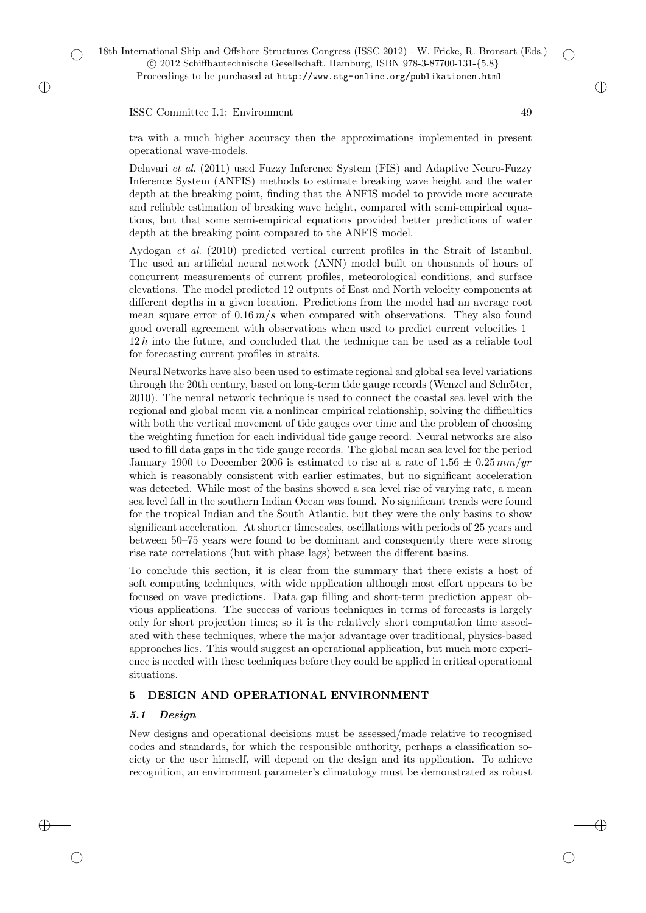ISSC Committee I.1: Environment 49

✐

✐

✐

✐

✐

tra with a much higher accuracy then the approximations implemented in present operational wave-models.

Delavari et al. (2011) used Fuzzy Inference System (FIS) and Adaptive Neuro-Fuzzy Inference System (ANFIS) methods to estimate breaking wave height and the water depth at the breaking point, finding that the ANFIS model to provide more accurate and reliable estimation of breaking wave height, compared with semi-empirical equations, but that some semi-empirical equations provided better predictions of water depth at the breaking point compared to the ANFIS model.

Aydogan et al. (2010) predicted vertical current profiles in the Strait of Istanbul. The used an artificial neural network (ANN) model built on thousands of hours of concurrent measurements of current profiles, meteorological conditions, and surface elevations. The model predicted 12 outputs of East and North velocity components at different depths in a given location. Predictions from the model had an average root mean square error of  $0.16 \, m/s$  when compared with observations. They also found good overall agreement with observations when used to predict current velocities 1– 12 h into the future, and concluded that the technique can be used as a reliable tool for forecasting current profiles in straits.

Neural Networks have also been used to estimate regional and global sea level variations through the 20th century, based on long-term tide gauge records (Wenzel and Schröter, 2010). The neural network technique is used to connect the coastal sea level with the regional and global mean via a nonlinear empirical relationship, solving the difficulties with both the vertical movement of tide gauges over time and the problem of choosing the weighting function for each individual tide gauge record. Neural networks are also used to fill data gaps in the tide gauge records. The global mean sea level for the period January 1900 to December 2006 is estimated to rise at a rate of 1.56  $\pm$  0.25 mm/yr which is reasonably consistent with earlier estimates, but no significant acceleration was detected. While most of the basins showed a sea level rise of varying rate, a mean sea level fall in the southern Indian Ocean was found. No significant trends were found for the tropical Indian and the South Atlantic, but they were the only basins to show significant acceleration. At shorter timescales, oscillations with periods of 25 years and between 50–75 years were found to be dominant and consequently there were strong rise rate correlations (but with phase lags) between the different basins.

To conclude this section, it is clear from the summary that there exists a host of soft computing techniques, with wide application although most effort appears to be focused on wave predictions. Data gap filling and short-term prediction appear obvious applications. The success of various techniques in terms of forecasts is largely only for short projection times; so it is the relatively short computation time associated with these techniques, where the major advantage over traditional, physics-based approaches lies. This would suggest an operational application, but much more experience is needed with these techniques before they could be applied in critical operational situations.

## 5 DESIGN AND OPERATIONAL ENVIRONMENT

#### 5.1 Design

✐

✐

New designs and operational decisions must be assessed/made relative to recognised codes and standards, for which the responsible authority, perhaps a classification society or the user himself, will depend on the design and its application. To achieve recognition, an environment parameter's climatology must be demonstrated as robust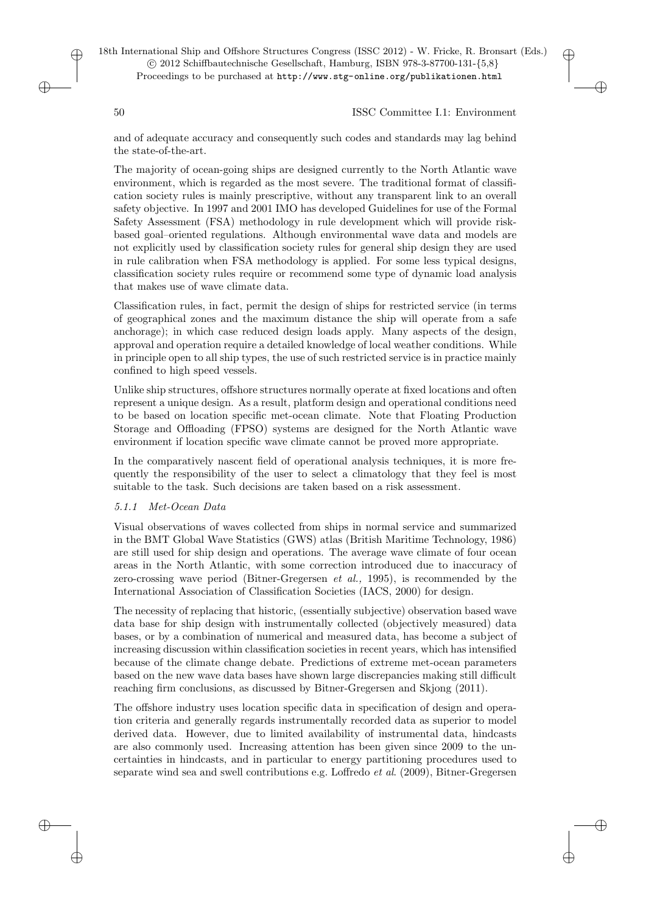### 50 ISSC Committee I.1: Environment

✐

✐

✐

✐

and of adequate accuracy and consequently such codes and standards may lag behind the state-of-the-art.

The majority of ocean-going ships are designed currently to the North Atlantic wave environment, which is regarded as the most severe. The traditional format of classification society rules is mainly prescriptive, without any transparent link to an overall safety objective. In 1997 and 2001 IMO has developed Guidelines for use of the Formal Safety Assessment (FSA) methodology in rule development which will provide riskbased goal–oriented regulations. Although environmental wave data and models are not explicitly used by classification society rules for general ship design they are used in rule calibration when FSA methodology is applied. For some less typical designs, classification society rules require or recommend some type of dynamic load analysis that makes use of wave climate data.

Classification rules, in fact, permit the design of ships for restricted service (in terms of geographical zones and the maximum distance the ship will operate from a safe anchorage); in which case reduced design loads apply. Many aspects of the design, approval and operation require a detailed knowledge of local weather conditions. While in principle open to all ship types, the use of such restricted service is in practice mainly confined to high speed vessels.

Unlike ship structures, offshore structures normally operate at fixed locations and often represent a unique design. As a result, platform design and operational conditions need to be based on location specific met-ocean climate. Note that Floating Production Storage and Offloading (FPSO) systems are designed for the North Atlantic wave environment if location specific wave climate cannot be proved more appropriate.

In the comparatively nascent field of operational analysis techniques, it is more frequently the responsibility of the user to select a climatology that they feel is most suitable to the task. Such decisions are taken based on a risk assessment.

## 5.1.1 Met-Ocean Data

Visual observations of waves collected from ships in normal service and summarized in the BMT Global Wave Statistics (GWS) atlas (British Maritime Technology, 1986) are still used for ship design and operations. The average wave climate of four ocean areas in the North Atlantic, with some correction introduced due to inaccuracy of zero-crossing wave period (Bitner-Gregersen et al., 1995), is recommended by the International Association of Classification Societies (IACS, 2000) for design.

The necessity of replacing that historic, (essentially subjective) observation based wave data base for ship design with instrumentally collected (objectively measured) data bases, or by a combination of numerical and measured data, has become a subject of increasing discussion within classification societies in recent years, which has intensified because of the climate change debate. Predictions of extreme met-ocean parameters based on the new wave data bases have shown large discrepancies making still difficult reaching firm conclusions, as discussed by Bitner-Gregersen and Skjong (2011).

The offshore industry uses location specific data in specification of design and operation criteria and generally regards instrumentally recorded data as superior to model derived data. However, due to limited availability of instrumental data, hindcasts are also commonly used. Increasing attention has been given since 2009 to the uncertainties in hindcasts, and in particular to energy partitioning procedures used to separate wind sea and swell contributions e.g. Loffredo et al. (2009), Bitner-Gregersen

 $\rightarrow$ 

✐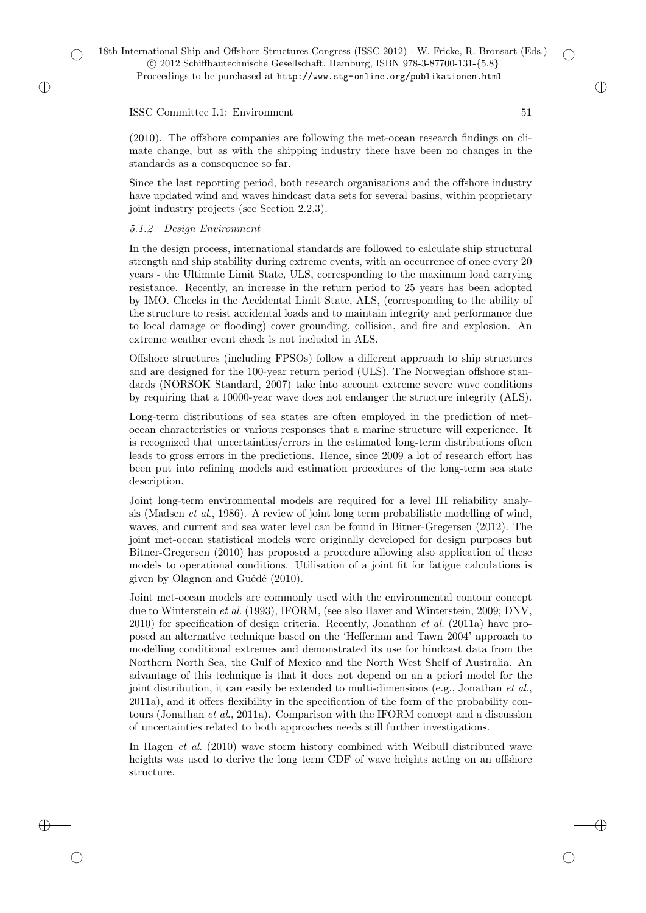## ISSC Committee I.1: Environment 51

✐

✐

✐

✐

✐

✐

✐

(2010). The offshore companies are following the met-ocean research findings on climate change, but as with the shipping industry there have been no changes in the standards as a consequence so far.

Since the last reporting period, both research organisations and the offshore industry have updated wind and waves hindcast data sets for several basins, within proprietary joint industry projects (see Section 2.2.3).

## 5.1.2 Design Environment

In the design process, international standards are followed to calculate ship structural strength and ship stability during extreme events, with an occurrence of once every 20 years - the Ultimate Limit State, ULS, corresponding to the maximum load carrying resistance. Recently, an increase in the return period to 25 years has been adopted by IMO. Checks in the Accidental Limit State, ALS, (corresponding to the ability of the structure to resist accidental loads and to maintain integrity and performance due to local damage or flooding) cover grounding, collision, and fire and explosion. An extreme weather event check is not included in ALS.

Offshore structures (including FPSOs) follow a different approach to ship structures and are designed for the 100-year return period (ULS). The Norwegian offshore standards (NORSOK Standard, 2007) take into account extreme severe wave conditions by requiring that a 10000-year wave does not endanger the structure integrity (ALS).

Long-term distributions of sea states are often employed in the prediction of metocean characteristics or various responses that a marine structure will experience. It is recognized that uncertainties/errors in the estimated long-term distributions often leads to gross errors in the predictions. Hence, since 2009 a lot of research effort has been put into refining models and estimation procedures of the long-term sea state description.

Joint long-term environmental models are required for a level III reliability analysis (Madsen et al., 1986). A review of joint long term probabilistic modelling of wind, waves, and current and sea water level can be found in Bitner-Gregersen (2012). The joint met-ocean statistical models were originally developed for design purposes but Bitner-Gregersen (2010) has proposed a procedure allowing also application of these models to operational conditions. Utilisation of a joint fit for fatigue calculations is given by Olagnon and Guédé  $(2010)$ .

Joint met-ocean models are commonly used with the environmental contour concept due to Winterstein et al. (1993), IFORM, (see also Haver and Winterstein, 2009; DNV,  $2010$ ) for specification of design criteria. Recently, Jonathan *et al.* (2011a) have proposed an alternative technique based on the 'Heffernan and Tawn 2004' approach to modelling conditional extremes and demonstrated its use for hindcast data from the Northern North Sea, the Gulf of Mexico and the North West Shelf of Australia. An advantage of this technique is that it does not depend on an a priori model for the joint distribution, it can easily be extended to multi-dimensions (e.g., Jonathan  $et al.,$ 2011a), and it offers flexibility in the specification of the form of the probability contours (Jonathan et al., 2011a). Comparison with the IFORM concept and a discussion of uncertainties related to both approaches needs still further investigations.

In Hagen *et al.* (2010) wave storm history combined with Weibull distributed wave heights was used to derive the long term CDF of wave heights acting on an offshore structure.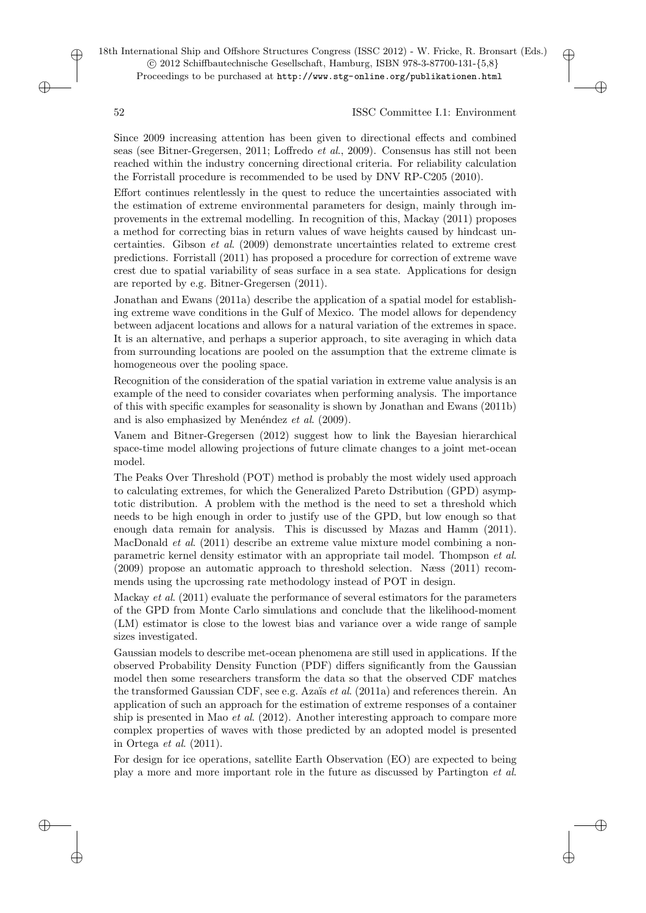✐

✐

✐

## 52 ISSC Committee I.1: Environment

✐

✐

✐

✐

Since 2009 increasing attention has been given to directional effects and combined seas (see Bitner-Gregersen, 2011; Loffredo et al., 2009). Consensus has still not been reached within the industry concerning directional criteria. For reliability calculation the Forristall procedure is recommended to be used by DNV RP-C205 (2010).

Effort continues relentlessly in the quest to reduce the uncertainties associated with the estimation of extreme environmental parameters for design, mainly through improvements in the extremal modelling. In recognition of this, Mackay (2011) proposes a method for correcting bias in return values of wave heights caused by hindcast uncertainties. Gibson et al. (2009) demonstrate uncertainties related to extreme crest predictions. Forristall (2011) has proposed a procedure for correction of extreme wave crest due to spatial variability of seas surface in a sea state. Applications for design are reported by e.g. Bitner-Gregersen (2011).

Jonathan and Ewans (2011a) describe the application of a spatial model for establishing extreme wave conditions in the Gulf of Mexico. The model allows for dependency between adjacent locations and allows for a natural variation of the extremes in space. It is an alternative, and perhaps a superior approach, to site averaging in which data from surrounding locations are pooled on the assumption that the extreme climate is homogeneous over the pooling space.

Recognition of the consideration of the spatial variation in extreme value analysis is an example of the need to consider covariates when performing analysis. The importance of this with specific examples for seasonality is shown by Jonathan and Ewans (2011b) and is also emphasized by Menéndez  $et \ al.$  (2009).

Vanem and Bitner-Gregersen (2012) suggest how to link the Bayesian hierarchical space-time model allowing projections of future climate changes to a joint met-ocean model.

The Peaks Over Threshold (POT) method is probably the most widely used approach to calculating extremes, for which the Generalized Pareto Dstribution (GPD) asymptotic distribution. A problem with the method is the need to set a threshold which needs to be high enough in order to justify use of the GPD, but low enough so that enough data remain for analysis. This is discussed by Mazas and Hamm (2011). MacDonald *et al.* (2011) describe an extreme value mixture model combining a nonparametric kernel density estimator with an appropriate tail model. Thompson et al. (2009) propose an automatic approach to threshold selection. Næss (2011) recommends using the upcrossing rate methodology instead of POT in design.

Mackay et al. (2011) evaluate the performance of several estimators for the parameters of the GPD from Monte Carlo simulations and conclude that the likelihood-moment (LM) estimator is close to the lowest bias and variance over a wide range of sample sizes investigated.

Gaussian models to describe met-ocean phenomena are still used in applications. If the observed Probability Density Function (PDF) differs significantly from the Gaussian model then some researchers transform the data so that the observed CDF matches the transformed Gaussian CDF, see e.g. Azaïs  $et al.$  (2011a) and references therein. An application of such an approach for the estimation of extreme responses of a container ship is presented in Mao et al. (2012). Another interesting approach to compare more complex properties of waves with those predicted by an adopted model is presented in Ortega et al. (2011).

For design for ice operations, satellite Earth Observation (EO) are expected to being play a more and more important role in the future as discussed by Partington et al.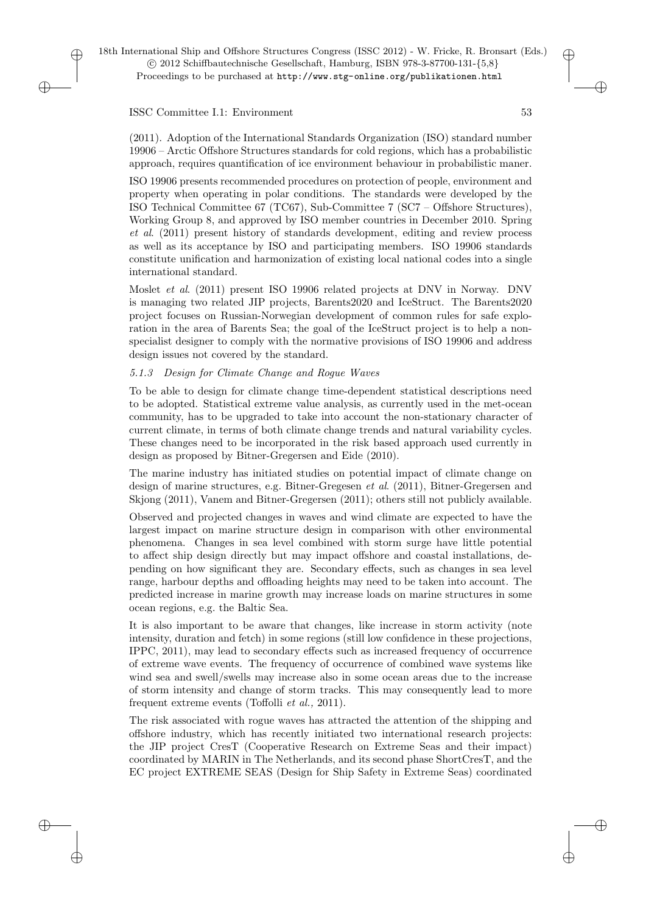## ISSC Committee I.1: Environment 53

 $\oplus$ 

✐

✐

✐

✐

✐

✐

(2011). Adoption of the International Standards Organization (ISO) standard number 19906 – Arctic Offshore Structures standards for cold regions, which has a probabilistic approach, requires quantification of ice environment behaviour in probabilistic maner.

ISO 19906 presents recommended procedures on protection of people, environment and property when operating in polar conditions. The standards were developed by the ISO Technical Committee 67 (TC67), Sub-Committee 7 (SC7 – Offshore Structures), Working Group 8, and approved by ISO member countries in December 2010. Spring et al. (2011) present history of standards development, editing and review process as well as its acceptance by ISO and participating members. ISO 19906 standards constitute unification and harmonization of existing local national codes into a single international standard.

Moslet et al. (2011) present ISO 19906 related projects at DNV in Norway. DNV is managing two related JIP projects, Barents2020 and IceStruct. The Barents2020 project focuses on Russian-Norwegian development of common rules for safe exploration in the area of Barents Sea; the goal of the IceStruct project is to help a nonspecialist designer to comply with the normative provisions of ISO 19906 and address design issues not covered by the standard.

#### 5.1.3 Design for Climate Change and Rogue Waves

To be able to design for climate change time-dependent statistical descriptions need to be adopted. Statistical extreme value analysis, as currently used in the met-ocean community, has to be upgraded to take into account the non-stationary character of current climate, in terms of both climate change trends and natural variability cycles. These changes need to be incorporated in the risk based approach used currently in design as proposed by Bitner-Gregersen and Eide (2010).

The marine industry has initiated studies on potential impact of climate change on design of marine structures, e.g. Bitner-Gregesen et al. (2011), Bitner-Gregersen and Skjong (2011), Vanem and Bitner-Gregersen (2011); others still not publicly available.

Observed and projected changes in waves and wind climate are expected to have the largest impact on marine structure design in comparison with other environmental phenomena. Changes in sea level combined with storm surge have little potential to affect ship design directly but may impact offshore and coastal installations, depending on how significant they are. Secondary effects, such as changes in sea level range, harbour depths and offloading heights may need to be taken into account. The predicted increase in marine growth may increase loads on marine structures in some ocean regions, e.g. the Baltic Sea.

It is also important to be aware that changes, like increase in storm activity (note intensity, duration and fetch) in some regions (still low confidence in these projections, IPPC, 2011), may lead to secondary effects such as increased frequency of occurrence of extreme wave events. The frequency of occurrence of combined wave systems like wind sea and swell/swells may increase also in some ocean areas due to the increase of storm intensity and change of storm tracks. This may consequently lead to more frequent extreme events (Toffolli et al., 2011).

The risk associated with rogue waves has attracted the attention of the shipping and offshore industry, which has recently initiated two international research projects: the JIP project CresT (Cooperative Research on Extreme Seas and their impact) coordinated by MARIN in The Netherlands, and its second phase ShortCresT, and the EC project EXTREME SEAS (Design for Ship Safety in Extreme Seas) coordinated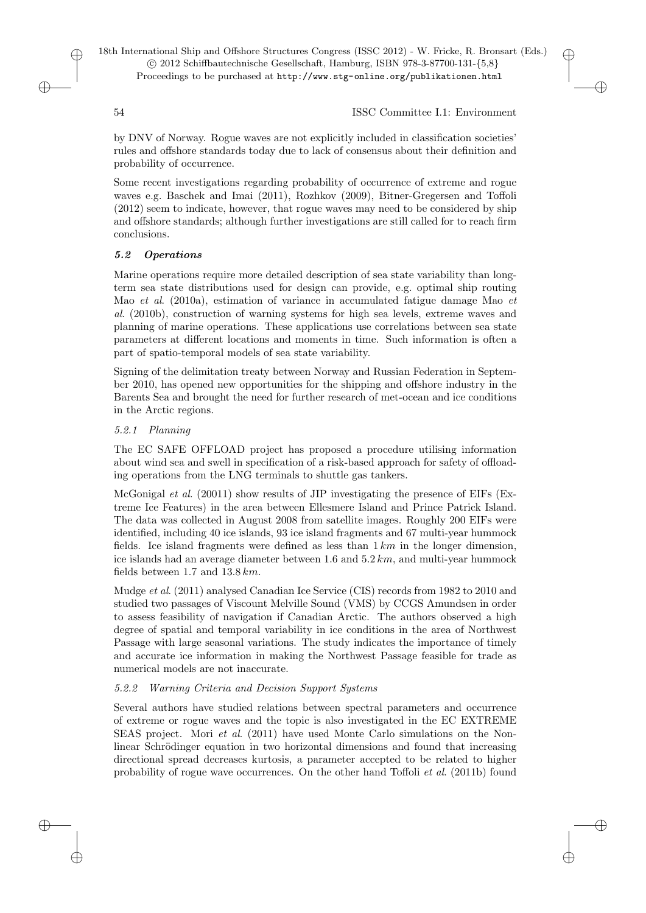#### 54 ISSC Committee I.1: Environment

✐

✐

✐

✐

by DNV of Norway. Rogue waves are not explicitly included in classification societies' rules and offshore standards today due to lack of consensus about their definition and probability of occurrence.

Some recent investigations regarding probability of occurrence of extreme and rogue waves e.g. Baschek and Imai (2011), Rozhkov (2009), Bitner-Gregersen and Toffoli (2012) seem to indicate, however, that rogue waves may need to be considered by ship and offshore standards; although further investigations are still called for to reach firm conclusions.

## 5.2 Operations

Marine operations require more detailed description of sea state variability than longterm sea state distributions used for design can provide, e.g. optimal ship routing Mao et al. (2010a), estimation of variance in accumulated fatigue damage Mao et al. (2010b), construction of warning systems for high sea levels, extreme waves and planning of marine operations. These applications use correlations between sea state parameters at different locations and moments in time. Such information is often a part of spatio-temporal models of sea state variability.

Signing of the delimitation treaty between Norway and Russian Federation in September 2010, has opened new opportunities for the shipping and offshore industry in the Barents Sea and brought the need for further research of met-ocean and ice conditions in the Arctic regions.

## 5.2.1 Planning

The EC SAFE OFFLOAD project has proposed a procedure utilising information about wind sea and swell in specification of a risk-based approach for safety of offloading operations from the LNG terminals to shuttle gas tankers.

McGonigal et al. (20011) show results of JIP investigating the presence of EIFs (Extreme Ice Features) in the area between Ellesmere Island and Prince Patrick Island. The data was collected in August 2008 from satellite images. Roughly 200 EIFs were identified, including 40 ice islands, 93 ice island fragments and 67 multi-year hummock fields. Ice island fragments were defined as less than  $1 km$  in the longer dimension, ice islands had an average diameter between 1.6 and  $5.2 \, km$ , and multi-year hummock fields between 1.7 and  $13.8 \, km$ .

Mudge et al. (2011) analysed Canadian Ice Service (CIS) records from 1982 to 2010 and studied two passages of Viscount Melville Sound (VMS) by CCGS Amundsen in order to assess feasibility of navigation if Canadian Arctic. The authors observed a high degree of spatial and temporal variability in ice conditions in the area of Northwest Passage with large seasonal variations. The study indicates the importance of timely and accurate ice information in making the Northwest Passage feasible for trade as numerical models are not inaccurate.

## 5.2.2 Warning Criteria and Decision Support Systems

Several authors have studied relations between spectral parameters and occurrence of extreme or rogue waves and the topic is also investigated in the EC EXTREME SEAS project. Mori et al. (2011) have used Monte Carlo simulations on the Nonlinear Schrödinger equation in two horizontal dimensions and found that increasing directional spread decreases kurtosis, a parameter accepted to be related to higher probability of rogue wave occurrences. On the other hand Toffoli et al. (2011b) found

 $\rightarrow$ 

✐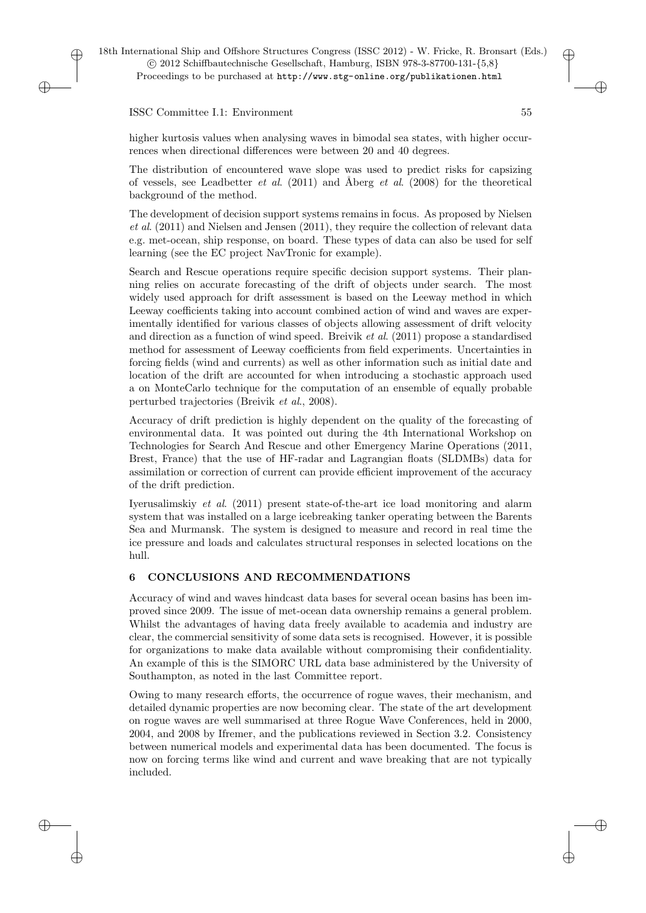ISSC Committee I.1: Environment 55

✐

✐

✐

✐

✐

✐

✐

higher kurtosis values when analysing waves in bimodal sea states, with higher occurrences when directional differences were between 20 and 40 degrees.

The distribution of encountered wave slope was used to predict risks for capsizing of vessels, see Leadbetter *et al.* (2011) and Åberg *et al.* (2008) for the theoretical background of the method.

The development of decision support systems remains in focus. As proposed by Nielsen et al. (2011) and Nielsen and Jensen (2011), they require the collection of relevant data e.g. met-ocean, ship response, on board. These types of data can also be used for self learning (see the EC project NavTronic for example).

Search and Rescue operations require specific decision support systems. Their planning relies on accurate forecasting of the drift of objects under search. The most widely used approach for drift assessment is based on the Leeway method in which Leeway coefficients taking into account combined action of wind and waves are experimentally identified for various classes of objects allowing assessment of drift velocity and direction as a function of wind speed. Breivik *et al.* (2011) propose a standardised method for assessment of Leeway coefficients from field experiments. Uncertainties in forcing fields (wind and currents) as well as other information such as initial date and location of the drift are accounted for when introducing a stochastic approach used a on MonteCarlo technique for the computation of an ensemble of equally probable perturbed trajectories (Breivik et al., 2008).

Accuracy of drift prediction is highly dependent on the quality of the forecasting of environmental data. It was pointed out during the 4th International Workshop on Technologies for Search And Rescue and other Emergency Marine Operations (2011, Brest, France) that the use of HF-radar and Lagrangian floats (SLDMBs) data for assimilation or correction of current can provide efficient improvement of the accuracy of the drift prediction.

Iyerusalimskiy et al. (2011) present state-of-the-art ice load monitoring and alarm system that was installed on a large icebreaking tanker operating between the Barents Sea and Murmansk. The system is designed to measure and record in real time the ice pressure and loads and calculates structural responses in selected locations on the hull.

## 6 CONCLUSIONS AND RECOMMENDATIONS

Accuracy of wind and waves hindcast data bases for several ocean basins has been improved since 2009. The issue of met-ocean data ownership remains a general problem. Whilst the advantages of having data freely available to academia and industry are clear, the commercial sensitivity of some data sets is recognised. However, it is possible for organizations to make data available without compromising their confidentiality. An example of this is the SIMORC URL data base administered by the University of Southampton, as noted in the last Committee report.

Owing to many research efforts, the occurrence of rogue waves, their mechanism, and detailed dynamic properties are now becoming clear. The state of the art development on rogue waves are well summarised at three Rogue Wave Conferences, held in 2000, 2004, and 2008 by Ifremer, and the publications reviewed in Section 3.2. Consistency between numerical models and experimental data has been documented. The focus is now on forcing terms like wind and current and wave breaking that are not typically included.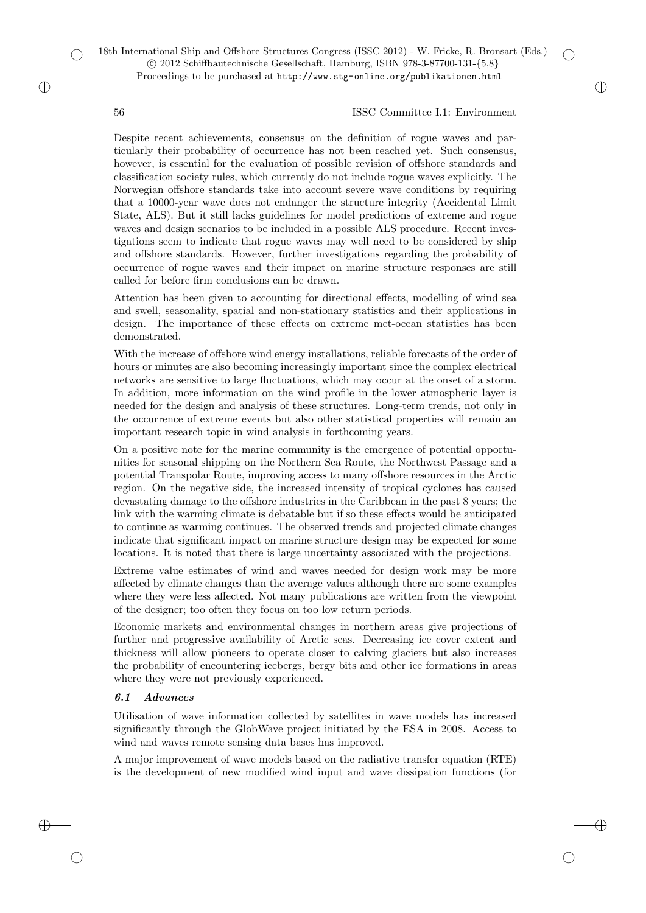✐

## 56 ISSC Committee I.1: Environment

✐

✐

✐

✐

Despite recent achievements, consensus on the definition of rogue waves and particularly their probability of occurrence has not been reached yet. Such consensus, however, is essential for the evaluation of possible revision of offshore standards and classification society rules, which currently do not include rogue waves explicitly. The Norwegian offshore standards take into account severe wave conditions by requiring that a 10000-year wave does not endanger the structure integrity (Accidental Limit State, ALS). But it still lacks guidelines for model predictions of extreme and rogue waves and design scenarios to be included in a possible ALS procedure. Recent investigations seem to indicate that rogue waves may well need to be considered by ship and offshore standards. However, further investigations regarding the probability of occurrence of rogue waves and their impact on marine structure responses are still called for before firm conclusions can be drawn.

Attention has been given to accounting for directional effects, modelling of wind sea and swell, seasonality, spatial and non-stationary statistics and their applications in design. The importance of these effects on extreme met-ocean statistics has been demonstrated.

With the increase of offshore wind energy installations, reliable forecasts of the order of hours or minutes are also becoming increasingly important since the complex electrical networks are sensitive to large fluctuations, which may occur at the onset of a storm. In addition, more information on the wind profile in the lower atmospheric layer is needed for the design and analysis of these structures. Long-term trends, not only in the occurrence of extreme events but also other statistical properties will remain an important research topic in wind analysis in forthcoming years.

On a positive note for the marine community is the emergence of potential opportunities for seasonal shipping on the Northern Sea Route, the Northwest Passage and a potential Transpolar Route, improving access to many offshore resources in the Arctic region. On the negative side, the increased intensity of tropical cyclones has caused devastating damage to the offshore industries in the Caribbean in the past 8 years; the link with the warming climate is debatable but if so these effects would be anticipated to continue as warming continues. The observed trends and projected climate changes indicate that significant impact on marine structure design may be expected for some locations. It is noted that there is large uncertainty associated with the projections.

Extreme value estimates of wind and waves needed for design work may be more affected by climate changes than the average values although there are some examples where they were less affected. Not many publications are written from the viewpoint of the designer; too often they focus on too low return periods.

Economic markets and environmental changes in northern areas give projections of further and progressive availability of Arctic seas. Decreasing ice cover extent and thickness will allow pioneers to operate closer to calving glaciers but also increases the probability of encountering icebergs, bergy bits and other ice formations in areas where they were not previously experienced.

#### 6.1 Advances

✐

✐

Utilisation of wave information collected by satellites in wave models has increased significantly through the GlobWave project initiated by the ESA in 2008. Access to wind and waves remote sensing data bases has improved.

A major improvement of wave models based on the radiative transfer equation (RTE) is the development of new modified wind input and wave dissipation functions (for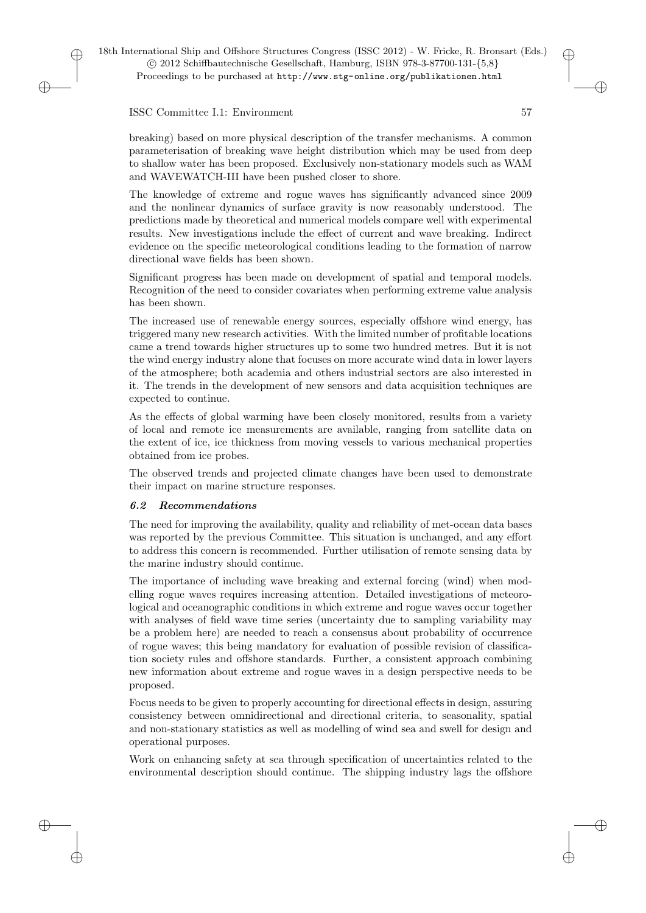# ISSC Committee I.1: Environment 57

 $\rightarrow$ 

✐

✐

breaking) based on more physical description of the transfer mechanisms. A common parameterisation of breaking wave height distribution which may be used from deep to shallow water has been proposed. Exclusively non-stationary models such as WAM and WAVEWATCH-III have been pushed closer to shore.

The knowledge of extreme and rogue waves has significantly advanced since 2009 and the nonlinear dynamics of surface gravity is now reasonably understood. The predictions made by theoretical and numerical models compare well with experimental results. New investigations include the effect of current and wave breaking. Indirect evidence on the specific meteorological conditions leading to the formation of narrow directional wave fields has been shown.

Significant progress has been made on development of spatial and temporal models. Recognition of the need to consider covariates when performing extreme value analysis has been shown.

The increased use of renewable energy sources, especially offshore wind energy, has triggered many new research activities. With the limited number of profitable locations came a trend towards higher structures up to some two hundred metres. But it is not the wind energy industry alone that focuses on more accurate wind data in lower layers of the atmosphere; both academia and others industrial sectors are also interested in it. The trends in the development of new sensors and data acquisition techniques are expected to continue.

As the effects of global warming have been closely monitored, results from a variety of local and remote ice measurements are available, ranging from satellite data on the extent of ice, ice thickness from moving vessels to various mechanical properties obtained from ice probes.

The observed trends and projected climate changes have been used to demonstrate their impact on marine structure responses.

### 6.2 Recommendations

The need for improving the availability, quality and reliability of met-ocean data bases was reported by the previous Committee. This situation is unchanged, and any effort to address this concern is recommended. Further utilisation of remote sensing data by the marine industry should continue.

The importance of including wave breaking and external forcing (wind) when modelling rogue waves requires increasing attention. Detailed investigations of meteorological and oceanographic conditions in which extreme and rogue waves occur together with analyses of field wave time series (uncertainty due to sampling variability may be a problem here) are needed to reach a consensus about probability of occurrence of rogue waves; this being mandatory for evaluation of possible revision of classification society rules and offshore standards. Further, a consistent approach combining new information about extreme and rogue waves in a design perspective needs to be proposed.

Focus needs to be given to properly accounting for directional effects in design, assuring consistency between omnidirectional and directional criteria, to seasonality, spatial and non-stationary statistics as well as modelling of wind sea and swell for design and operational purposes.

Work on enhancing safety at sea through specification of uncertainties related to the environmental description should continue. The shipping industry lags the offshore

✐

✐

✐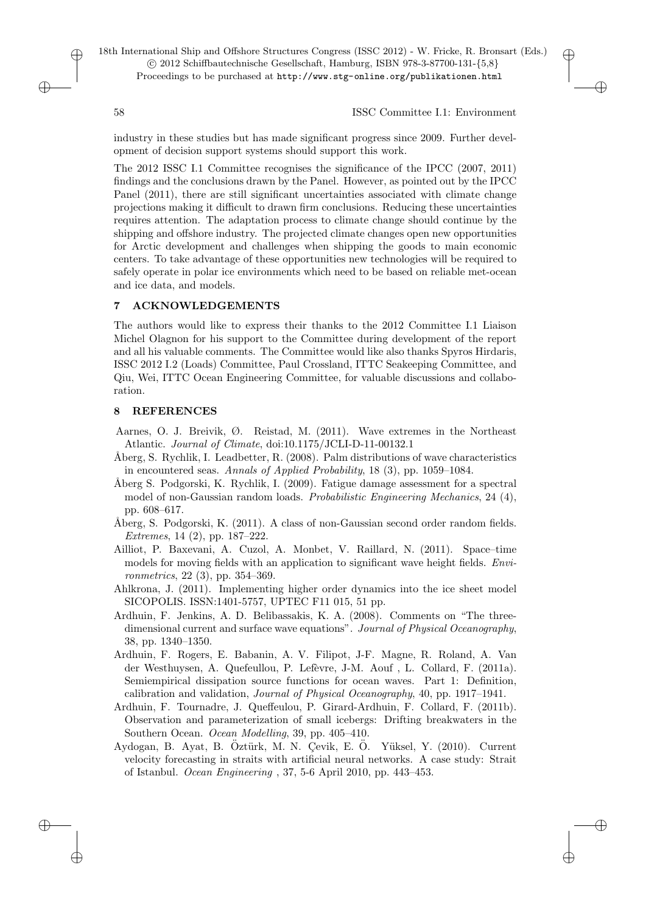#### 58 ISSC Committee I.1: Environment

✐

✐

✐

✐

industry in these studies but has made significant progress since 2009. Further development of decision support systems should support this work.

The 2012 ISSC I.1 Committee recognises the significance of the IPCC (2007, 2011) findings and the conclusions drawn by the Panel. However, as pointed out by the IPCC Panel (2011), there are still significant uncertainties associated with climate change projections making it difficult to drawn firm conclusions. Reducing these uncertainties requires attention. The adaptation process to climate change should continue by the shipping and offshore industry. The projected climate changes open new opportunities for Arctic development and challenges when shipping the goods to main economic centers. To take advantage of these opportunities new technologies will be required to safely operate in polar ice environments which need to be based on reliable met-ocean and ice data, and models.

## 7 ACKNOWLEDGEMENTS

The authors would like to express their thanks to the 2012 Committee I.1 Liaison Michel Olagnon for his support to the Committee during development of the report and all his valuable comments. The Committee would like also thanks Spyros Hirdaris, ISSC 2012 I.2 (Loads) Committee, Paul Crossland, ITTC Seakeeping Committee, and Qiu, Wei, ITTC Ocean Engineering Committee, for valuable discussions and collaboration.

## 8 REFERENCES

- Aarnes, O. J. Breivik, Ø. Reistad, M. (2011). Wave extremes in the Northeast Atlantic. Journal of Climate, doi:10.1175/JCLI-D-11-00132.1
- Åberg, S. Rychlik, I. Leadbetter, R.  $(2008)$ . Palm distributions of wave characteristics in encountered seas. Annals of Applied Probability, 18 (3), pp. 1059–1084.
- Åberg S. Podgorski, K. Rychlik, I. (2009). Fatigue damage assessment for a spectral model of non-Gaussian random loads. Probabilistic Engineering Mechanics, 24 (4), pp. 608–617.
- Åberg, S. Podgorski, K. (2011). A class of non-Gaussian second order random fields. Extremes, 14 (2), pp. 187–222.
- Ailliot, P. Baxevani, A. Cuzol, A. Monbet, V. Raillard, N. (2011). Space–time models for moving fields with an application to significant wave height fields. Environmetrics, 22 (3), pp. 354–369.
- Ahlkrona, J. (2011). Implementing higher order dynamics into the ice sheet model SICOPOLIS. ISSN:1401-5757, UPTEC F11 015, 51 pp.
- Ardhuin, F. Jenkins, A. D. Belibassakis, K. A. (2008). Comments on "The threedimensional current and surface wave equations". Journal of Physical Oceanography, 38, pp. 1340–1350.
- Ardhuin, F. Rogers, E. Babanin, A. V. Filipot, J-F. Magne, R. Roland, A. Van der Westhuysen, A. Quefeullou, P. Lefèvre, J-M. Aouf , L. Collard, F. (2011a). Semiempirical dissipation source functions for ocean waves. Part 1: Definition, calibration and validation, Journal of Physical Oceanography, 40, pp. 1917–1941.
- Ardhuin, F. Tournadre, J. Queffeulou, P. Girard-Ardhuin, F. Collard, F. (2011b). Observation and parameterization of small icebergs: Drifting breakwaters in the Southern Ocean. Ocean Modelling, 39, pp. 405–410.
- Aydogan, B. Ayat, B. Öztürk, M. N. Çevik, E. Ö. Yüksel, Y. (2010). Current velocity forecasting in straits with artificial neural networks. A case study: Strait of Istanbul. Ocean Engineering , 37, 5-6 April 2010, pp. 443–453.

 $\rightarrow$ 

✐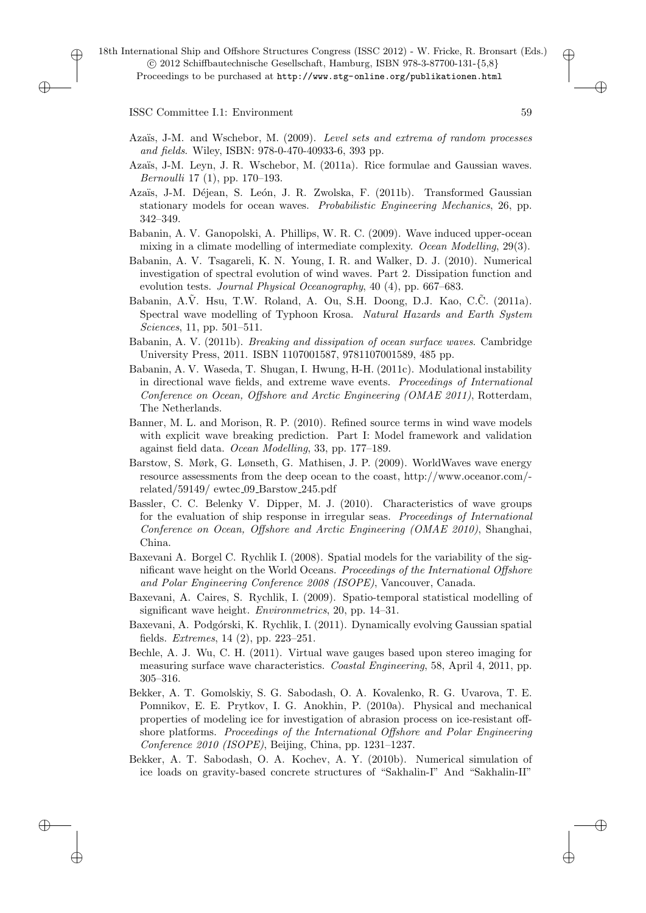ISSC Committee I.1: Environment 59

 $\oplus$ 

✐

✐

- Azaïs, J-M. and Wschebor, M. (2009). Level sets and extrema of random processes and fields. Wiley, ISBN: 978-0-470-40933-6, 393 pp.
- Azaïs, J-M. Leyn, J. R. Wschebor, M. (2011a). Rice formulae and Gaussian waves. Bernoulli 17 (1), pp. 170–193.
- Azaïs, J-M. Déjean, S. León, J. R. Zwolska, F. (2011b). Transformed Gaussian stationary models for ocean waves. Probabilistic Engineering Mechanics, 26, pp. 342–349.
- Babanin, A. V. Ganopolski, A. Phillips, W. R. C. (2009). Wave induced upper-ocean mixing in a climate modelling of intermediate complexity. Ocean Modelling, 29(3).
- Babanin, A. V. Tsagareli, K. N. Young, I. R. and Walker, D. J. (2010). Numerical investigation of spectral evolution of wind waves. Part 2. Dissipation function and evolution tests. Journal Physical Oceanography, 40 (4), pp. 667–683.
- Babanin, A. $\tilde{V}$ . Hsu, T.W. Roland, A. Ou, S.H. Doong, D.J. Kao, C.C. (2011a). Spectral wave modelling of Typhoon Krosa. Natural Hazards and Earth System Sciences, 11, pp. 501–511.
- Babanin, A. V. (2011b). Breaking and dissipation of ocean surface waves. Cambridge University Press, 2011. ISBN 1107001587, 9781107001589, 485 pp.
- Babanin, A. V. Waseda, T. Shugan, I. Hwung, H-H. (2011c). Modulational instability in directional wave fields, and extreme wave events. Proceedings of International Conference on Ocean, Offshore and Arctic Engineering (OMAE 2011), Rotterdam, The Netherlands.
- Banner, M. L. and Morison, R. P. (2010). Refined source terms in wind wave models with explicit wave breaking prediction. Part I: Model framework and validation against field data. Ocean Modelling, 33, pp. 177–189.
- Barstow, S. Mørk, G. Lønseth, G. Mathisen, J. P. (2009). WorldWaves wave energy resource assessments from the deep ocean to the coast, http://www.oceanor.com/ related/59149/ ewtec 09 Barstow 245.pdf
- Bassler, C. C. Belenky V. Dipper, M. J. (2010). Characteristics of wave groups for the evaluation of ship response in irregular seas. Proceedings of International Conference on Ocean, Offshore and Arctic Engineering (OMAE 2010), Shanghai, China.
- Baxevani A. Borgel C. Rychlik I. (2008). Spatial models for the variability of the significant wave height on the World Oceans. Proceedings of the International Offshore and Polar Engineering Conference 2008 (ISOPE), Vancouver, Canada.
- Baxevani, A. Caires, S. Rychlik, I. (2009). Spatio-temporal statistical modelling of significant wave height. Environmetrics, 20, pp. 14–31.
- Baxevani, A. Podgórski, K. Rychlik, I. (2011). Dynamically evolving Gaussian spatial fields. Extremes, 14 (2), pp. 223–251.
- Bechle, A. J. Wu, C. H. (2011). Virtual wave gauges based upon stereo imaging for measuring surface wave characteristics. Coastal Engineering, 58, April 4, 2011, pp. 305–316.
- Bekker, A. T. Gomolskiy, S. G. Sabodash, O. A. Kovalenko, R. G. Uvarova, T. E. Pomnikov, E. E. Prytkov, I. G. Anokhin, P. (2010a). Physical and mechanical properties of modeling ice for investigation of abrasion process on ice-resistant offshore platforms. Proceedings of the International Offshore and Polar Engineering Conference 2010 (ISOPE), Beijing, China, pp. 1231–1237.
- Bekker, A. T. Sabodash, O. A. Kochev, A. Y. (2010b). Numerical simulation of ice loads on gravity-based concrete structures of "Sakhalin-I" And "Sakhalin-II"

✐

✐

✐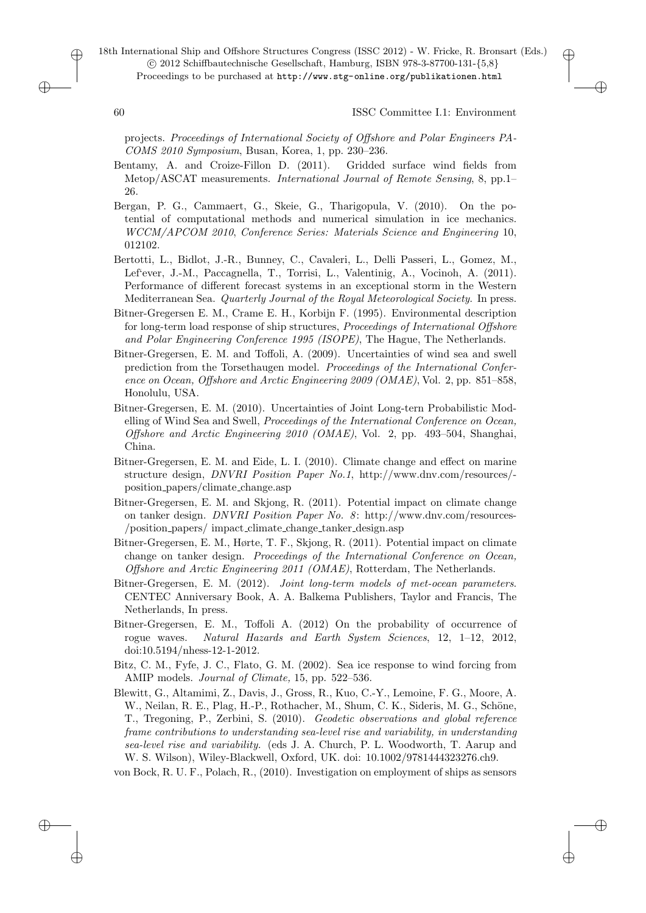✐

✐

✐

### 60 ISSC Committee I.1: Environment

✐

✐

✐

✐

projects. Proceedings of International Society of Offshore and Polar Engineers PA-COMS 2010 Symposium, Busan, Korea, 1, pp. 230–236.

- Bentamy, A. and Croize-Fillon D. (2011). Gridded surface wind fields from Metop/ASCAT measurements. International Journal of Remote Sensing, 8, pp.1– 26.
- Bergan, P. G., Cammaert, G., Skeie, G., Tharigopula, V. (2010). On the potential of computational methods and numerical simulation in ice mechanics. WCCM/APCOM 2010, Conference Series: Materials Science and Engineering 10, 012102.
- Bertotti, L., Bidlot, J.-R., Bunney, C., Cavaleri, L., Delli Passeri, L., Gomez, M., Lef'ever, J.-M., Paccagnella, T., Torrisi, L., Valentinig, A., Vocinoh, A. (2011). Performance of different forecast systems in an exceptional storm in the Western Mediterranean Sea. Quarterly Journal of the Royal Meteorological Society. In press.
- Bitner-Gregersen E. M., Crame E. H., Korbijn F. (1995). Environmental description for long-term load response of ship structures, Proceedings of International Offshore and Polar Engineering Conference 1995 (ISOPE), The Hague, The Netherlands.
- Bitner-Gregersen, E. M. and Toffoli, A. (2009). Uncertainties of wind sea and swell prediction from the Torsethaugen model. Proceedings of the International Conference on Ocean, Offshore and Arctic Engineering 2009 (OMAE), Vol. 2, pp. 851–858, Honolulu, USA.
- Bitner-Gregersen, E. M. (2010). Uncertainties of Joint Long-tern Probabilistic Modelling of Wind Sea and Swell, Proceedings of the International Conference on Ocean, Offshore and Arctic Engineering 2010 (OMAE), Vol. 2, pp. 493–504, Shanghai, China.
- Bitner-Gregersen, E. M. and Eide, L. I. (2010). Climate change and effect on marine structure design, DNVRI Position Paper No.1, http://www.dnv.com/resources/ position papers/climate change.asp
- Bitner-Gregersen, E. M. and Skjong, R. (2011). Potential impact on climate change on tanker design. DNVRI Position Paper No. 8: http://www.dnv.com/resources-/position papers/ impact climate change tanker design.asp
- Bitner-Gregersen, E. M., Hørte, T. F., Skjong, R. (2011). Potential impact on climate change on tanker design. Proceedings of the International Conference on Ocean, Offshore and Arctic Engineering 2011 (OMAE), Rotterdam, The Netherlands.
- Bitner-Gregersen, E. M. (2012). Joint long-term models of met-ocean parameters. CENTEC Anniversary Book, A. A. Balkema Publishers, Taylor and Francis, The Netherlands, In press.
- Bitner-Gregersen, E. M., Toffoli A. (2012) On the probability of occurrence of rogue waves. Natural Hazards and Earth System Sciences, 12, 1–12, 2012, doi:10.5194/nhess-12-1-2012.
- Bitz, C. M., Fyfe, J. C., Flato, G. M. (2002). Sea ice response to wind forcing from AMIP models. *Journal of Climate*, 15, pp. 522–536.
- Blewitt, G., Altamimi, Z., Davis, J., Gross, R., Kuo, C.-Y., Lemoine, F. G., Moore, A. W., Neilan, R. E., Plag, H.-P., Rothacher, M., Shum, C. K., Sideris, M. G., Schöne, T., Tregoning, P., Zerbini, S. (2010). Geodetic observations and global reference frame contributions to understanding sea-level rise and variability, in understanding sea-level rise and variability. (eds J. A. Church, P. L. Woodworth, T. Aarup and W. S. Wilson), Wiley-Blackwell, Oxford, UK. doi: 10.1002/9781444323276.ch9.

von Bock, R. U. F., Polach, R., (2010). Investigation on employment of ships as sensors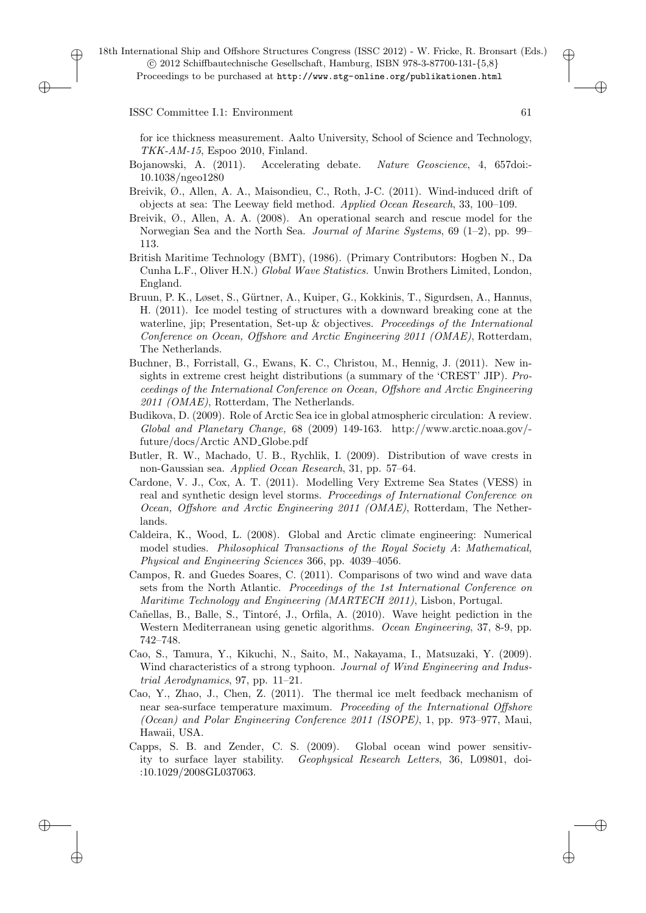ISSC Committee I.1: Environment 61

 $\oplus$ 

✐

✐

✐

✐

✐

✐

for ice thickness measurement. Aalto University, School of Science and Technology, TKK-AM-15, Espoo 2010, Finland.

- Bojanowski, A. (2011). Accelerating debate. Nature Geoscience, 4, 657doi:- 10.1038/ngeo1280
- Breivik, Ø., Allen, A. A., Maisondieu, C., Roth, J-C. (2011). Wind-induced drift of objects at sea: The Leeway field method. Applied Ocean Research, 33, 100–109.
- Breivik, Ø., Allen, A. A. (2008). An operational search and rescue model for the Norwegian Sea and the North Sea. Journal of Marine Systems, 69 (1–2), pp. 99– 113.
- British Maritime Technology (BMT), (1986). (Primary Contributors: Hogben N., Da Cunha L.F., Oliver H.N.) Global Wave Statistics. Unwin Brothers Limited, London, England.
- Bruun, P. K., Løset, S., G¨urtner, A., Kuiper, G., Kokkinis, T., Sigurdsen, A., Hannus, H. (2011). Ice model testing of structures with a downward breaking cone at the waterline, jip; Presentation, Set-up & objectives. Proceedings of the International Conference on Ocean, Offshore and Arctic Engineering 2011 (OMAE), Rotterdam, The Netherlands.
- Buchner, B., Forristall, G., Ewans, K. C., Christou, M., Hennig, J. (2011). New insights in extreme crest height distributions (a summary of the 'CREST' JIP). Proceedings of the International Conference on Ocean, Offshore and Arctic Engineering 2011 (OMAE), Rotterdam, The Netherlands.
- Budikova, D. (2009). Role of Arctic Sea ice in global atmospheric circulation: A review. Global and Planetary Change, 68 (2009) 149-163. http://www.arctic.noaa.gov/ future/docs/Arctic AND Globe.pdf
- Butler, R. W., Machado, U. B., Rychlik, I. (2009). Distribution of wave crests in non-Gaussian sea. Applied Ocean Research, 31, pp. 57–64.
- Cardone, V. J., Cox, A. T. (2011). Modelling Very Extreme Sea States (VESS) in real and synthetic design level storms. Proceedings of International Conference on Ocean, Offshore and Arctic Engineering 2011 (OMAE), Rotterdam, The Netherlands.
- Caldeira, K., Wood, L. (2008). Global and Arctic climate engineering: Numerical model studies. Philosophical Transactions of the Royal Society A: Mathematical, Physical and Engineering Sciences 366, pp. 4039–4056.
- Campos, R. and Guedes Soares, C. (2011). Comparisons of two wind and wave data sets from the North Atlantic. Proceedings of the 1st International Conference on Maritime Technology and Engineering (MARTECH 2011), Lisbon, Portugal.
- Cañellas, B., Balle, S., Tintoré, J., Orfila, A. (2010). Wave height pediction in the Western Mediterranean using genetic algorithms. Ocean Engineering, 37, 8-9, pp. 742–748.
- Cao, S., Tamura, Y., Kikuchi, N., Saito, M., Nakayama, I., Matsuzaki, Y. (2009). Wind characteristics of a strong typhoon. Journal of Wind Engineering and Industrial Aerodynamics, 97, pp. 11–21.
- Cao, Y., Zhao, J., Chen, Z. (2011). The thermal ice melt feedback mechanism of near sea-surface temperature maximum. Proceeding of the International Offshore (Ocean) and Polar Engineering Conference 2011 (ISOPE), 1, pp. 973–977, Maui, Hawaii, USA.
- Capps, S. B. and Zender, C. S. (2009). Global ocean wind power sensitivity to surface layer stability. Geophysical Research Letters, 36, L09801, doi- :10.1029/2008GL037063.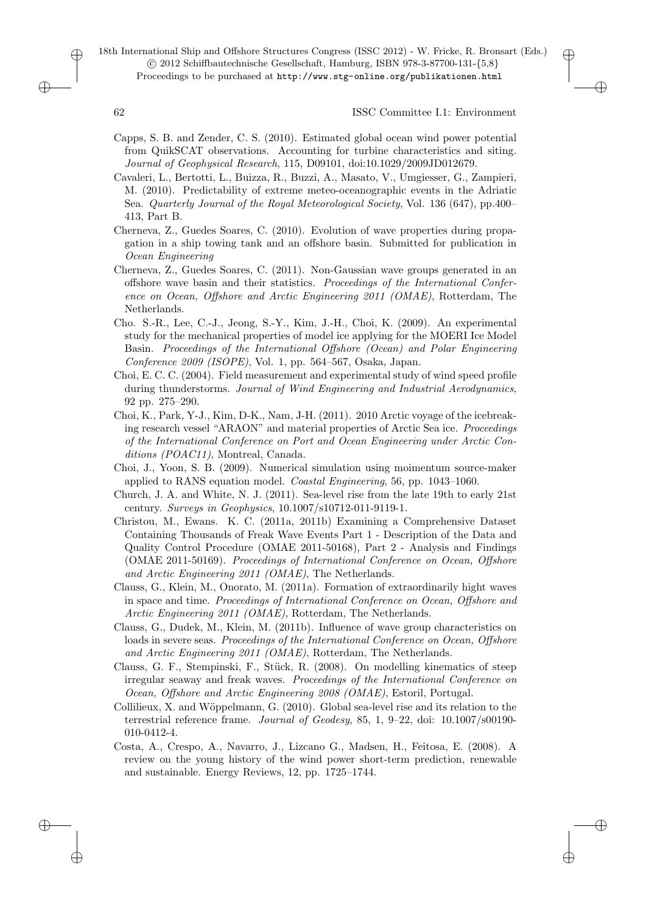#### 62 ISSC Committee I.1: Environment

✐

✐

✐

✐

- Capps, S. B. and Zender, C. S. (2010). Estimated global ocean wind power potential from QuikSCAT observations. Accounting for turbine characteristics and siting. Journal of Geophysical Research, 115, D09101, doi:10.1029/2009JD012679.
- Cavaleri, L., Bertotti, L., Buizza, R., Buzzi, A., Masato, V., Umgiesser, G., Zampieri, M. (2010). Predictability of extreme meteo-oceanographic events in the Adriatic Sea. Quarterly Journal of the Royal Meteorological Society, Vol. 136 (647), pp.400– 413, Part B.
- Cherneva, Z., Guedes Soares, C. (2010). Evolution of wave properties during propagation in a ship towing tank and an offshore basin. Submitted for publication in Ocean Engineering
- Cherneva, Z., Guedes Soares, C. (2011). Non-Gaussian wave groups generated in an offshore wave basin and their statistics. Proceedings of the International Conference on Ocean, Offshore and Arctic Engineering 2011 (OMAE), Rotterdam, The Netherlands.
- Cho. S.-R., Lee, C.-J., Jeong, S.-Y., Kim, J.-H., Choi, K. (2009). An experimental study for the mechanical properties of model ice applying for the MOERI Ice Model Basin. Proceedings of the International Offshore (Ocean) and Polar Engineering Conference 2009 (ISOPE), Vol. 1, pp. 564–567, Osaka, Japan.
- Choi, E. C. C. (2004). Field measurement and experimental study of wind speed profile during thunderstorms. Journal of Wind Engineering and Industrial Aerodynamics, 92 pp. 275–290.
- Choi, K., Park, Y-J., Kim, D-K., Nam, J-H. (2011). 2010 Arctic voyage of the icebreaking research vessel "ARAON" and material properties of Arctic Sea ice. Proceedings of the International Conference on Port and Ocean Engineering under Arctic Conditions (POAC11), Montreal, Canada.
- Choi, J., Yoon, S. B. (2009). Numerical simulation using moimentum source-maker applied to RANS equation model. Coastal Engineering, 56, pp. 1043–1060.
- Church, J. A. and White, N. J. (2011). Sea-level rise from the late 19th to early 21st century. Surveys in Geophysics, 10.1007/s10712-011-9119-1.
- Christou, M., Ewans. K. C. (2011a, 2011b) Examining a Comprehensive Dataset Containing Thousands of Freak Wave Events Part 1 - Description of the Data and Quality Control Procedure (OMAE 2011-50168), Part 2 - Analysis and Findings (OMAE 2011-50169). Proceedings of International Conference on Ocean, Offshore and Arctic Engineering 2011 (OMAE), The Netherlands.
- Clauss, G., Klein, M., Onorato, M. (2011a). Formation of extraordinarily hight waves in space and time. Proceedings of International Conference on Ocean, Offshore and Arctic Engineering 2011 (OMAE), Rotterdam, The Netherlands.
- Clauss, G., Dudek, M., Klein, M. (2011b). Influence of wave group characteristics on loads in severe seas. Proceedings of the International Conference on Ocean, Offshore and Arctic Engineering 2011 (OMAE), Rotterdam, The Netherlands.
- Clauss, G. F., Stempinski, F., Stück, R. (2008). On modelling kinematics of steep irregular seaway and freak waves. Proceedings of the International Conference on Ocean, Offshore and Arctic Engineering 2008 (OMAE), Estoril, Portugal.
- Collilieux, X. and Wöppelmann, G. (2010). Global sea-level rise and its relation to the terrestrial reference frame. Journal of Geodesy, 85, 1, 9–22, doi: 10.1007/s00190- 010-0412-4.
- Costa, A., Crespo, A., Navarro, J., Lizcano G., Madsen, H., Feitosa, E. (2008). A review on the young history of the wind power short-term prediction, renewable and sustainable. Energy Reviews, 12, pp. 1725–1744.

✐

✐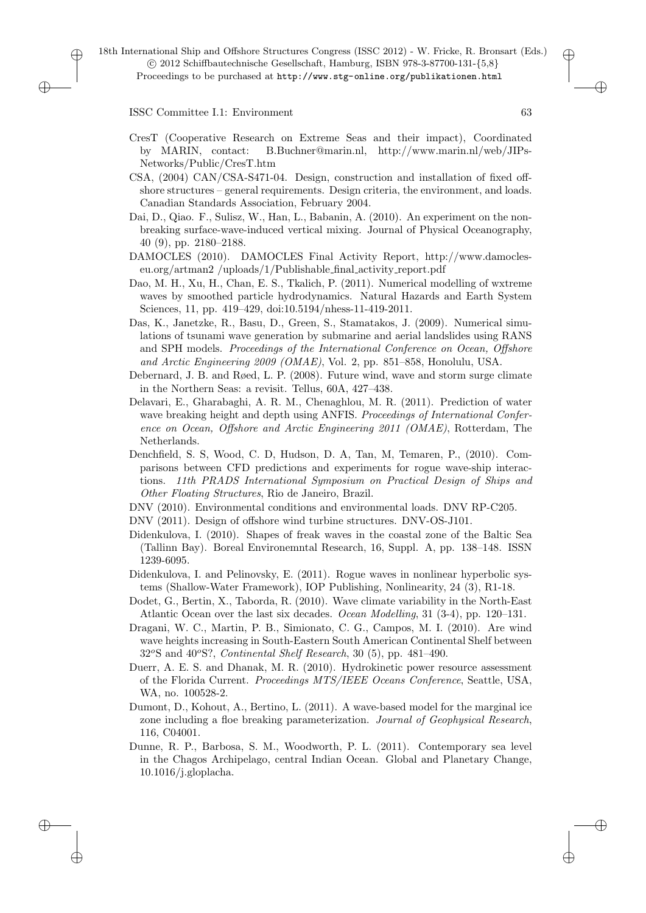ISSC Committee I.1: Environment 63

✐

✐

✐

- CresT (Cooperative Research on Extreme Seas and their impact), Coordinated by MARIN, contact: B.Buchner@marin.nl, http://www.marin.nl/web/JIPs-Networks/Public/CresT.htm
- CSA, (2004) CAN/CSA-S471-04. Design, construction and installation of fixed offshore structures – general requirements. Design criteria, the environment, and loads. Canadian Standards Association, February 2004.
- Dai, D., Qiao. F., Sulisz, W., Han, L., Babanin, A. (2010). An experiment on the nonbreaking surface-wave-induced vertical mixing. Journal of Physical Oceanography, 40 (9), pp. 2180–2188.
- DAMOCLES (2010). DAMOCLES Final Activity Report, http://www.damocleseu.org/artman2 /uploads/1/Publishable final activity report.pdf
- Dao, M. H., Xu, H., Chan, E. S., Tkalich, P. (2011). Numerical modelling of wxtreme waves by smoothed particle hydrodynamics. Natural Hazards and Earth System Sciences, 11, pp. 419–429, doi:10.5194/nhess-11-419-2011.
- Das, K., Janetzke, R., Basu, D., Green, S., Stamatakos, J. (2009). Numerical simulations of tsunami wave generation by submarine and aerial landslides using RANS and SPH models. Proceedings of the International Conference on Ocean, Offshore and Arctic Engineering 2009 (OMAE), Vol. 2, pp. 851–858, Honolulu, USA.
- Debernard, J. B. and Røed, L. P. (2008). Future wind, wave and storm surge climate in the Northern Seas: a revisit. Tellus, 60A, 427–438.
- Delavari, E., Gharabaghi, A. R. M., Chenaghlou, M. R. (2011). Prediction of water wave breaking height and depth using ANFIS. Proceedings of International Conference on Ocean, Offshore and Arctic Engineering 2011 (OMAE), Rotterdam, The Netherlands.
- Denchfield, S. S, Wood, C. D, Hudson, D. A, Tan, M, Temaren, P., (2010). Comparisons between CFD predictions and experiments for rogue wave-ship interactions. 11th PRADS International Symposium on Practical Design of Ships and Other Floating Structures, Rio de Janeiro, Brazil.
- DNV (2010). Environmental conditions and environmental loads. DNV RP-C205.
- DNV (2011). Design of offshore wind turbine structures. DNV-OS-J101.
- Didenkulova, I. (2010). Shapes of freak waves in the coastal zone of the Baltic Sea (Tallinn Bay). Boreal Environemntal Research, 16, Suppl. A, pp. 138–148. ISSN 1239-6095.
- Didenkulova, I. and Pelinovsky, E. (2011). Rogue waves in nonlinear hyperbolic systems (Shallow-Water Framework), IOP Publishing, Nonlinearity, 24 (3), R1-18.
- Dodet, G., Bertin, X., Taborda, R. (2010). Wave climate variability in the North-East Atlantic Ocean over the last six decades. Ocean Modelling, 31 (3-4), pp. 120–131.
- Dragani, W. C., Martin, P. B., Simionato, C. G., Campos, M. I. (2010). Are wind wave heights increasing in South-Eastern South American Continental Shelf between  $32^{\circ}$ S and  $40^{\circ}$ S?, *Continental Shelf Research*, 30 (5), pp. 481–490.
- Duerr, A. E. S. and Dhanak, M. R. (2010). Hydrokinetic power resource assessment of the Florida Current. Proceedings MTS/IEEE Oceans Conference, Seattle, USA, WA, no. 100528-2.
- Dumont, D., Kohout, A., Bertino, L. (2011). A wave-based model for the marginal ice zone including a floe breaking parameterization. Journal of Geophysical Research, 116, C04001.
- Dunne, R. P., Barbosa, S. M., Woodworth, P. L. (2011). Contemporary sea level in the Chagos Archipelago, central Indian Ocean. Global and Planetary Change, 10.1016/j.gloplacha.

✐

✐

✐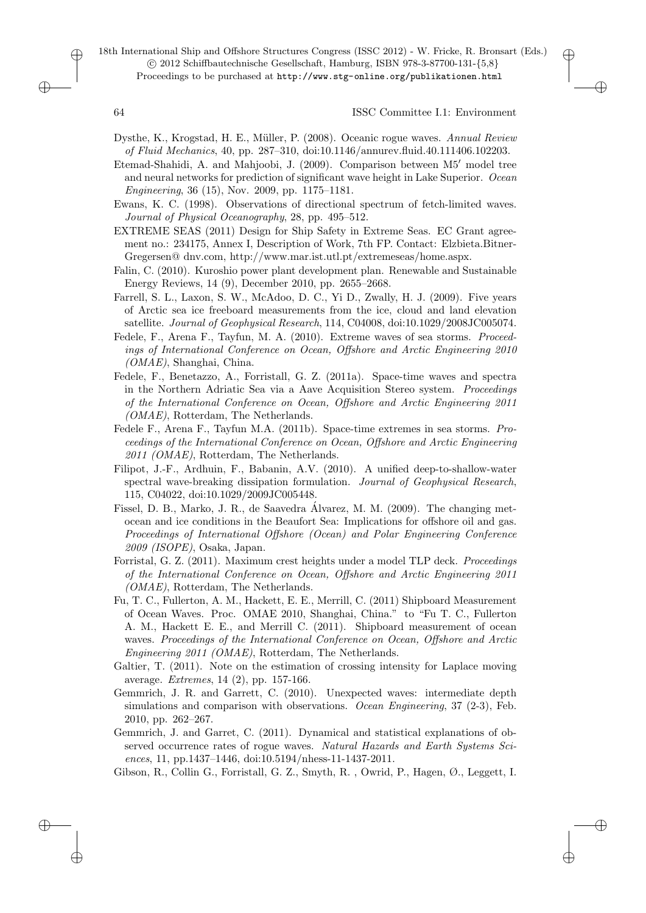✐

✐

✐

## 64 ISSC Committee I.1: Environment

✐

✐

✐

✐

Dysthe, K., Krogstad, H. E., Müller, P. (2008). Oceanic rogue waves. Annual Review of Fluid Mechanics, 40, pp. 287–310, doi:10.1146/annurev.fluid.40.111406.102203.

- Etemad-Shahidi, A. and Mahjoobi, J. (2009). Comparison between M5<sup>'</sup> model tree and neural networks for prediction of significant wave height in Lake Superior. Ocean Engineering, 36 (15), Nov. 2009, pp. 1175–1181.
- Ewans, K. C. (1998). Observations of directional spectrum of fetch-limited waves. Journal of Physical Oceanography, 28, pp. 495–512.
- EXTREME SEAS (2011) Design for Ship Safety in Extreme Seas. EC Grant agreement no.: 234175, Annex I, Description of Work, 7th FP. Contact: Elzbieta.Bitner-Gregersen@ dnv.com, http://www.mar.ist.utl.pt/extremeseas/home.aspx.
- Falin, C. (2010). Kuroshio power plant development plan. Renewable and Sustainable Energy Reviews, 14 (9), December 2010, pp. 2655–2668.
- Farrell, S. L., Laxon, S. W., McAdoo, D. C., Yi D., Zwally, H. J. (2009). Five years of Arctic sea ice freeboard measurements from the ice, cloud and land elevation satellite. Journal of Geophysical Research, 114, C04008, doi:10.1029/2008JC005074.
- Fedele, F., Arena F., Tayfun, M. A. (2010). Extreme waves of sea storms. Proceedings of International Conference on Ocean, Offshore and Arctic Engineering 2010  $(OMAE)$ , Shanghai, China.
- Fedele, F., Benetazzo, A., Forristall, G. Z. (2011a). Space-time waves and spectra in the Northern Adriatic Sea via a Aave Acquisition Stereo system. Proceedings of the International Conference on Ocean, Offshore and Arctic Engineering 2011 (OMAE), Rotterdam, The Netherlands.
- Fedele F., Arena F., Tayfun M.A. (2011b). Space-time extremes in sea storms. Proceedings of the International Conference on Ocean, Offshore and Arctic Engineering 2011 (OMAE), Rotterdam, The Netherlands.
- Filipot, J.-F., Ardhuin, F., Babanin, A.V. (2010). A unified deep-to-shallow-water spectral wave-breaking dissipation formulation. Journal of Geophysical Research, 115, C04022, doi:10.1029/2009JC005448.
- Fissel, D. B., Marko, J. R., de Saavedra Alvarez, M. M. (2009). The changing met- ´ ocean and ice conditions in the Beaufort Sea: Implications for offshore oil and gas. Proceedings of International Offshore (Ocean) and Polar Engineering Conference 2009 (ISOPE), Osaka, Japan.
- Forristal, G. Z. (2011). Maximum crest heights under a model TLP deck. Proceedings of the International Conference on Ocean, Offshore and Arctic Engineering 2011 (OMAE), Rotterdam, The Netherlands.
- Fu, T. C., Fullerton, A. M., Hackett, E. E., Merrill, C. (2011) Shipboard Measurement of Ocean Waves. Proc. OMAE 2010, Shanghai, China." to "Fu T. C., Fullerton A. M., Hackett E. E., and Merrill C. (2011). Shipboard measurement of ocean waves. Proceedings of the International Conference on Ocean, Offshore and Arctic Engineering 2011 (OMAE), Rotterdam, The Netherlands.
- Galtier, T. (2011). Note on the estimation of crossing intensity for Laplace moving average. Extremes, 14 (2), pp. 157-166.
- Gemmrich, J. R. and Garrett, C. (2010). Unexpected waves: intermediate depth simulations and comparison with observations. Ocean Engineering, 37 (2-3), Feb. 2010, pp. 262–267.
- Gemmrich, J. and Garret, C. (2011). Dynamical and statistical explanations of observed occurrence rates of rogue waves. Natural Hazards and Earth Systems Sciences, 11, pp.1437–1446, doi:10.5194/nhess-11-1437-2011.

Gibson, R., Collin G., Forristall, G. Z., Smyth, R. , Owrid, P., Hagen, Ø., Leggett, I.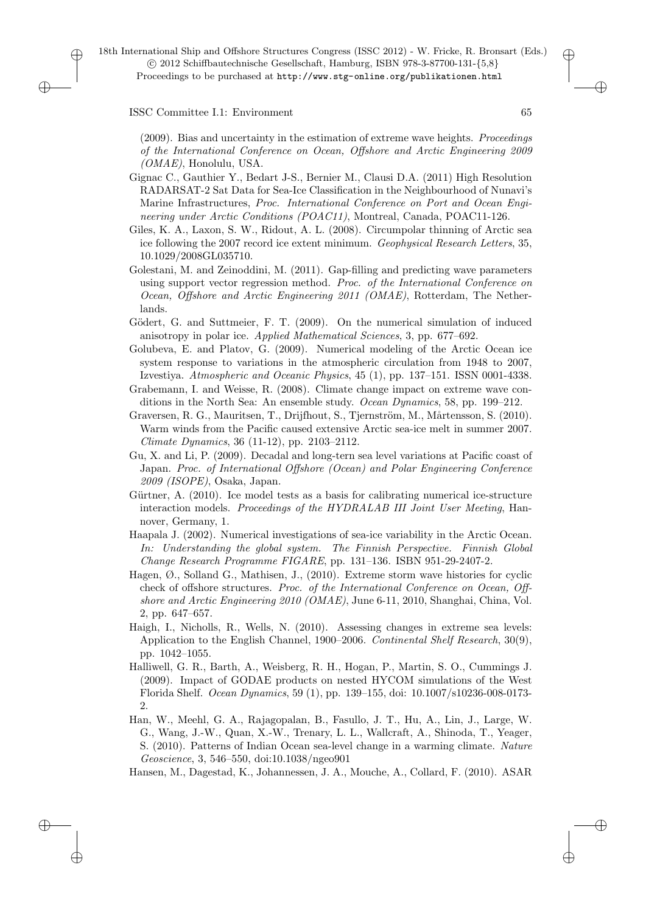ISSC Committee I.1: Environment 65

✐

✐

✐

(2009). Bias and uncertainty in the estimation of extreme wave heights. Proceedings of the International Conference on Ocean, Offshore and Arctic Engineering 2009 (OMAE), Honolulu, USA.

- Gignac C., Gauthier Y., Bedart J-S., Bernier M., Clausi D.A. (2011) High Resolution RADARSAT-2 Sat Data for Sea-Ice Classification in the Neighbourhood of Nunavi's Marine Infrastructures, Proc. International Conference on Port and Ocean Engineering under Arctic Conditions (POAC11), Montreal, Canada, POAC11-126.
- Giles, K. A., Laxon, S. W., Ridout, A. L. (2008). Circumpolar thinning of Arctic sea ice following the 2007 record ice extent minimum. Geophysical Research Letters, 35, 10.1029/2008GL035710.
- Golestani, M. and Zeinoddini, M. (2011). Gap-filling and predicting wave parameters using support vector regression method. Proc. of the International Conference on Ocean, Offshore and Arctic Engineering 2011 (OMAE), Rotterdam, The Netherlands.
- Gödert, G. and Suttmeier, F. T. (2009). On the numerical simulation of induced anisotropy in polar ice. Applied Mathematical Sciences, 3, pp. 677–692.
- Golubeva, E. and Platov, G. (2009). Numerical modeling of the Arctic Ocean ice system response to variations in the atmospheric circulation from 1948 to 2007, Izvestiya. Atmospheric and Oceanic Physics, 45 (1), pp. 137–151. ISSN 0001-4338.
- Grabemann, I. and Weisse, R. (2008). Climate change impact on extreme wave conditions in the North Sea: An ensemble study. Ocean Dynamics, 58, pp. 199–212.
- Graversen, R. G., Mauritsen, T., Drijfhout, S., Tjernström, M., Mårtensson, S. (2010). Warm winds from the Pacific caused extensive Arctic sea-ice melt in summer 2007. Climate Dynamics, 36 (11-12), pp. 2103–2112.
- Gu, X. and Li, P. (2009). Decadal and long-tern sea level variations at Pacific coast of Japan. Proc. of International Offshore (Ocean) and Polar Engineering Conference 2009 (ISOPE), Osaka, Japan.
- Gürtner, A.  $(2010)$ . Ice model tests as a basis for calibrating numerical ice-structure interaction models. Proceedings of the HYDRALAB III Joint User Meeting, Hannover, Germany, 1.
- Haapala J. (2002). Numerical investigations of sea-ice variability in the Arctic Ocean. In: Understanding the global system. The Finnish Perspective. Finnish Global Change Research Programme FIGARE, pp. 131–136. ISBN 951-29-2407-2.
- Hagen, Ø., Solland G., Mathisen, J., (2010). Extreme storm wave histories for cyclic check of offshore structures. Proc. of the International Conference on Ocean, Offshore and Arctic Engineering 2010 (OMAE), June 6-11, 2010, Shanghai, China, Vol. 2, pp. 647–657.
- Haigh, I., Nicholls, R., Wells, N. (2010). Assessing changes in extreme sea levels: Application to the English Channel, 1900–2006. Continental Shelf Research, 30(9), pp. 1042–1055.
- Halliwell, G. R., Barth, A., Weisberg, R. H., Hogan, P., Martin, S. O., Cummings J. (2009). Impact of GODAE products on nested HYCOM simulations of the West Florida Shelf. Ocean Dynamics, 59 (1), pp. 139–155, doi: 10.1007/s10236-008-0173- 2.
- Han, W., Meehl, G. A., Rajagopalan, B., Fasullo, J. T., Hu, A., Lin, J., Large, W. G., Wang, J.-W., Quan, X.-W., Trenary, L. L., Wallcraft, A., Shinoda, T., Yeager, S. (2010). Patterns of Indian Ocean sea-level change in a warming climate. Nature Geoscience, 3, 546–550, doi:10.1038/ngeo901
- Hansen, M., Dagestad, K., Johannessen, J. A., Mouche, A., Collard, F. (2010). ASAR

✐

✐

✐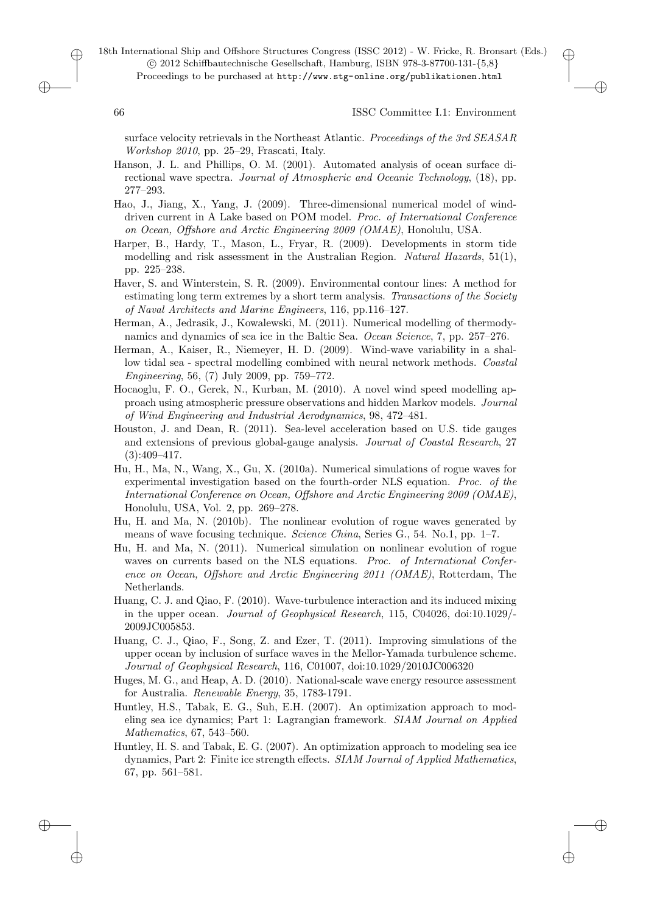#### 66 ISSC Committee I.1: Environment

✐

✐

✐

✐

surface velocity retrievals in the Northeast Atlantic. Proceedings of the 3rd SEASAR Workshop 2010, pp. 25–29, Frascati, Italy.

- Hanson, J. L. and Phillips, O. M. (2001). Automated analysis of ocean surface directional wave spectra. Journal of Atmospheric and Oceanic Technology, (18), pp. 277–293.
- Hao, J., Jiang, X., Yang, J. (2009). Three-dimensional numerical model of winddriven current in A Lake based on POM model. Proc. of International Conference on Ocean, Offshore and Arctic Engineering 2009 (OMAE), Honolulu, USA.
- Harper, B., Hardy, T., Mason, L., Fryar, R. (2009). Developments in storm tide modelling and risk assessment in the Australian Region. Natural Hazards, 51(1), pp. 225–238.
- Haver, S. and Winterstein, S. R. (2009). Environmental contour lines: A method for estimating long term extremes by a short term analysis. Transactions of the Society of Naval Architects and Marine Engineers, 116, pp.116–127.
- Herman, A., Jedrasik, J., Kowalewski, M. (2011). Numerical modelling of thermodynamics and dynamics of sea ice in the Baltic Sea. Ocean Science, 7, pp. 257–276.
- Herman, A., Kaiser, R., Niemeyer, H. D. (2009). Wind-wave variability in a shallow tidal sea - spectral modelling combined with neural network methods. Coastal Engineering, 56, (7) July 2009, pp. 759–772.
- Hocaoglu, F. O., Gerek, N., Kurban, M. (2010). A novel wind speed modelling approach using atmospheric pressure observations and hidden Markov models. Journal of Wind Engineering and Industrial Aerodynamics, 98, 472–481.
- Houston, J. and Dean, R. (2011). Sea-level acceleration based on U.S. tide gauges and extensions of previous global-gauge analysis. Journal of Coastal Research, 27  $(3):409-417.$
- Hu, H., Ma, N., Wang, X., Gu, X. (2010a). Numerical simulations of rogue waves for experimental investigation based on the fourth-order NLS equation. Proc. of the International Conference on Ocean, Offshore and Arctic Engineering 2009 (OMAE), Honolulu, USA, Vol. 2, pp. 269–278.
- Hu, H. and Ma, N. (2010b). The nonlinear evolution of rogue waves generated by means of wave focusing technique. *Science China*, Series G., 54. No.1, pp. 1–7.
- Hu, H. and Ma, N. (2011). Numerical simulation on nonlinear evolution of rogue waves on currents based on the NLS equations. Proc. of International Conference on Ocean, Offshore and Arctic Engineering 2011 (OMAE), Rotterdam, The Netherlands.
- Huang, C. J. and Qiao, F. (2010). Wave-turbulence interaction and its induced mixing in the upper ocean. Journal of Geophysical Research, 115, C04026, doi:10.1029/- 2009JC005853.
- Huang, C. J., Qiao, F., Song, Z. and Ezer, T. (2011). Improving simulations of the upper ocean by inclusion of surface waves in the Mellor-Yamada turbulence scheme. Journal of Geophysical Research, 116, C01007, doi:10.1029/2010JC006320
- Huges, M. G., and Heap, A. D. (2010). National-scale wave energy resource assessment for Australia. Renewable Energy, 35, 1783-1791.
- Huntley, H.S., Tabak, E. G., Suh, E.H. (2007). An optimization approach to modeling sea ice dynamics; Part 1: Lagrangian framework. SIAM Journal on Applied Mathematics, 67, 543–560.
- Huntley, H. S. and Tabak, E. G. (2007). An optimization approach to modeling sea ice dynamics, Part 2: Finite ice strength effects. SIAM Journal of Applied Mathematics, 67, pp. 561–581.

 $\oplus$ 

✐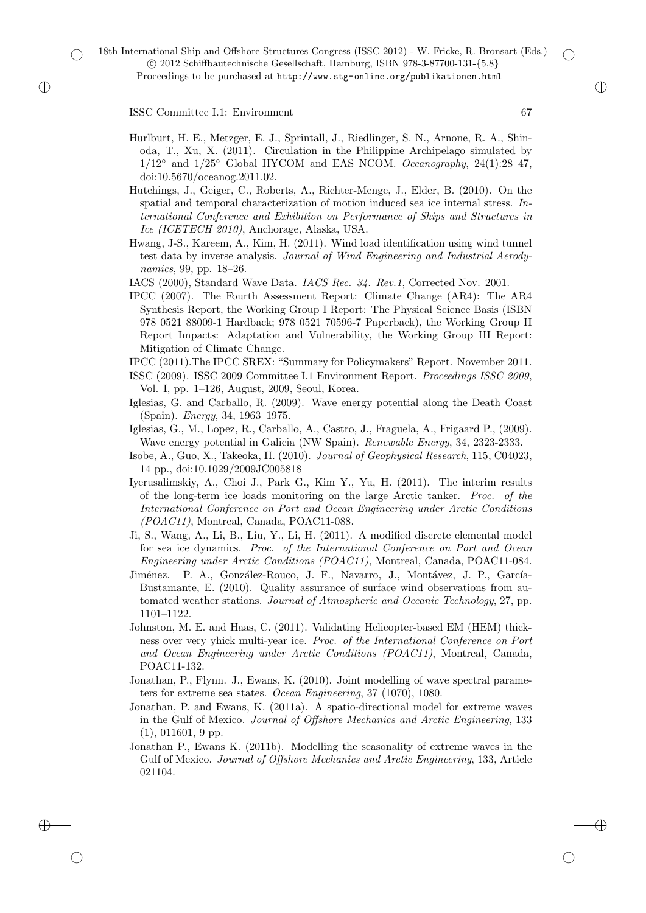ISSC Committee I.1: Environment 67

✐

✐

✐

- Hurlburt, H. E., Metzger, E. J., Sprintall, J., Riedlinger, S. N., Arnone, R. A., Shinoda, T., Xu, X. (2011). Circulation in the Philippine Archipelago simulated by  $1/12°$  and  $1/25°$  Global HYCOM and EAS NCOM. Oceanography, 24(1):28–47, doi:10.5670/oceanog.2011.02.
- Hutchings, J., Geiger, C., Roberts, A., Richter-Menge, J., Elder, B. (2010). On the spatial and temporal characterization of motion induced sea ice internal stress. International Conference and Exhibition on Performance of Ships and Structures in Ice (ICETECH 2010), Anchorage, Alaska, USA.
- Hwang, J-S., Kareem, A., Kim, H. (2011). Wind load identification using wind tunnel test data by inverse analysis. Journal of Wind Engineering and Industrial Aerodynamics, 99, pp. 18–26.
- IACS (2000), Standard Wave Data. IACS Rec. 34. Rev.1, Corrected Nov. 2001.
- IPCC (2007). The Fourth Assessment Report: Climate Change (AR4): The AR4 Synthesis Report, the Working Group I Report: The Physical Science Basis (ISBN 978 0521 88009-1 Hardback; 978 0521 70596-7 Paperback), the Working Group II Report Impacts: Adaptation and Vulnerability, the Working Group III Report: Mitigation of Climate Change.
- IPCC (2011).The IPCC SREX: "Summary for Policymakers" Report. November 2011.
- ISSC (2009). ISSC 2009 Committee I.1 Environment Report. Proceedings ISSC 2009, Vol. I, pp. 1–126, August, 2009, Seoul, Korea.
- Iglesias, G. and Carballo, R. (2009). Wave energy potential along the Death Coast (Spain). Energy, 34, 1963–1975.
- Iglesias, G., M., Lopez, R., Carballo, A., Castro, J., Fraguela, A., Frigaard P., (2009). Wave energy potential in Galicia (NW Spain). Renewable Energy, 34, 2323-2333.
- Isobe, A., Guo, X., Takeoka, H. (2010). Journal of Geophysical Research, 115, C04023, 14 pp., doi:10.1029/2009JC005818
- Iyerusalimskiy, A., Choi J., Park G., Kim Y., Yu, H. (2011). The interim results of the long-term ice loads monitoring on the large Arctic tanker. Proc. of the International Conference on Port and Ocean Engineering under Arctic Conditions (POAC11), Montreal, Canada, POAC11-088.
- Ji, S., Wang, A., Li, B., Liu, Y., Li, H. (2011). A modified discrete elemental model for sea ice dynamics. Proc. of the International Conference on Port and Ocean Engineering under Arctic Conditions (POAC11), Montreal, Canada, POAC11-084.
- Jiménez. P. A., González-Rouco, J. F., Navarro, J., Montávez, J. P., García-Bustamante, E. (2010). Quality assurance of surface wind observations from automated weather stations. Journal of Atmospheric and Oceanic Technology, 27, pp. 1101–1122.
- Johnston, M. E. and Haas, C. (2011). Validating Helicopter-based EM (HEM) thickness over very yhick multi-year ice. Proc. of the International Conference on Port and Ocean Engineering under Arctic Conditions (POAC11), Montreal, Canada, POAC11-132.
- Jonathan, P., Flynn. J., Ewans, K. (2010). Joint modelling of wave spectral parameters for extreme sea states. Ocean Engineering, 37 (1070), 1080.
- Jonathan, P. and Ewans, K. (2011a). A spatio-directional model for extreme waves in the Gulf of Mexico. Journal of Offshore Mechanics and Arctic Engineering, 133  $(1), 011601, 9$  pp.
- Jonathan P., Ewans K. (2011b). Modelling the seasonality of extreme waves in the Gulf of Mexico. *Journal of Offshore Mechanics and Arctic Engineering*, 133, Article 021104.

✐

✐

✐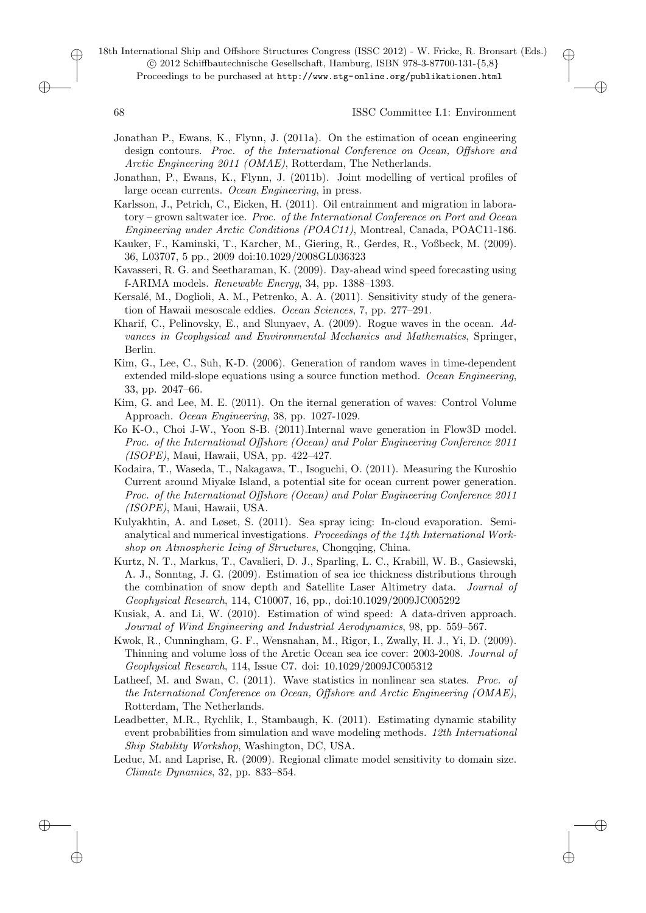✐

✐

✐

#### 68 ISSC Committee I.1: Environment

✐

✐

✐

- Jonathan P., Ewans, K., Flynn, J. (2011a). On the estimation of ocean engineering design contours. Proc. of the International Conference on Ocean, Offshore and Arctic Engineering 2011 (OMAE), Rotterdam, The Netherlands.
- Jonathan, P., Ewans, K., Flynn, J. (2011b). Joint modelling of vertical profiles of large ocean currents. Ocean Engineering, in press.
- Karlsson, J., Petrich, C., Eicken, H. (2011). Oil entrainment and migration in laboratory – grown saltwater ice. *Proc.* of the International Conference on Port and Ocean Engineering under Arctic Conditions (POAC11), Montreal, Canada, POAC11-186.
- Kauker, F., Kaminski, T., Karcher, M., Giering, R., Gerdes, R., Voßbeck, M. (2009). 36, L03707, 5 pp., 2009 doi:10.1029/2008GL036323
- Kavasseri, R. G. and Seetharaman, K. (2009). Day-ahead wind speed forecasting using f-ARIMA models. Renewable Energy, 34, pp. 1388–1393.
- Kersalé, M., Doglioli, A. M., Petrenko, A. A. (2011). Sensitivity study of the generation of Hawaii mesoscale eddies. Ocean Sciences, 7, pp. 277–291.
- Kharif, C., Pelinovsky, E., and Slunyaev, A. (2009). Rogue waves in the ocean. Advances in Geophysical and Environmental Mechanics and Mathematics, Springer, Berlin.
- Kim, G., Lee, C., Suh, K-D. (2006). Generation of random waves in time-dependent extended mild-slope equations using a source function method. Ocean Engineering, 33, pp. 2047–66.
- Kim, G. and Lee, M. E. (2011). On the iternal generation of waves: Control Volume Approach. Ocean Engineering, 38, pp. 1027-1029.
- Ko K-O., Choi J-W., Yoon S-B. (2011).Internal wave generation in Flow3D model. Proc. of the International Offshore (Ocean) and Polar Engineering Conference 2011 (ISOPE), Maui, Hawaii, USA, pp. 422–427.
- Kodaira, T., Waseda, T., Nakagawa, T., Isoguchi, O. (2011). Measuring the Kuroshio Current around Miyake Island, a potential site for ocean current power generation. Proc. of the International Offshore (Ocean) and Polar Engineering Conference 2011 (ISOPE), Maui, Hawaii, USA.
- Kulyakhtin, A. and Løset, S. (2011). Sea spray icing: In-cloud evaporation. Semianalytical and numerical investigations. Proceedings of the 14th International Workshop on Atmospheric Icing of Structures, Chongqing, China.
- Kurtz, N. T., Markus, T., Cavalieri, D. J., Sparling, L. C., Krabill, W. B., Gasiewski, A. J., Sonntag, J. G. (2009). Estimation of sea ice thickness distributions through the combination of snow depth and Satellite Laser Altimetry data. Journal of Geophysical Research, 114, C10007, 16, pp., doi:10.1029/2009JC005292
- Kusiak, A. and Li, W. (2010). Estimation of wind speed: A data-driven approach. Journal of Wind Engineering and Industrial Aerodynamics, 98, pp. 559–567.
- Kwok, R., Cunningham, G. F., Wensnahan, M., Rigor, I., Zwally, H. J., Yi, D. (2009). Thinning and volume loss of the Arctic Ocean sea ice cover: 2003-2008. Journal of Geophysical Research, 114, Issue C7. doi: 10.1029/2009JC005312
- Latheef, M. and Swan, C. (2011). Wave statistics in nonlinear sea states. *Proc. of* the International Conference on Ocean, Offshore and Arctic Engineering (OMAE), Rotterdam, The Netherlands.
- Leadbetter, M.R., Rychlik, I., Stambaugh, K. (2011). Estimating dynamic stability event probabilities from simulation and wave modeling methods. 12th International Ship Stability Workshop, Washington, DC, USA.
- Leduc, M. and Laprise, R. (2009). Regional climate model sensitivity to domain size. Climate Dynamics, 32, pp. 833–854.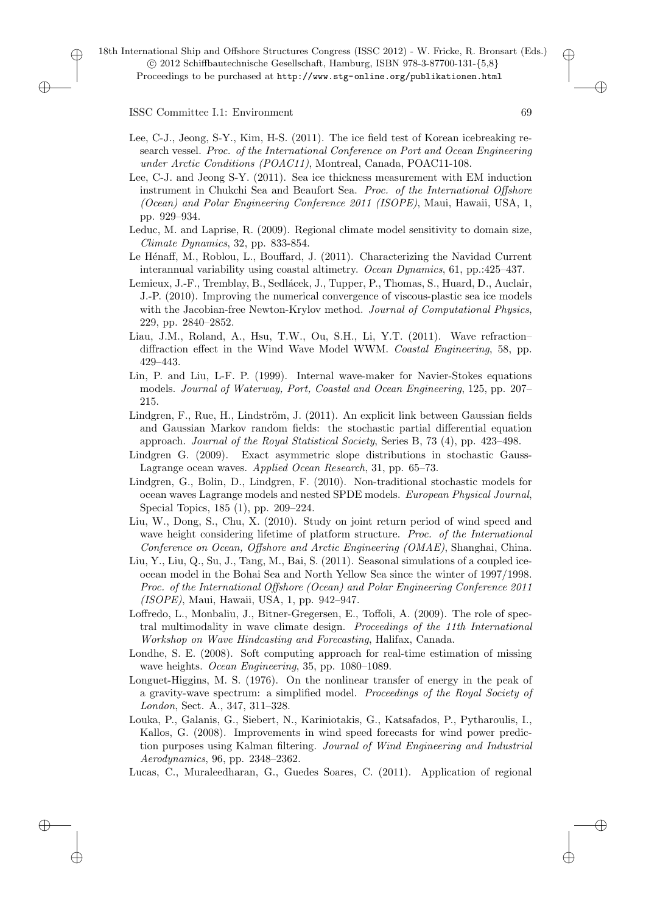ISSC Committee I.1: Environment 69

✐

✐

✐

- Lee, C-J., Jeong, S-Y., Kim, H-S. (2011). The ice field test of Korean icebreaking research vessel. Proc. of the International Conference on Port and Ocean Engineering under Arctic Conditions (POAC11), Montreal, Canada, POAC11-108.
- Lee, C-J. and Jeong S-Y. (2011). Sea ice thickness measurement with EM induction instrument in Chukchi Sea and Beaufort Sea. Proc. of the International Offshore (Ocean) and Polar Engineering Conference 2011 (ISOPE), Maui, Hawaii, USA, 1, pp. 929–934.
- Leduc, M. and Laprise, R. (2009). Regional climate model sensitivity to domain size, Climate Dynamics, 32, pp. 833-854.
- Le Hénaff, M., Roblou, L., Bouffard, J. (2011). Characterizing the Navidad Current interannual variability using coastal altimetry. Ocean Dynamics, 61, pp.:425–437.
- Lemieux, J.-F., Tremblay, B., Sedlácek, J., Tupper, P., Thomas, S., Huard, D., Auclair, J.-P. (2010). Improving the numerical convergence of viscous-plastic sea ice models with the Jacobian-free Newton-Krylov method. Journal of Computational Physics, 229, pp. 2840–2852.
- Liau, J.M., Roland, A., Hsu, T.W., Ou, S.H., Li, Y.T. (2011). Wave refraction– diffraction effect in the Wind Wave Model WWM. Coastal Engineering, 58, pp. 429–443.
- Lin, P. and Liu, L-F. P. (1999). Internal wave-maker for Navier-Stokes equations models. Journal of Waterway, Port, Coastal and Ocean Engineering, 125, pp. 207– 215.
- Lindgren, F., Rue, H., Lindström, J. (2011). An explicit link between Gaussian fields and Gaussian Markov random fields: the stochastic partial differential equation approach. Journal of the Royal Statistical Society, Series B, 73 (4), pp. 423–498.
- Lindgren G. (2009). Exact asymmetric slope distributions in stochastic Gauss-Lagrange ocean waves. Applied Ocean Research, 31, pp. 65–73.
- Lindgren, G., Bolin, D., Lindgren, F. (2010). Non-traditional stochastic models for ocean waves Lagrange models and nested SPDE models. European Physical Journal, Special Topics, 185 (1), pp. 209–224.
- Liu, W., Dong, S., Chu, X. (2010). Study on joint return period of wind speed and wave height considering lifetime of platform structure. *Proc. of the International* Conference on Ocean, Offshore and Arctic Engineering (OMAE), Shanghai, China.
- Liu, Y., Liu, Q., Su, J., Tang, M., Bai, S. (2011). Seasonal simulations of a coupled iceocean model in the Bohai Sea and North Yellow Sea since the winter of 1997/1998. Proc. of the International Offshore (Ocean) and Polar Engineering Conference 2011 (ISOPE), Maui, Hawaii, USA, 1, pp. 942–947.
- Loffredo, L., Monbaliu, J., Bitner-Gregersen, E., Toffoli, A. (2009). The role of spectral multimodality in wave climate design. Proceedings of the 11th International Workshop on Wave Hindcasting and Forecasting, Halifax, Canada.
- Londhe, S. E. (2008). Soft computing approach for real-time estimation of missing wave heights. Ocean Engineering, 35, pp. 1080–1089.
- Longuet-Higgins, M. S. (1976). On the nonlinear transfer of energy in the peak of a gravity-wave spectrum: a simplified model. Proceedings of the Royal Society of London, Sect. A., 347, 311–328.
- Louka, P., Galanis, G., Siebert, N., Kariniotakis, G., Katsafados, P., Pytharoulis, I., Kallos, G. (2008). Improvements in wind speed forecasts for wind power prediction purposes using Kalman filtering. Journal of Wind Engineering and Industrial Aerodynamics, 96, pp. 2348–2362.
- Lucas, C., Muraleedharan, G., Guedes Soares, C. (2011). Application of regional

✐

✐

✐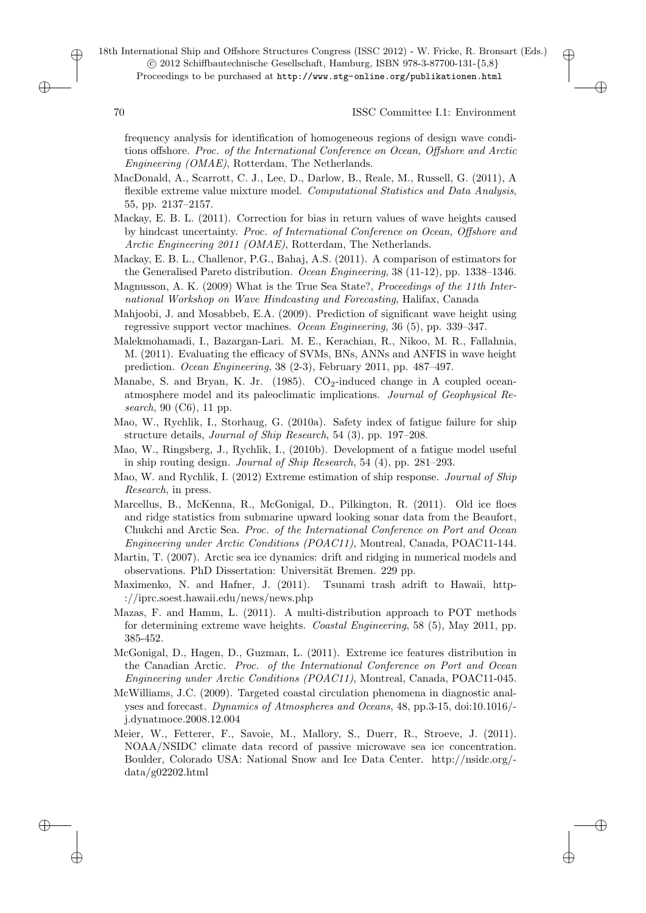70 ISSC Committee I.1: Environment

✐

✐

✐

✐

frequency analysis for identification of homogeneous regions of design wave conditions offshore. Proc. of the International Conference on Ocean, Offshore and Arctic Engineering (OMAE), Rotterdam, The Netherlands.

- MacDonald, A., Scarrott, C. J., Lee, D., Darlow, B., Reale, M., Russell, G. (2011), A flexible extreme value mixture model. Computational Statistics and Data Analysis, 55, pp. 2137–2157.
- Mackay, E. B. L. (2011). Correction for bias in return values of wave heights caused by hindcast uncertainty. Proc. of International Conference on Ocean, Offshore and Arctic Engineering 2011 (OMAE), Rotterdam, The Netherlands.
- Mackay, E. B. L., Challenor, P.G., Bahaj, A.S. (2011). A comparison of estimators for the Generalised Pareto distribution. Ocean Engineering, 38 (11-12), pp. 1338–1346.
- Magnusson, A. K. (2009) What is the True Sea State?, Proceedings of the 11th International Workshop on Wave Hindcasting and Forecasting, Halifax, Canada
- Mahjoobi, J. and Mosabbeb, E.A. (2009). Prediction of significant wave height using regressive support vector machines. Ocean Engineering, 36 (5), pp. 339–347.
- Malekmohamadi, I., Bazargan-Lari. M. E., Kerachian, R., Nikoo, M. R., Fallahnia, M. (2011). Evaluating the efficacy of SVMs, BNs, ANNs and ANFIS in wave height prediction. Ocean Engineering, 38 (2-3), February 2011, pp. 487–497.
- Manabe, S. and Bryan, K. Jr. (1985).  $CO<sub>2</sub>$ -induced change in A coupled oceanatmosphere model and its paleoclimatic implications. Journal of Geophysical Research, 90 (C6), 11 pp.
- Mao, W., Rychlik, I., Storhaug, G. (2010a). Safety index of fatigue failure for ship structure details, Journal of Ship Research, 54 (3), pp. 197–208.
- Mao, W., Ringsberg, J., Rychlik, I., (2010b). Development of a fatigue model useful in ship routing design. Journal of Ship Research, 54 (4), pp. 281–293.
- Mao, W. and Rychlik, I. (2012) Extreme estimation of ship response. Journal of Ship Research, in press.
- Marcellus, B., McKenna, R., McGonigal, D., Pilkington, R. (2011). Old ice floes and ridge statistics from submarine upward looking sonar data from the Beaufort, Chukchi and Arctic Sea. Proc. of the International Conference on Port and Ocean Engineering under Arctic Conditions (POAC11), Montreal, Canada, POAC11-144.
- Martin, T. (2007). Arctic sea ice dynamics: drift and ridging in numerical models and observations. PhD Dissertation: Universität Bremen. 229 pp.
- Maximenko, N. and Hafner, J. (2011). Tsunami trash adrift to Hawaii, http- ://iprc.soest.hawaii.edu/news/news.php
- Mazas, F. and Hamm, L. (2011). A multi-distribution approach to POT methods for determining extreme wave heights. Coastal Engineering, 58 (5), May 2011, pp. 385-452.
- McGonigal, D., Hagen, D., Guzman, L. (2011). Extreme ice features distribution in the Canadian Arctic. Proc. of the International Conference on Port and Ocean Engineering under Arctic Conditions (POAC11), Montreal, Canada, POAC11-045.
- McWilliams, J.C. (2009). Targeted coastal circulation phenomena in diagnostic analyses and forecast. Dynamics of Atmospheres and Oceans, 48, pp.3-15, doi:10.1016/ j.dynatmoce.2008.12.004
- Meier, W., Fetterer, F., Savoie, M., Mallory, S., Duerr, R., Stroeve, J. (2011). NOAA/NSIDC climate data record of passive microwave sea ice concentration. Boulder, Colorado USA: National Snow and Ice Data Center. http://nsidc.org/ data/g02202.html

 $\rightarrow$ 

✐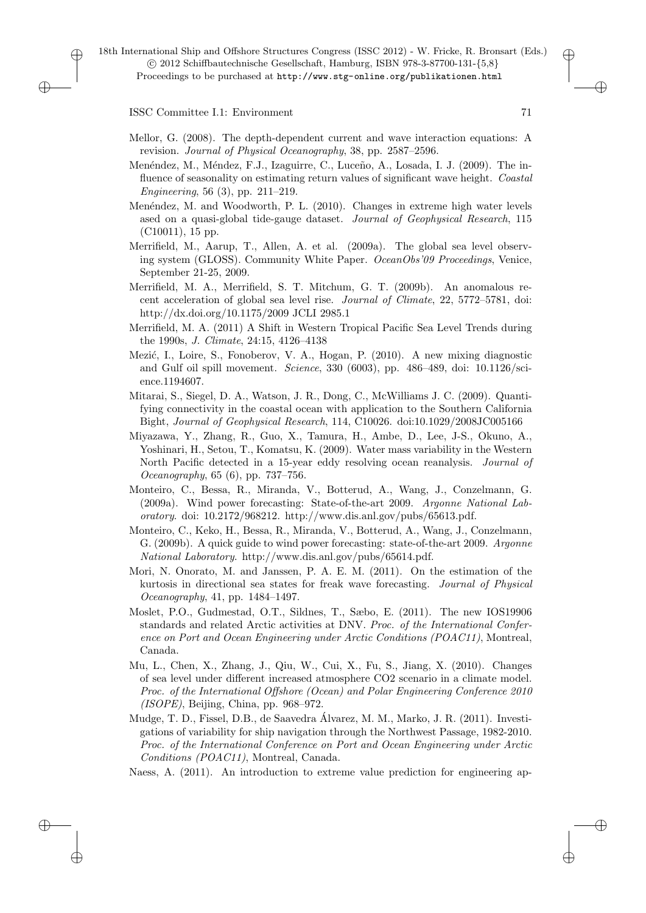ISSC Committee I.1: Environment 71

✐

✐

✐

✐

✐

✐

✐

- Mellor, G. (2008). The depth-dependent current and wave interaction equations: A revision. Journal of Physical Oceanography, 38, pp. 2587–2596.
- Menéndez, M., Méndez, F.J., Izaguirre, C., Luceño, A., Losada, I. J. (2009). The influence of seasonality on estimating return values of significant wave height. Coastal Engineering, 56 (3), pp. 211–219.
- Menéndez, M. and Woodworth, P. L. (2010). Changes in extreme high water levels ased on a quasi-global tide-gauge dataset. Journal of Geophysical Research, 115 (C10011), 15 pp.
- Merrifield, M., Aarup, T., Allen, A. et al. (2009a). The global sea level observing system (GLOSS). Community White Paper. OceanObs'09 Proceedings, Venice, September 21-25, 2009.
- Merrifield, M. A., Merrifield, S. T. Mitchum, G. T. (2009b). An anomalous recent acceleration of global sea level rise. Journal of Climate, 22, 5772–5781, doi: http://dx.doi.org/10.1175/2009 JCLI 2985.1
- Merrifield, M. A. (2011) A Shift in Western Tropical Pacific Sea Level Trends during the 1990s, J. Climate, 24:15, 4126–4138
- Mezić, I., Loire, S., Fonoberov, V. A., Hogan, P. (2010). A new mixing diagnostic and Gulf oil spill movement. Science, 330 (6003), pp. 486–489, doi: 10.1126/science.1194607.
- Mitarai, S., Siegel, D. A., Watson, J. R., Dong, C., McWilliams J. C. (2009). Quantifying connectivity in the coastal ocean with application to the Southern California Bight, Journal of Geophysical Research, 114, C10026. doi:10.1029/2008JC005166
- Miyazawa, Y., Zhang, R., Guo, X., Tamura, H., Ambe, D., Lee, J-S., Okuno, A., Yoshinari, H., Setou, T., Komatsu, K. (2009). Water mass variability in the Western North Pacific detected in a 15-year eddy resolving ocean reanalysis. Journal of Oceanography, 65 (6), pp. 737–756.
- Monteiro, C., Bessa, R., Miranda, V., Botterud, A., Wang, J., Conzelmann, G. (2009a). Wind power forecasting: State-of-the-art 2009. Argonne National Laboratory. doi: 10.2172/968212. http://www.dis.anl.gov/pubs/65613.pdf.
- Monteiro, C., Keko, H., Bessa, R., Miranda, V., Botterud, A., Wang, J., Conzelmann, G. (2009b). A quick guide to wind power forecasting: state-of-the-art 2009. Argonne National Laboratory. http://www.dis.anl.gov/pubs/65614.pdf.
- Mori, N. Onorato, M. and Janssen, P. A. E. M. (2011). On the estimation of the kurtosis in directional sea states for freak wave forecasting. Journal of Physical Oceanography, 41, pp. 1484–1497.
- Moslet, P.O., Gudmestad, O.T., Sildnes, T., Sæbo, E. (2011). The new IOS19906 standards and related Arctic activities at DNV. Proc. of the International Conference on Port and Ocean Engineering under Arctic Conditions (POAC11), Montreal, Canada.
- Mu, L., Chen, X., Zhang, J., Qiu, W., Cui, X., Fu, S., Jiang, X. (2010). Changes of sea level under different increased atmosphere CO2 scenario in a climate model. Proc. of the International Offshore (Ocean) and Polar Engineering Conference 2010 (ISOPE), Beijing, China, pp. 968–972.
- Mudge, T. D., Fissel, D.B., de Saavedra Alvarez, M. M., Marko, J. R. (2011). Investi- ´ gations of variability for ship navigation through the Northwest Passage, 1982-2010. Proc. of the International Conference on Port and Ocean Engineering under Arctic Conditions (POAC11), Montreal, Canada.

Naess, A. (2011). An introduction to extreme value prediction for engineering ap-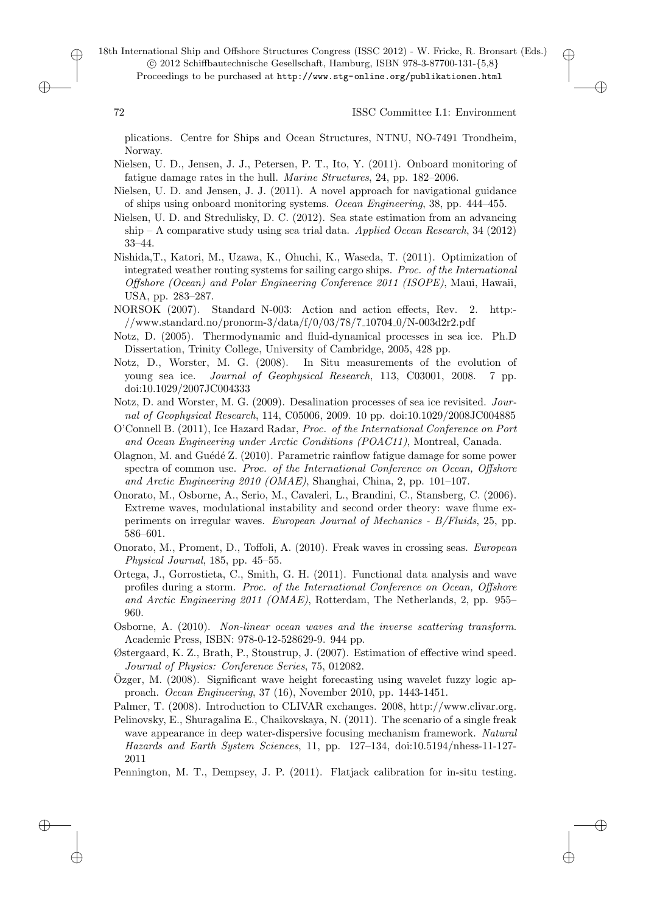✐

✐

✐

#### 72 ISSC Committee I.1: Environment

✐

✐

✐

✐

plications. Centre for Ships and Ocean Structures, NTNU, NO-7491 Trondheim, Norway.

Nielsen, U. D., Jensen, J. J., Petersen, P. T., Ito, Y. (2011). Onboard monitoring of fatigue damage rates in the hull. Marine Structures, 24, pp. 182–2006.

Nielsen, U. D. and Jensen, J. J. (2011). A novel approach for navigational guidance of ships using onboard monitoring systems. Ocean Engineering, 38, pp. 444–455.

Nielsen, U. D. and Stredulisky, D. C. (2012). Sea state estimation from an advancing  $\sinh A$  comparative study using sea trial data. Applied Ocean Research, 34 (2012) 33–44.

Nishida,T., Katori, M., Uzawa, K., Ohuchi, K., Waseda, T. (2011). Optimization of integrated weather routing systems for sailing cargo ships. Proc. of the International Offshore (Ocean) and Polar Engineering Conference 2011 (ISOPE), Maui, Hawaii, USA, pp. 283–287.

NORSOK (2007). Standard N-003: Action and action effects, Rev. 2. http:- //www.standard.no/pronorm-3/data/f/0/03/78/7 10704 0/N-003d2r2.pdf

Notz, D. (2005). Thermodynamic and fluid-dynamical processes in sea ice. Ph.D Dissertation, Trinity College, University of Cambridge, 2005, 428 pp.

Notz, D., Worster, M. G. (2008). In Situ measurements of the evolution of young sea ice. Journal of Geophysical Research, 113, C03001, 2008. 7 pp. doi:10.1029/2007JC004333

Notz, D. and Worster, M. G. (2009). Desalination processes of sea ice revisited. Journal of Geophysical Research, 114, C05006, 2009. 10 pp. doi:10.1029/2008JC004885

O'Connell B. (2011), Ice Hazard Radar, Proc. of the International Conference on Port and Ocean Engineering under Arctic Conditions (POAC11), Montreal, Canada.

Olagnon, M. and Guédé Z. (2010). Parametric rainflow fatigue damage for some power spectra of common use. Proc. of the International Conference on Ocean, Offshore and Arctic Engineering 2010 (OMAE), Shanghai, China, 2, pp. 101–107.

Onorato, M., Osborne, A., Serio, M., Cavaleri, L., Brandini, C., Stansberg, C. (2006). Extreme waves, modulational instability and second order theory: wave flume experiments on irregular waves. European Journal of Mechanics - B/Fluids, 25, pp. 586–601.

Onorato, M., Proment, D., Toffoli, A. (2010). Freak waves in crossing seas. European Physical Journal, 185, pp. 45–55.

Ortega, J., Gorrostieta, C., Smith, G. H. (2011). Functional data analysis and wave profiles during a storm. Proc. of the International Conference on Ocean, Offshore and Arctic Engineering 2011 (OMAE), Rotterdam, The Netherlands, 2, pp. 955– 960.

Osborne, A. (2010). Non-linear ocean waves and the inverse scattering transform. Academic Press, ISBN: 978-0-12-528629-9. 944 pp.

Østergaard, K. Z., Brath, P., Stoustrup, J. (2007). Estimation of effective wind speed. Journal of Physics: Conference Series, 75, 012082.

 $Ozger$ , M. (2008). Significant wave height forecasting using wavelet fuzzy logic approach. Ocean Engineering, 37 (16), November 2010, pp. 1443-1451.

Palmer, T. (2008). Introduction to CLIVAR exchanges. 2008, http://www.clivar.org.

Pelinovsky, E., Shuragalina E., Chaikovskaya, N. (2011). The scenario of a single freak wave appearance in deep water-dispersive focusing mechanism framework. Natural Hazards and Earth System Sciences, 11, pp. 127–134, doi:10.5194/nhess-11-127- 2011

Pennington, M. T., Dempsey, J. P. (2011). Flatjack calibration for in-situ testing.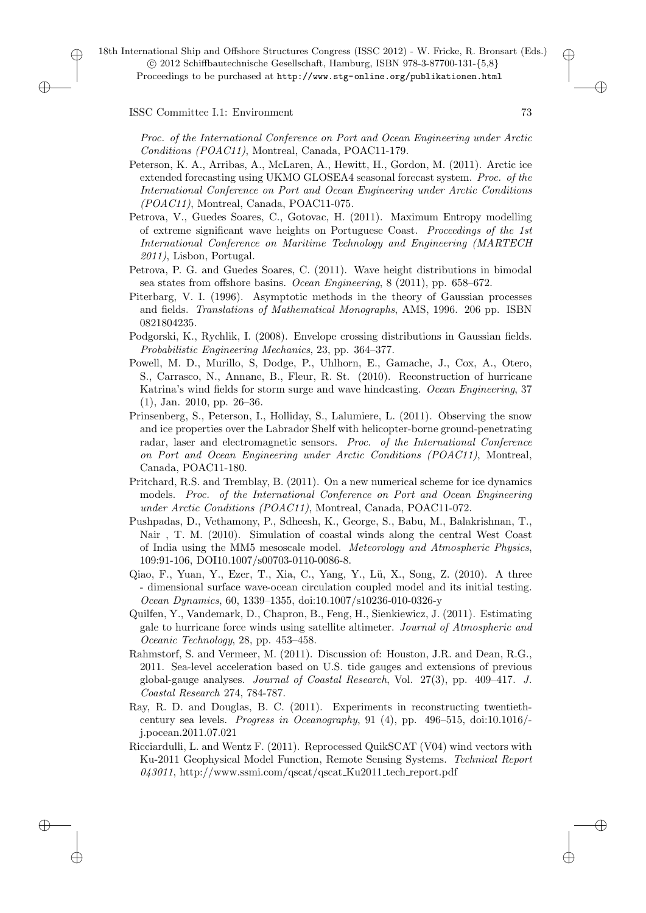ISSC Committee I.1: Environment 73

 $\oplus$ 

✐

✐

✐

✐

✐

✐

Proc. of the International Conference on Port and Ocean Engineering under Arctic Conditions (POAC11), Montreal, Canada, POAC11-179.

- Peterson, K. A., Arribas, A., McLaren, A., Hewitt, H., Gordon, M. (2011). Arctic ice extended forecasting using UKMO GLOSEA4 seasonal forecast system. Proc. of the International Conference on Port and Ocean Engineering under Arctic Conditions (POAC11), Montreal, Canada, POAC11-075.
- Petrova, V., Guedes Soares, C., Gotovac, H. (2011). Maximum Entropy modelling of extreme significant wave heights on Portuguese Coast. Proceedings of the 1st International Conference on Maritime Technology and Engineering (MARTECH 2011), Lisbon, Portugal.
- Petrova, P. G. and Guedes Soares, C. (2011). Wave height distributions in bimodal sea states from offshore basins. Ocean Engineering, 8 (2011), pp. 658–672.
- Piterbarg, V. I. (1996). Asymptotic methods in the theory of Gaussian processes and fields. Translations of Mathematical Monographs, AMS, 1996. 206 pp. ISBN 0821804235.
- Podgorski, K., Rychlik, I. (2008). Envelope crossing distributions in Gaussian fields. Probabilistic Engineering Mechanics, 23, pp. 364–377.
- Powell, M. D., Murillo, S, Dodge, P., Uhlhorn, E., Gamache, J., Cox, A., Otero, S., Carrasco, N., Annane, B., Fleur, R. St. (2010). Reconstruction of hurricane Katrina's wind fields for storm surge and wave hindcasting. Ocean Engineering, 37 (1), Jan. 2010, pp. 26–36.
- Prinsenberg, S., Peterson, I., Holliday, S., Lalumiere, L. (2011). Observing the snow and ice properties over the Labrador Shelf with helicopter-borne ground-penetrating radar, laser and electromagnetic sensors. Proc. of the International Conference on Port and Ocean Engineering under Arctic Conditions (POAC11), Montreal, Canada, POAC11-180.
- Pritchard, R.S. and Tremblay, B. (2011). On a new numerical scheme for ice dynamics models. Proc. of the International Conference on Port and Ocean Engineering under Arctic Conditions (POAC11), Montreal, Canada, POAC11-072.
- Pushpadas, D., Vethamony, P., Sdheesh, K., George, S., Babu, M., Balakrishnan, T., Nair , T. M. (2010). Simulation of coastal winds along the central West Coast of India using the MM5 mesoscale model. Meteorology and Atmospheric Physics, 109:91-106, DOI10.1007/s00703-0110-0086-8.
- Qiao, F., Yuan, Y., Ezer, T., Xia, C., Yang, Y., L¨u, X., Song, Z. (2010). A three - dimensional surface wave-ocean circulation coupled model and its initial testing. Ocean Dynamics, 60, 1339–1355, doi:10.1007/s10236-010-0326-y
- Quilfen, Y., Vandemark, D., Chapron, B., Feng, H., Sienkiewicz, J. (2011). Estimating gale to hurricane force winds using satellite altimeter. Journal of Atmospheric and Oceanic Technology, 28, pp. 453–458.
- Rahmstorf, S. and Vermeer, M. (2011). Discussion of: Houston, J.R. and Dean, R.G., 2011. Sea-level acceleration based on U.S. tide gauges and extensions of previous global-gauge analyses. Journal of Coastal Research, Vol. 27(3), pp. 409–417. J. Coastal Research 274, 784-787.
- Ray, R. D. and Douglas, B. C. (2011). Experiments in reconstructing twentiethcentury sea levels. *Progress in Oceanography*, 91 (4), pp. 496–515, doi:10.1016/j.pocean.2011.07.021
- Ricciardulli, L. and Wentz F. (2011). Reprocessed QuikSCAT (V04) wind vectors with Ku-2011 Geophysical Model Function, Remote Sensing Systems. Technical Report  $043011$ , http://www.ssmi.com/qscat/qscat\_Ku2011\_tech\_report.pdf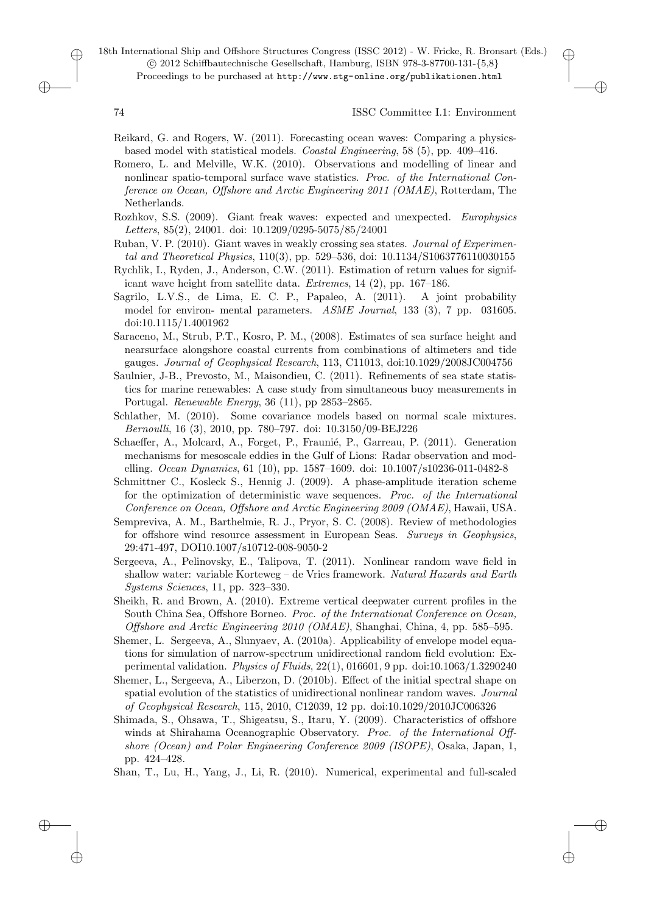✐ 18th International Ship and Offshore Structures Congress (ISSC 2012) - W. Fricke, R. Bronsart (Eds.) c 2012 Schiffbautechnische Gesellschaft, Hamburg, ISBN 978-3-87700-131-{5,8} Proceedings to be purchased at http://www.stg-online.org/publikationen.html

✐

✐

✐

74 ISSC Committee I.1: Environment

✐

✐

✐

✐

Reikard, G. and Rogers, W. (2011). Forecasting ocean waves: Comparing a physicsbased model with statistical models. Coastal Engineering, 58 (5), pp. 409–416.

- Romero, L. and Melville, W.K. (2010). Observations and modelling of linear and nonlinear spatio-temporal surface wave statistics. Proc. of the International Conference on Ocean, Offshore and Arctic Engineering 2011 (OMAE), Rotterdam, The Netherlands.
- Rozhkov, S.S. (2009). Giant freak waves: expected and unexpected. Europhysics Letters, 85(2), 24001. doi: 10.1209/0295-5075/85/24001
- Ruban, V. P. (2010). Giant waves in weakly crossing sea states. Journal of Experimental and Theoretical Physics, 110(3), pp. 529–536, doi: 10.1134/S1063776110030155
- Rychlik, I., Ryden, J., Anderson, C.W. (2011). Estimation of return values for significant wave height from satellite data. Extremes, 14 (2), pp. 167–186.
- Sagrilo, L.V.S., de Lima, E. C. P., Papaleo, A. (2011). A joint probability model for environ- mental parameters. ASME Journal, 133 (3), 7 pp. 031605. doi:10.1115/1.4001962
- Saraceno, M., Strub, P.T., Kosro, P. M., (2008). Estimates of sea surface height and nearsurface alongshore coastal currents from combinations of altimeters and tide gauges. Journal of Geophysical Research, 113, C11013, doi:10.1029/2008JC004756
- Saulnier, J-B., Prevosto, M., Maisondieu, C. (2011). Refinements of sea state statistics for marine renewables: A case study from simultaneous buoy measurements in Portugal. Renewable Energy, 36 (11), pp 2853–2865.
- Schlather, M. (2010). Some covariance models based on normal scale mixtures. Bernoulli, 16 (3), 2010, pp. 780–797. doi: 10.3150/09-BEJ226
- Schaeffer, A., Molcard, A., Forget, P., Fraunié, P., Garreau, P. (2011). Generation mechanisms for mesoscale eddies in the Gulf of Lions: Radar observation and modelling. Ocean Dynamics, 61 (10), pp. 1587–1609. doi: 10.1007/s10236-011-0482-8
- Schmittner C., Kosleck S., Hennig J. (2009). A phase-amplitude iteration scheme for the optimization of deterministic wave sequences. Proc. of the International Conference on Ocean, Offshore and Arctic Engineering 2009 (OMAE), Hawaii, USA.
- Sempreviva, A. M., Barthelmie, R. J., Pryor, S. C. (2008). Review of methodologies for offshore wind resource assessment in European Seas. Surveys in Geophysics, 29:471-497, DOI10.1007/s10712-008-9050-2
- Sergeeva, A., Pelinovsky, E., Talipova, T. (2011). Nonlinear random wave field in shallow water: variable Korteweg – de Vries framework. Natural Hazards and Earth Systems Sciences, 11, pp. 323–330.
- Sheikh, R. and Brown, A. (2010). Extreme vertical deepwater current profiles in the South China Sea, Offshore Borneo. Proc. of the International Conference on Ocean, Offshore and Arctic Engineering 2010 (OMAE), Shanghai, China, 4, pp. 585–595.
- Shemer, L. Sergeeva, A., Slunyaev, A. (2010a). Applicability of envelope model equations for simulation of narrow-spectrum unidirectional random field evolution: Experimental validation. Physics of Fluids, 22(1), 016601, 9 pp. doi:10.1063/1.3290240
- Shemer, L., Sergeeva, A., Liberzon, D. (2010b). Effect of the initial spectral shape on spatial evolution of the statistics of unidirectional nonlinear random waves. Journal of Geophysical Research, 115, 2010, C12039, 12 pp. doi:10.1029/2010JC006326
- Shimada, S., Ohsawa, T., Shigeatsu, S., Itaru, Y. (2009). Characteristics of offshore winds at Shirahama Oceanographic Observatory. Proc. of the International Offshore (Ocean) and Polar Engineering Conference 2009 (ISOPE), Osaka, Japan, 1, pp. 424–428.

Shan, T., Lu, H., Yang, J., Li, R. (2010). Numerical, experimental and full-scaled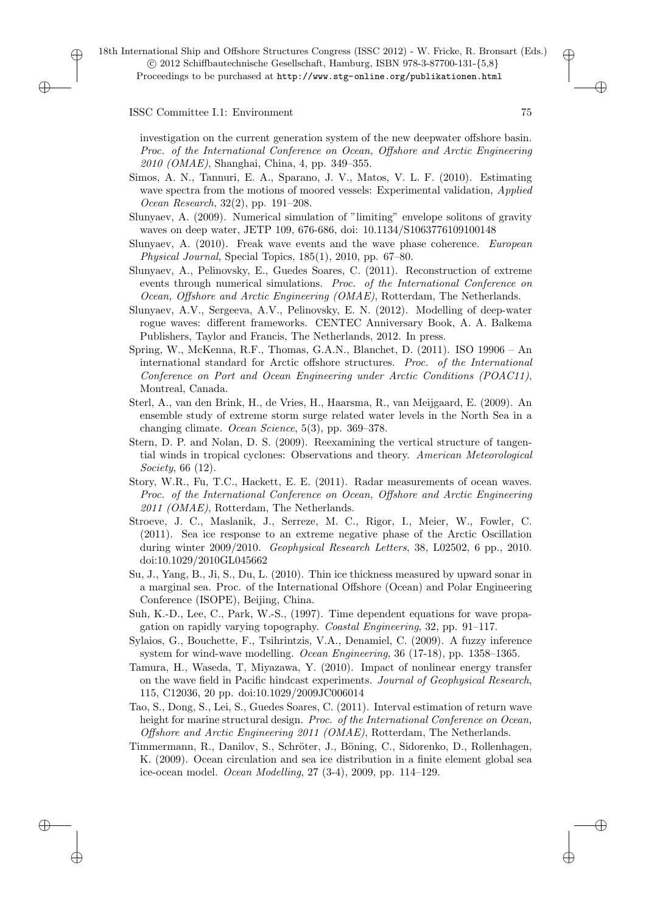ISSC Committee I.1: Environment 75

✐

✐

✐

investigation on the current generation system of the new deepwater offshore basin. Proc. of the International Conference on Ocean, Offshore and Arctic Engineering  $2010$  (OMAE), Shanghai, China, 4, pp. 349–355.

- Simos, A. N., Tannuri, E. A., Sparano, J. V., Matos, V. L. F. (2010). Estimating wave spectra from the motions of moored vessels: Experimental validation, *Applied* Ocean Research, 32(2), pp. 191–208.
- Slunyaev, A. (2009). Numerical simulation of "limiting" envelope solitons of gravity waves on deep water, JETP 109, 676-686, doi: 10.1134/S1063776109100148
- Slunyaev, A. (2010). Freak wave events and the wave phase coherence. European Physical Journal, Special Topics, 185(1), 2010, pp. 67–80.
- Slunyaev, A., Pelinovsky, E., Guedes Soares, C. (2011). Reconstruction of extreme events through numerical simulations. Proc. of the International Conference on Ocean, Offshore and Arctic Engineering (OMAE), Rotterdam, The Netherlands.
- Slunyaev, A.V., Sergeeva, A.V., Pelinovsky, E. N. (2012). Modelling of deep-water rogue waves: different frameworks. CENTEC Anniversary Book, A. A. Balkema Publishers, Taylor and Francis, The Netherlands, 2012. In press.
- Spring, W., McKenna, R.F., Thomas, G.A.N., Blanchet, D. (2011). ISO 19906 An international standard for Arctic offshore structures. Proc. of the International Conference on Port and Ocean Engineering under Arctic Conditions (POAC11), Montreal, Canada.
- Sterl, A., van den Brink, H., de Vries, H., Haarsma, R., van Meijgaard, E. (2009). An ensemble study of extreme storm surge related water levels in the North Sea in a changing climate. Ocean Science, 5(3), pp. 369–378.
- Stern, D. P. and Nolan, D. S. (2009). Reexamining the vertical structure of tangential winds in tropical cyclones: Observations and theory. American Meteorological Society, 66 (12).
- Story, W.R., Fu, T.C., Hackett, E. E. (2011). Radar measurements of ocean waves. Proc. of the International Conference on Ocean, Offshore and Arctic Engineering 2011 (OMAE), Rotterdam, The Netherlands.
- Stroeve, J. C., Maslanik, J., Serreze, M. C., Rigor, I., Meier, W., Fowler, C. (2011). Sea ice response to an extreme negative phase of the Arctic Oscillation during winter 2009/2010. Geophysical Research Letters, 38, L02502, 6 pp., 2010. doi:10.1029/2010GL045662
- Su, J., Yang, B., Ji, S., Du, L. (2010). Thin ice thickness measured by upward sonar in a marginal sea. Proc. of the International Offshore (Ocean) and Polar Engineering Conference (ISOPE), Beijing, China.
- Suh, K.-D., Lee, C., Park, W.-S., (1997). Time dependent equations for wave propagation on rapidly varying topography. Coastal Engineering, 32, pp. 91–117.
- Sylaios, G., Bouchette, F., Tsihrintzis, V.A., Denamiel, C. (2009). A fuzzy inference system for wind-wave modelling. Ocean Engineering, 36 (17-18), pp. 1358–1365.
- Tamura, H., Waseda, T, Miyazawa, Y. (2010). Impact of nonlinear energy transfer on the wave field in Pacific hindcast experiments. Journal of Geophysical Research, 115, C12036, 20 pp. doi:10.1029/2009JC006014
- Tao, S., Dong, S., Lei, S., Guedes Soares, C. (2011). Interval estimation of return wave height for marine structural design. *Proc.* of the International Conference on Ocean, Offshore and Arctic Engineering 2011 (OMAE), Rotterdam, The Netherlands.
- Timmermann, R., Danilov, S., Schröter, J., Böning, C., Sidorenko, D., Rollenhagen, K. (2009). Ocean circulation and sea ice distribution in a finite element global sea ice-ocean model. Ocean Modelling, 27 (3-4), 2009, pp. 114–129.

✐

✐

✐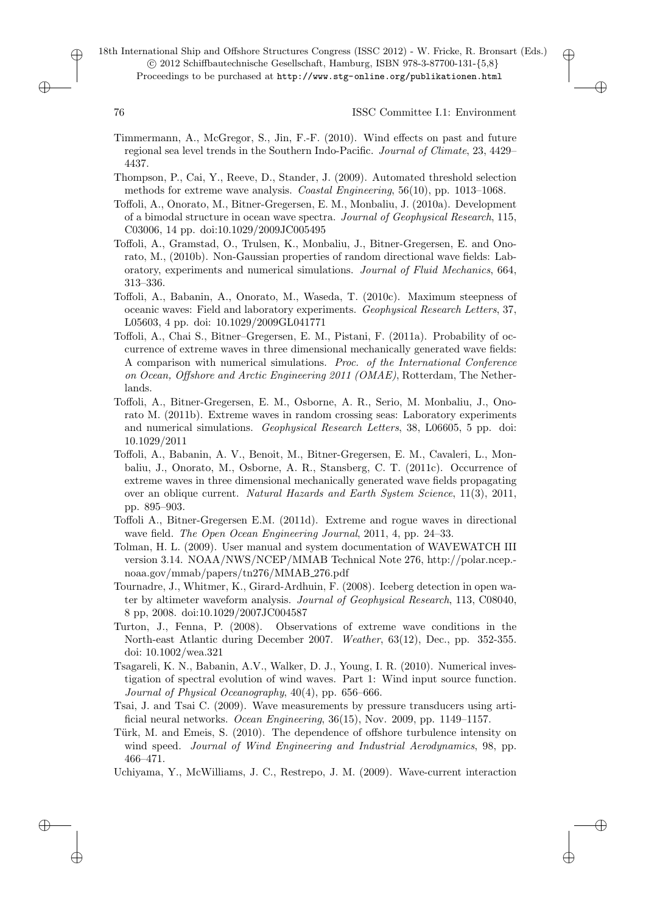✐ 18th International Ship and Offshore Structures Congress (ISSC 2012) - W. Fricke, R. Bronsart (Eds.) c 2012 Schiffbautechnische Gesellschaft, Hamburg, ISBN 978-3-87700-131-{5,8} Proceedings to be purchased at http://www.stg-online.org/publikationen.html

76 ISSC Committee I.1: Environment

✐

✐

✐

✐

- Timmermann, A., McGregor, S., Jin, F.-F. (2010). Wind effects on past and future regional sea level trends in the Southern Indo-Pacific. Journal of Climate, 23, 4429– 4437.
- Thompson, P., Cai, Y., Reeve, D., Stander, J. (2009). Automated threshold selection methods for extreme wave analysis. Coastal Engineering, 56(10), pp. 1013–1068.
- Toffoli, A., Onorato, M., Bitner-Gregersen, E. M., Monbaliu, J. (2010a). Development of a bimodal structure in ocean wave spectra. Journal of Geophysical Research, 115, C03006, 14 pp. doi:10.1029/2009JC005495
- Toffoli, A., Gramstad, O., Trulsen, K., Monbaliu, J., Bitner-Gregersen, E. and Onorato, M., (2010b). Non-Gaussian properties of random directional wave fields: Laboratory, experiments and numerical simulations. Journal of Fluid Mechanics, 664, 313–336.
- Toffoli, A., Babanin, A., Onorato, M., Waseda, T. (2010c). Maximum steepness of oceanic waves: Field and laboratory experiments. Geophysical Research Letters, 37, L05603, 4 pp. doi: 10.1029/2009GL041771
- Toffoli, A., Chai S., Bitner–Gregersen, E. M., Pistani, F. (2011a). Probability of occurrence of extreme waves in three dimensional mechanically generated wave fields: A comparison with numerical simulations. Proc. of the International Conference on Ocean, Offshore and Arctic Engineering 2011 (OMAE), Rotterdam, The Netherlands.
- Toffoli, A., Bitner-Gregersen, E. M., Osborne, A. R., Serio, M. Monbaliu, J., Onorato M. (2011b). Extreme waves in random crossing seas: Laboratory experiments and numerical simulations. Geophysical Research Letters, 38, L06605, 5 pp. doi: 10.1029/2011
- Toffoli, A., Babanin, A. V., Benoit, M., Bitner-Gregersen, E. M., Cavaleri, L., Monbaliu, J., Onorato, M., Osborne, A. R., Stansberg, C. T. (2011c). Occurrence of extreme waves in three dimensional mechanically generated wave fields propagating over an oblique current. Natural Hazards and Earth System Science, 11(3), 2011, pp. 895–903.
- Toffoli A., Bitner-Gregersen E.M. (2011d). Extreme and rogue waves in directional wave field. The Open Ocean Engineering Journal, 2011, 4, pp. 24–33.
- Tolman, H. L. (2009). User manual and system documentation of WAVEWATCH III version 3.14. NOAA/NWS/NCEP/MMAB Technical Note 276, http://polar.ncep. noaa.gov/mmab/papers/tn276/MMAB 276.pdf
- Tournadre, J., Whitmer, K., Girard-Ardhuin, F. (2008). Iceberg detection in open water by altimeter waveform analysis. Journal of Geophysical Research, 113, C08040, 8 pp, 2008. doi:10.1029/2007JC004587
- Turton, J., Fenna, P. (2008). Observations of extreme wave conditions in the North-east Atlantic during December 2007. Weather, 63(12), Dec., pp. 352-355. doi: 10.1002/wea.321
- Tsagareli, K. N., Babanin, A.V., Walker, D. J., Young, I. R. (2010). Numerical investigation of spectral evolution of wind waves. Part 1: Wind input source function. Journal of Physical Oceanography, 40(4), pp. 656–666.
- Tsai, J. and Tsai C. (2009). Wave measurements by pressure transducers using artificial neural networks. Ocean Engineering, 36(15), Nov. 2009, pp. 1149–1157.
- Türk, M. and Emeis, S. (2010). The dependence of offshore turbulence intensity on wind speed. Journal of Wind Engineering and Industrial Aerodynamics, 98, pp. 466–471.
- Uchiyama, Y., McWilliams, J. C., Restrepo, J. M. (2009). Wave-current interaction

✐

✐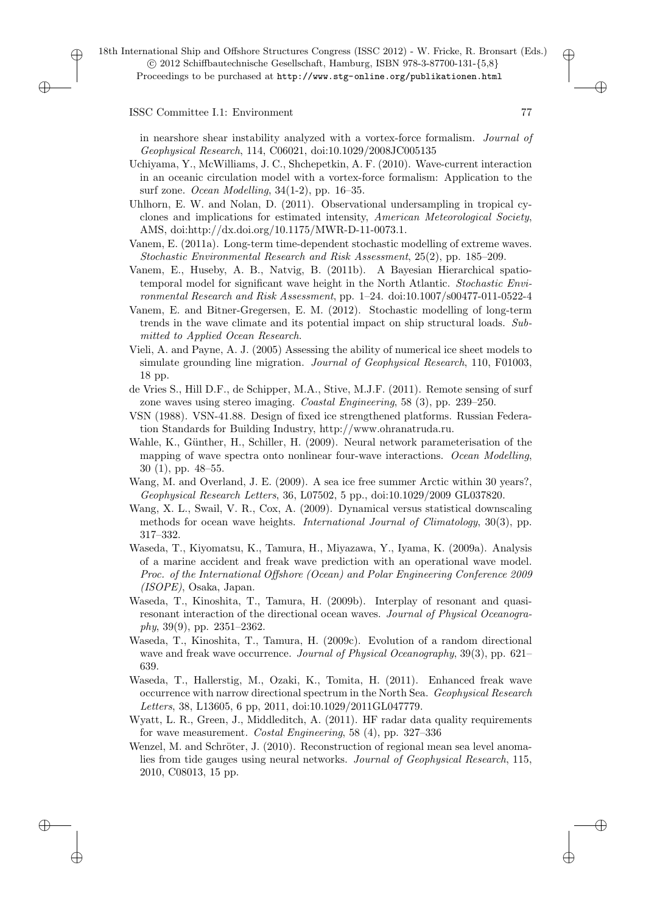ISSC Committee I.1: Environment 77

✐

✐

✐

in nearshore shear instability analyzed with a vortex-force formalism. Journal of Geophysical Research, 114, C06021, doi:10.1029/2008JC005135

- Uchiyama, Y., McWilliams, J. C., Shchepetkin, A. F. (2010). Wave-current interaction in an oceanic circulation model with a vortex-force formalism: Application to the surf zone. Ocean Modelling,  $34(1-2)$ , pp.  $16-35$ .
- Uhlhorn, E. W. and Nolan, D. (2011). Observational undersampling in tropical cyclones and implications for estimated intensity, American Meteorological Society, AMS, doi:http://dx.doi.org/10.1175/MWR-D-11-0073.1.
- Vanem, E. (2011a). Long-term time-dependent stochastic modelling of extreme waves. Stochastic Environmental Research and Risk Assessment, 25(2), pp. 185–209.
- Vanem, E., Huseby, A. B., Natvig, B. (2011b). A Bayesian Hierarchical spatiotemporal model for significant wave height in the North Atlantic. Stochastic Environmental Research and Risk Assessment, pp. 1–24. doi:10.1007/s00477-011-0522-4
- Vanem, E. and Bitner-Gregersen, E. M. (2012). Stochastic modelling of long-term trends in the wave climate and its potential impact on ship structural loads. Submitted to Applied Ocean Research.
- Vieli, A. and Payne, A. J. (2005) Assessing the ability of numerical ice sheet models to simulate grounding line migration. Journal of Geophysical Research, 110, F01003, 18 pp.
- de Vries S., Hill D.F., de Schipper, M.A., Stive, M.J.F. (2011). Remote sensing of surf zone waves using stereo imaging. Coastal Engineering, 58 (3), pp. 239–250.
- VSN (1988). VSN-41.88. Design of fixed ice strengthened platforms. Russian Federation Standards for Building Industry, http://www.ohranatruda.ru.
- Wahle, K., Günther, H., Schiller, H. (2009). Neural network parameterisation of the mapping of wave spectra onto nonlinear four-wave interactions. Ocean Modelling, 30 (1), pp. 48–55.
- Wang, M. and Overland, J. E. (2009). A sea ice free summer Arctic within 30 years?, Geophysical Research Letters, 36, L07502, 5 pp., doi:10.1029/2009 GL037820.
- Wang, X. L., Swail, V. R., Cox, A. (2009). Dynamical versus statistical downscaling methods for ocean wave heights. International Journal of Climatology, 30(3), pp. 317–332.
- Waseda, T., Kiyomatsu, K., Tamura, H., Miyazawa, Y., Iyama, K. (2009a). Analysis of a marine accident and freak wave prediction with an operational wave model. Proc. of the International Offshore (Ocean) and Polar Engineering Conference 2009 (ISOPE), Osaka, Japan.
- Waseda, T., Kinoshita, T., Tamura, H. (2009b). Interplay of resonant and quasiresonant interaction of the directional ocean waves. Journal of Physical Oceanography, 39(9), pp. 2351–2362.
- Waseda, T., Kinoshita, T., Tamura, H. (2009c). Evolution of a random directional wave and freak wave occurrence. Journal of Physical Oceanography, 39(3), pp. 621-639.
- Waseda, T., Hallerstig, M., Ozaki, K., Tomita, H. (2011). Enhanced freak wave occurrence with narrow directional spectrum in the North Sea. Geophysical Research Letters, 38, L13605, 6 pp, 2011, doi:10.1029/2011GL047779.
- Wyatt, L. R., Green, J., Middleditch, A. (2011). HF radar data quality requirements for wave measurement. Costal Engineering, 58 (4), pp. 327–336
- Wenzel, M. and Schröter, J. (2010). Reconstruction of regional mean sea level anomalies from tide gauges using neural networks. Journal of Geophysical Research, 115, 2010, C08013, 15 pp.

✐

✐

✐